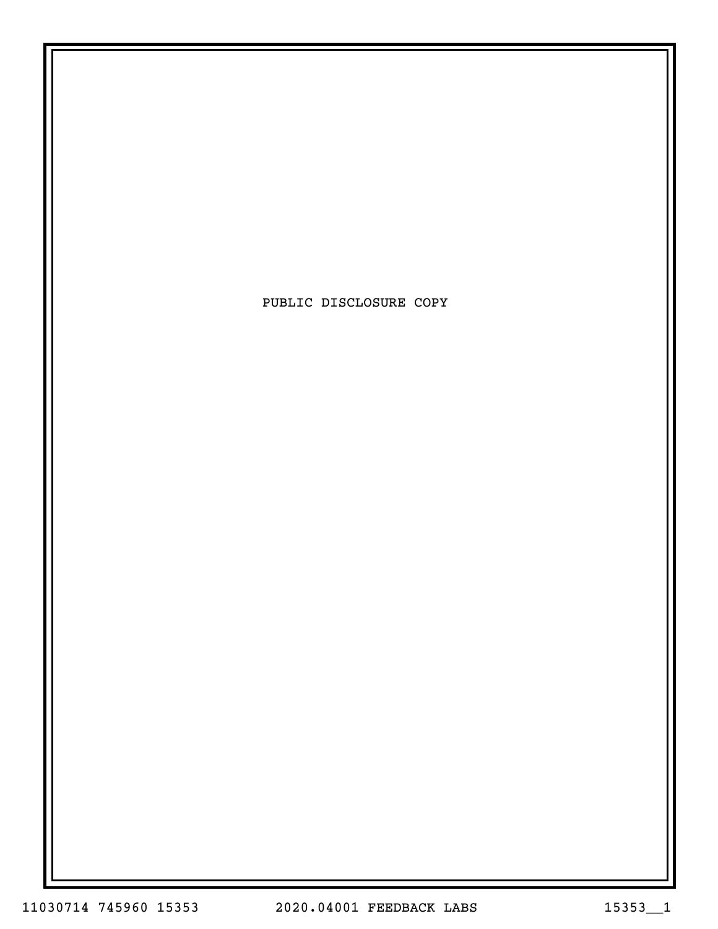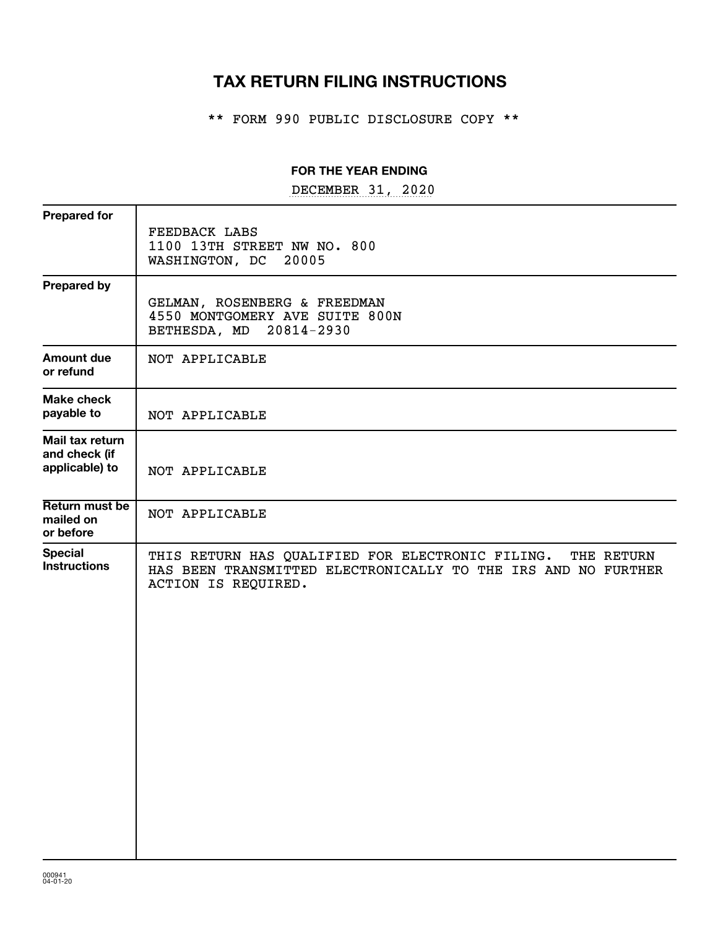# **TAX RETURN FILING INSTRUCTIONS**

\*\* FORM 990 PUBLIC DISCLOSURE COPY \*\*

#### **FOR THE YEAR ENDING**

DECEMBER 31, 2020

| <b>Prepared for</b>                                |                                                                                                                                                        |
|----------------------------------------------------|--------------------------------------------------------------------------------------------------------------------------------------------------------|
|                                                    | FEEDBACK LABS<br>1100 13TH STREET NW NO. 800<br>20005<br>WASHINGTON, DC                                                                                |
| <b>Prepared by</b>                                 | GELMAN, ROSENBERG & FREEDMAN<br>4550 MONTGOMERY AVE SUITE 800N<br>20814-2930<br>BETHESDA, MD                                                           |
| <b>Amount due</b><br>or refund                     | NOT APPLICABLE                                                                                                                                         |
| <b>Make check</b><br>payable to                    | NOT APPLICABLE                                                                                                                                         |
| Mail tax return<br>and check (if<br>applicable) to | NOT APPLICABLE                                                                                                                                         |
| Return must be<br>mailed on<br>or before           | NOT APPLICABLE                                                                                                                                         |
| <b>Special</b><br><b>Instructions</b>              | THIS RETURN HAS QUALIFIED FOR ELECTRONIC FILING.<br>THE RETURN<br>HAS BEEN TRANSMITTED ELECTRONICALLY TO THE IRS AND NO FURTHER<br>ACTION IS REQUIRED. |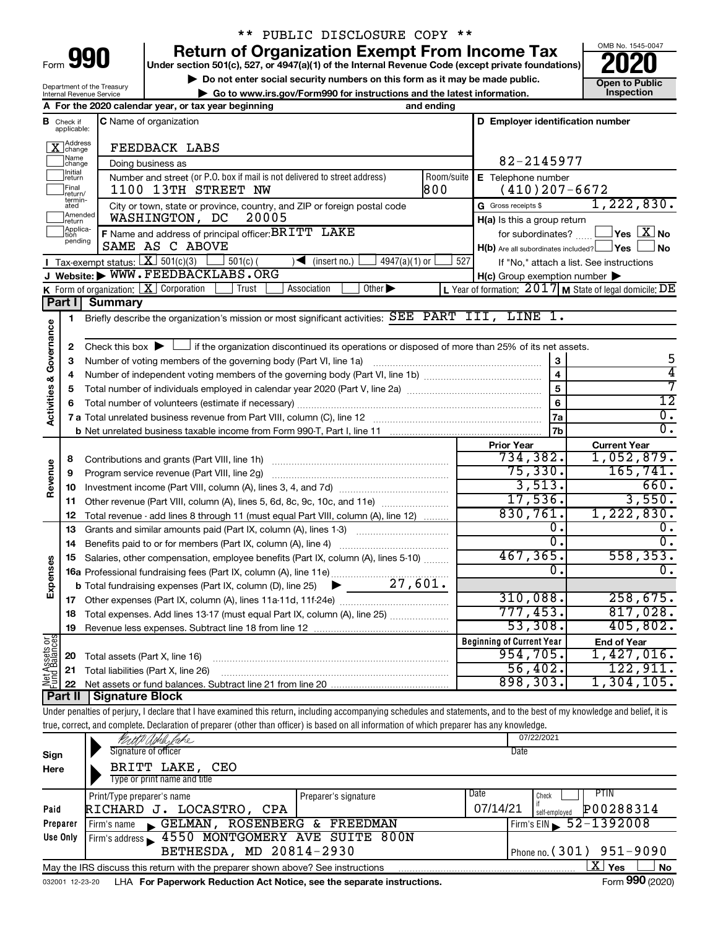| Form |  |  |
|------|--|--|

## \*\* PUBLIC DISCLOSURE COPY \*\*

**990** Return of Organization Exempt From Income Tax <br>
Under section 501(c), 527, or 4947(a)(1) of the Internal Revenue Code (except private foundations)<br> **PO20** 

**▶ Do not enter social security numbers on this form as it may be made public. Open to Public**<br>
inspection instructions and the latest information. Inspection **| Go to www.irs.gov/Form990 for instructions and the latest information. Inspection**



Department of the Treasury Internal Revenue Service

|                                    |                                       | A For the 2020 calendar year, or tax year beginning                                                                                                                        | and ending        |                                                     |                         |                                                         |
|------------------------------------|---------------------------------------|----------------------------------------------------------------------------------------------------------------------------------------------------------------------------|-------------------|-----------------------------------------------------|-------------------------|---------------------------------------------------------|
|                                    | <b>B</b> Check if<br>applicable:      | C Name of organization                                                                                                                                                     |                   | D Employer identification number                    |                         |                                                         |
|                                    | Address<br>change                     | FEEDBACK LABS                                                                                                                                                              |                   |                                                     |                         |                                                         |
|                                    | Name<br> change                       | Doing business as                                                                                                                                                          |                   | 82-2145977                                          |                         |                                                         |
|                                    | Initial<br>return<br>Final<br>return/ | Number and street (or P.O. box if mail is not delivered to street address)<br>1100 13TH STREET NW                                                                          | Room/suite<br>800 | E Telephone number<br>$(410)$ 207-6672              |                         |                                                         |
|                                    | termin-<br>ated                       | City or town, state or province, country, and ZIP or foreign postal code                                                                                                   |                   | G Gross receipts \$                                 |                         | 1,222,830.                                              |
|                                    | Amended<br>Ireturn                    | 20005<br>WASHINGTON, DC                                                                                                                                                    |                   | H(a) Is this a group return                         |                         |                                                         |
|                                    | Applica-<br>Ition                     | F Name and address of principal officer: BRITT LAKE                                                                                                                        |                   | for subordinates?                                   |                         | $\sqrt{}$ Yes $\sqrt{ \times }$ No                      |
|                                    | pending                               | SAME AS C ABOVE                                                                                                                                                            |                   |                                                     |                         | $H(b)$ Are all subordinates included? $\Box$ Yes<br>No  |
|                                    |                                       | Tax-exempt status: $X \mid 501(c)(3)$<br>$4947(a)(1)$ or<br>$501(c)$ (<br>$\sqrt{\frac{1}{1}}$ (insert no.)                                                                | 527               |                                                     |                         | If "No," attach a list. See instructions                |
|                                    |                                       | J Website: WWW.FEEDBACKLABS.ORG                                                                                                                                            |                   | $H(c)$ Group exemption number $\blacktriangleright$ |                         |                                                         |
|                                    |                                       | <b>K</b> Form of organization: $X$ Corporation<br>Other $\blacktriangleright$<br>Trust<br>Association                                                                      |                   |                                                     |                         | L Year of formation: 2017 M State of legal domicile: DE |
|                                    | Part I                                | <b>Summary</b>                                                                                                                                                             |                   |                                                     |                         |                                                         |
|                                    | 1                                     | Briefly describe the organization's mission or most significant activities: SEE PART III, LINE 1.                                                                          |                   |                                                     |                         |                                                         |
| <b>Activities &amp; Governance</b> |                                       |                                                                                                                                                                            |                   |                                                     |                         |                                                         |
|                                    | 2                                     | Check this box $\blacktriangleright \Box$ if the organization discontinued its operations or disposed of more than 25% of its net assets.                                  |                   |                                                     |                         |                                                         |
|                                    | з                                     |                                                                                                                                                                            |                   |                                                     | $\bf 3$                 | 5                                                       |
|                                    | 4                                     |                                                                                                                                                                            |                   |                                                     | $\overline{\mathbf{4}}$ | 4                                                       |
|                                    | 5                                     |                                                                                                                                                                            |                   |                                                     | 5                       | 7                                                       |
|                                    | 6                                     |                                                                                                                                                                            |                   |                                                     | 6                       | $\overline{12}$                                         |
|                                    |                                       |                                                                                                                                                                            |                   |                                                     | 7a                      | $\overline{0}$ .                                        |
|                                    |                                       |                                                                                                                                                                            |                   |                                                     | 7b                      | $\overline{0}$ .                                        |
|                                    |                                       |                                                                                                                                                                            |                   | <b>Prior Year</b>                                   |                         | <b>Current Year</b>                                     |
|                                    | 8                                     |                                                                                                                                                                            | 734,382.          |                                                     | 1,052,879.              |                                                         |
|                                    | 9                                     | Program service revenue (Part VIII, line 2g)                                                                                                                               | 75,330.           |                                                     | 165, 741.               |                                                         |
| Revenue                            | 10                                    |                                                                                                                                                                            |                   |                                                     | 3,513.                  | 660.                                                    |
|                                    | 11                                    | Other revenue (Part VIII, column (A), lines 5, 6d, 8c, 9c, 10c, and 11e)                                                                                                   | 17,536.           |                                                     | 3,550.                  |                                                         |
|                                    | 12                                    | Total revenue - add lines 8 through 11 (must equal Part VIII, column (A), line 12)                                                                                         |                   | 830,761.                                            |                         | 1,222,830.                                              |
|                                    | 13                                    | Grants and similar amounts paid (Part IX, column (A), lines 1-3)                                                                                                           |                   |                                                     | 0.                      |                                                         |
|                                    | 14                                    |                                                                                                                                                                            |                   |                                                     | о.                      | 0.                                                      |
|                                    | 15                                    | Salaries, other compensation, employee benefits (Part IX, column (A), lines 5-10)                                                                                          |                   | 467, 365.                                           |                         | 558, 353.                                               |
| Expenses                           |                                       |                                                                                                                                                                            |                   |                                                     | 0.                      | $\overline{0}$ .                                        |
|                                    |                                       | <b>b</b> Total fundraising expenses (Part IX, column (D), line 25) $\bullet$ 27, 601.                                                                                      |                   |                                                     |                         |                                                         |
|                                    | 17                                    |                                                                                                                                                                            |                   | 310,088.                                            |                         | 258,675.                                                |
|                                    | 18                                    | Total expenses. Add lines 13-17 (must equal Part IX, column (A), line 25)                                                                                                  |                   | 777,453.                                            |                         | 817,028.                                                |
|                                    |                                       | 19 Revenue less expenses. Subtract line 18 from line 12                                                                                                                    |                   | 53,308.                                             |                         | 405,802.                                                |
| Net Assets or<br>Fund Balances     |                                       |                                                                                                                                                                            |                   | <b>Beginning of Current Year</b>                    |                         | <b>End of Year</b>                                      |
|                                    | 20                                    | Total assets (Part X, line 16)                                                                                                                                             |                   | 954,705.                                            |                         | 1,427,016.                                              |
|                                    | 21                                    | Total liabilities (Part X, line 26)                                                                                                                                        |                   | 56,402.                                             |                         | 122,911.                                                |
|                                    | 22                                    |                                                                                                                                                                            |                   | 898,303.                                            |                         | 1,304,105.                                              |
|                                    | Part II                               | <b>Signature Block</b>                                                                                                                                                     |                   |                                                     |                         |                                                         |
|                                    |                                       | Under penalties of perjury, I declare that I have examined this return, including accompanying schedules and statements, and to the best of my knowledge and belief, it is |                   |                                                     |                         |                                                         |
|                                    |                                       | true, correct, and complete. Declaration of preparer (other than officer) is based on all information of which preparer has any knowledge.                                 |                   |                                                     |                         |                                                         |
|                                    |                                       | 4P Aphle lahe                                                                                                                                                              |                   | 07/22/2021                                          |                         |                                                         |
| Sign                               |                                       | Signature of officer                                                                                                                                                       |                   | Date                                                |                         |                                                         |
| Here                               |                                       | BRITT LAKE,<br>CEO                                                                                                                                                         |                   |                                                     |                         |                                                         |
|                                    |                                       | Type or print name and title                                                                                                                                               |                   | Date                                                |                         | PTIN                                                    |
|                                    |                                       | Print/Type preparer's name<br>Preparer's signature                                                                                                                         |                   |                                                     | Check                   |                                                         |
| Paid                               |                                       | RICHARD J. LOCASTRO, CPA                                                                                                                                                   |                   | 07/14/21                                            | self-employed           | P00288314                                               |
|                                    | Preparer                              | GELMAN, ROSENBERG & FREEDMAN<br>Firm's name                                                                                                                                |                   |                                                     |                         | Firm's EIN $\frac{52 - 1392008}{ }$                     |
|                                    | Use Only                              | Firm's address 1550 MONTGOMERY AVE SUITE 800N                                                                                                                              |                   |                                                     |                         |                                                         |
|                                    |                                       | BETHESDA, MD 20814-2930                                                                                                                                                    |                   |                                                     | Phone no. (301)         | 951-9090                                                |
|                                    |                                       | May the IRS discuss this return with the preparer shown above? See instructions                                                                                            |                   |                                                     |                         | $\overline{\text{X}}$ Yes<br>No                         |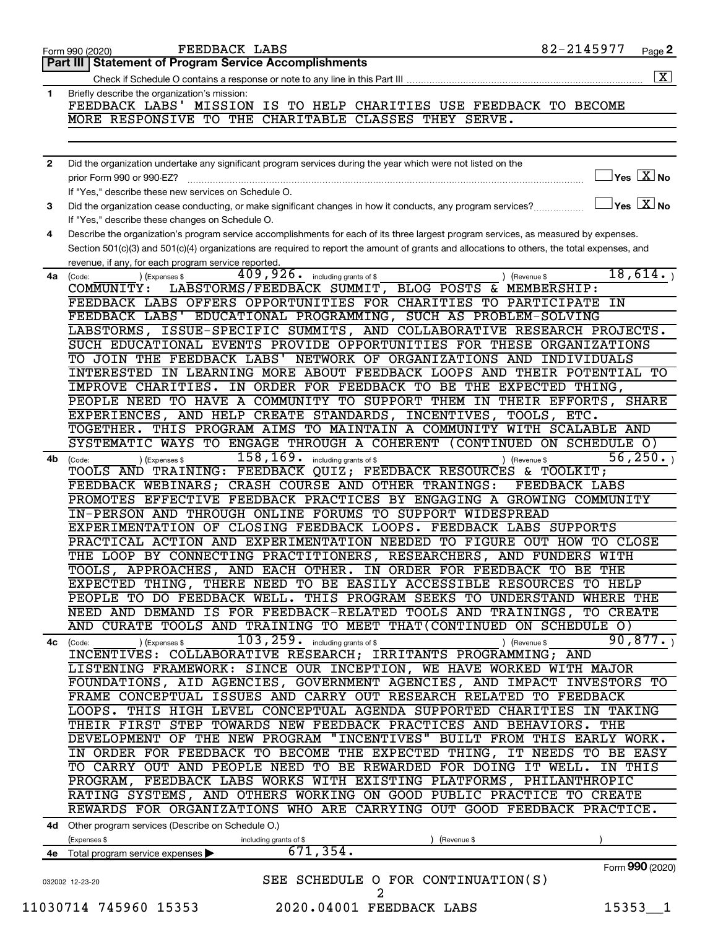|                | 82-2145977<br>FEEDBACK LABS<br>Page 2<br>Form 990 (2020)                                                                                                           |
|----------------|--------------------------------------------------------------------------------------------------------------------------------------------------------------------|
|                | Part III   Statement of Program Service Accomplishments                                                                                                            |
|                | $\boxed{\textbf{X}}$                                                                                                                                               |
| 1              | Briefly describe the organization's mission:                                                                                                                       |
|                | FEEDBACK LABS' MISSION IS TO HELP CHARITIES USE FEEDBACK TO BECOME                                                                                                 |
|                | MORE RESPONSIVE TO THE CHARITABLE CLASSES THEY SERVE.                                                                                                              |
|                |                                                                                                                                                                    |
| $\overline{2}$ | Did the organization undertake any significant program services during the year which were not listed on the                                                       |
|                | $\overline{\ }$ Yes $\overline{\rm{X}}$ No<br>prior Form 990 or 990-EZ?                                                                                            |
|                | If "Yes." describe these new services on Schedule O.                                                                                                               |
| 3              | $\sqrt{\ }$ Yes $\sqrt{\ \mathrm{X}}\ \mathrm{No}$<br>Did the organization cease conducting, or make significant changes in how it conducts, any program services? |
|                | If "Yes," describe these changes on Schedule O.                                                                                                                    |
| 4              | Describe the organization's program service accomplishments for each of its three largest program services, as measured by expenses.                               |
|                | Section 501(c)(3) and 501(c)(4) organizations are required to report the amount of grants and allocations to others, the total expenses, and                       |
|                | revenue, if any, for each program service reported.                                                                                                                |
| 4a             | 409,926.<br>18,614.<br>including grants of \$<br>) (Expenses \$<br>(Code:<br>) (Revenue \$                                                                         |
|                | LABSTORMS/FEEDBACK SUMMIT, BLOG POSTS & MEMBERSHIP:<br>COMMUNITY:                                                                                                  |
|                | FEEDBACK LABS OFFERS OPPORTUNITIES FOR CHARITIES TO PARTICIPATE<br>ΙN                                                                                              |
|                | FEEDBACK LABS' EDUCATIONAL PROGRAMMING, SUCH AS PROBLEM-SOLVING                                                                                                    |
|                | LABSTORMS, ISSUE-SPECIFIC SUMMITS, AND COLLABORATIVE RESEARCH PROJECTS.                                                                                            |
|                | SUCH EDUCATIONAL EVENTS PROVIDE OPPORTUNITIES FOR THESE ORGANIZATIONS                                                                                              |
|                | TO JOIN THE FEEDBACK LABS' NETWORK OF ORGANIZATIONS AND INDIVIDUALS                                                                                                |
|                | INTERESTED IN LEARNING MORE ABOUT FEEDBACK LOOPS AND THEIR POTENTIAL TO                                                                                            |
|                | IMPROVE CHARITIES. IN ORDER FOR FEEDBACK TO BE THE EXPECTED THING,                                                                                                 |
|                | PEOPLE NEED TO HAVE A COMMUNITY TO SUPPORT THEM IN THEIR EFFORTS,<br>SHARE                                                                                         |
|                | EXPERIENCES, AND HELP CREATE STANDARDS, INCENTIVES, TOOLS, ETC.                                                                                                    |
|                | THIS PROGRAM AIMS TO MAINTAIN A COMMUNITY WITH SCALABLE AND<br>TOGETHER.                                                                                           |
|                | SYSTEMATIC WAYS TO ENGAGE THROUGH A COHERENT (CONTINUED ON SCHEDULE O)                                                                                             |
| 4b             | 56, 250.<br>158, 169 . including grants of \$<br>(Code:<br>(Expenses \$<br>) (Revenue \$                                                                           |
|                | TOOLS AND TRAINING: FEEDBACK QUIZ; FEEDBACK RESOURCES & TOOLKIT;                                                                                                   |
|                | FEEDBACK WEBINARS; CRASH COURSE AND OTHER TRANINGS:<br><b>FEEDBACK LABS</b>                                                                                        |
|                | PROMOTES EFFECTIVE FEEDBACK PRACTICES BY ENGAGING A GROWING COMMUNITY                                                                                              |
|                | IN-PERSON AND THROUGH ONLINE FORUMS TO SUPPORT WIDESPREAD                                                                                                          |
|                | EXPERIMENTATION OF CLOSING FEEDBACK LOOPS. FEEDBACK LABS SUPPORTS                                                                                                  |
|                | PRACTICAL ACTION AND EXPERIMENTATION NEEDED TO FIGURE OUT HOW TO CLOSE                                                                                             |
|                | THE LOOP BY CONNECTING PRACTITIONERS, RESEARCHERS, AND FUNDERS WITH                                                                                                |
|                | TOOLS, APPROACHES, AND EACH OTHER. IN ORDER FOR FEEDBACK TO BE THE                                                                                                 |
|                | EXPECTED THING, THERE NEED TO BE EASILY ACCESSIBLE RESOURCES TO HELP                                                                                               |
|                | PEOPLE TO DO FEEDBACK WELL. THIS PROGRAM SEEKS TO UNDERSTAND WHERE THE                                                                                             |
|                | NEED AND DEMAND IS FOR FEEDBACK-RELATED TOOLS AND TRAININGS,<br><b>TO CREATE</b>                                                                                   |
|                | AND CURATE TOOLS AND TRAINING TO MEET THAT (CONTINUED ON SCHEDULE O)                                                                                               |
| 4с             | $103, 259$ $\cdot$ including grants of \$<br>90,877.<br>) (Revenue \$<br>) (Expenses \$<br>(Code:                                                                  |
|                | INCENTIVES: COLLABORATIVE RESEARCH; IRRITANTS PROGRAMMING; AND                                                                                                     |
|                | LISTENING FRAMEWORK: SINCE OUR INCEPTION, WE HAVE WORKED WITH MAJOR                                                                                                |
|                | FOUNDATIONS, AID AGENCIES, GOVERNMENT AGENCIES, AND IMPACT INVESTORS TO                                                                                            |
|                | FRAME CONCEPTUAL ISSUES AND CARRY OUT RESEARCH RELATED TO FEEDBACK                                                                                                 |
|                | LOOPS. THIS HIGH LEVEL CONCEPTUAL AGENDA SUPPORTED CHARITIES IN TAKING                                                                                             |
|                | THEIR FIRST STEP TOWARDS NEW FEEDBACK PRACTICES AND BEHAVIORS. THE                                                                                                 |
|                | DEVELOPMENT OF THE NEW PROGRAM "INCENTIVES" BUILT FROM THIS EARLY WORK.                                                                                            |
|                | IN ORDER FOR FEEDBACK TO BECOME THE EXPECTED THING, IT NEEDS TO BE EASY                                                                                            |
|                | TO CARRY OUT AND PEOPLE NEED TO BE REWARDED FOR DOING IT WELL. IN THIS                                                                                             |
|                | PROGRAM, FEEDBACK LABS WORKS WITH EXISTING PLATFORMS, PHILANTHROPIC                                                                                                |
|                | RATING SYSTEMS, AND OTHERS WORKING ON GOOD PUBLIC PRACTICE TO CREATE                                                                                               |
|                | REWARDS FOR ORGANIZATIONS WHO ARE CARRYING OUT GOOD FEEDBACK PRACTICE.                                                                                             |
|                | 4d Other program services (Describe on Schedule O.)                                                                                                                |
|                | (Expenses \$<br>(Revenue \$<br>including grants of \$                                                                                                              |
|                | 671, 354.<br>4e Total program service expenses                                                                                                                     |
|                | Form 990 (2020)<br>SEE SCHEDULE O FOR CONTINUATION(S)                                                                                                              |
|                | 032002 12-23-20<br>2                                                                                                                                               |
|                | 11030714 745960 15353<br>2020.04001 FEEDBACK LABS<br>$15353 - 1$                                                                                                   |
|                |                                                                                                                                                                    |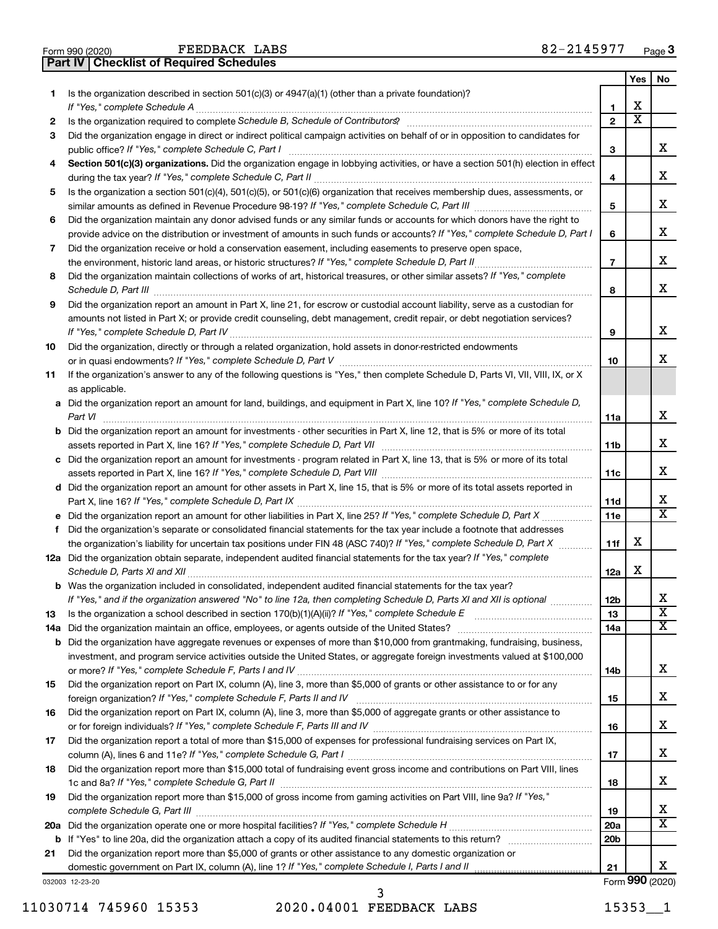| Form 990 (2020) | FEEDBACK LAB                                     |  |
|-----------------|--------------------------------------------------|--|
|                 | <b>Part IV   Checklist of Required Schedules</b> |  |

FEEDBACK LABS

|    |                                                                                                                                          |                          | Yes                     | No                           |
|----|------------------------------------------------------------------------------------------------------------------------------------------|--------------------------|-------------------------|------------------------------|
| 1. | Is the organization described in section 501(c)(3) or 4947(a)(1) (other than a private foundation)?                                      | 1                        | х                       |                              |
| 2  |                                                                                                                                          | $\mathbf{2}$             | $\overline{\textbf{x}}$ |                              |
| 3  | Did the organization engage in direct or indirect political campaign activities on behalf of or in opposition to candidates for          | 3                        |                         | x                            |
|    | Section 501(c)(3) organizations. Did the organization engage in lobbying activities, or have a section 501(h) election in effect         |                          |                         |                              |
| 4  |                                                                                                                                          | 4                        |                         | х                            |
| 5  | Is the organization a section 501(c)(4), 501(c)(5), or 501(c)(6) organization that receives membership dues, assessments, or             |                          |                         |                              |
|    |                                                                                                                                          | 5                        |                         | x                            |
| 6  | Did the organization maintain any donor advised funds or any similar funds or accounts for which donors have the right to                |                          |                         |                              |
|    | provide advice on the distribution or investment of amounts in such funds or accounts? If "Yes," complete Schedule D, Part I             | 6                        |                         | x                            |
| 7  | Did the organization receive or hold a conservation easement, including easements to preserve open space,                                |                          |                         |                              |
|    |                                                                                                                                          | $\overline{\phantom{a}}$ |                         | х                            |
| 8  | Did the organization maintain collections of works of art, historical treasures, or other similar assets? If "Yes," complete             |                          |                         |                              |
|    | Schedule D, Part III <b>www.community.community.community.community.community.community.com</b>                                          | 8                        |                         | x                            |
| 9  | Did the organization report an amount in Part X, line 21, for escrow or custodial account liability, serve as a custodian for            |                          |                         |                              |
|    | amounts not listed in Part X; or provide credit counseling, debt management, credit repair, or debt negotiation services?                |                          |                         | х                            |
|    |                                                                                                                                          | 9                        |                         |                              |
| 10 | Did the organization, directly or through a related organization, hold assets in donor-restricted endowments                             |                          |                         | x                            |
| 11 | If the organization's answer to any of the following questions is "Yes," then complete Schedule D, Parts VI, VII, VIII, IX, or X         | 10                       |                         |                              |
|    | as applicable.                                                                                                                           |                          |                         |                              |
|    | a Did the organization report an amount for land, buildings, and equipment in Part X, line 10? If "Yes," complete Schedule D,<br>Part VI | 11a                      |                         | x                            |
|    | <b>b</b> Did the organization report an amount for investments - other securities in Part X, line 12, that is 5% or more of its total    |                          |                         | х                            |
|    | c Did the organization report an amount for investments - program related in Part X, line 13, that is 5% or more of its total            | 11b                      |                         |                              |
|    |                                                                                                                                          | 11c                      |                         | x                            |
|    | d Did the organization report an amount for other assets in Part X, line 15, that is 5% or more of its total assets reported in          |                          |                         |                              |
|    |                                                                                                                                          | 11d                      |                         | х<br>$\overline{\texttt{x}}$ |
|    |                                                                                                                                          | 11e                      |                         |                              |
| f  | Did the organization's separate or consolidated financial statements for the tax year include a footnote that addresses                  |                          |                         |                              |
|    | the organization's liability for uncertain tax positions under FIN 48 (ASC 740)? If "Yes," complete Schedule D, Part X                   | 11f                      | х                       |                              |
|    | 12a Did the organization obtain separate, independent audited financial statements for the tax year? If "Yes," complete                  | 12a                      | х                       |                              |
|    | <b>b</b> Was the organization included in consolidated, independent audited financial statements for the tax year?                       |                          |                         |                              |
|    | If "Yes," and if the organization answered "No" to line 12a, then completing Schedule D, Parts XI and XII is optional                    | 12 <sub>b</sub>          |                         | х                            |
| 13 |                                                                                                                                          | 13                       |                         | $\overline{\texttt{x}}$      |
|    |                                                                                                                                          | 14a                      |                         | X                            |
|    | <b>b</b> Did the organization have aggregate revenues or expenses of more than \$10,000 from grantmaking, fundraising, business,         |                          |                         |                              |
|    | investment, and program service activities outside the United States, or aggregate foreign investments valued at \$100,000               |                          |                         | х                            |
|    |                                                                                                                                          | 14b                      |                         |                              |
| 15 | Did the organization report on Part IX, column (A), line 3, more than \$5,000 of grants or other assistance to or for any                |                          |                         | х                            |
|    |                                                                                                                                          | 15                       |                         |                              |
| 16 | Did the organization report on Part IX, column (A), line 3, more than \$5,000 of aggregate grants or other assistance to                 | 16                       |                         | х                            |
| 17 | Did the organization report a total of more than \$15,000 of expenses for professional fundraising services on Part IX,                  |                          |                         |                              |
|    |                                                                                                                                          | 17                       |                         | х                            |
| 18 | Did the organization report more than \$15,000 total of fundraising event gross income and contributions on Part VIII, lines             |                          |                         |                              |
|    |                                                                                                                                          | 18                       |                         | х                            |
| 19 | Did the organization report more than \$15,000 of gross income from gaming activities on Part VIII, line 9a? If "Yes,"                   | 19                       |                         | х                            |
|    |                                                                                                                                          | <b>20a</b>               |                         | $\overline{\mathbf{X}}$      |
|    |                                                                                                                                          | 20 <sub>b</sub>          |                         |                              |
| 21 | Did the organization report more than \$5,000 of grants or other assistance to any domestic organization or                              |                          |                         |                              |
|    |                                                                                                                                          | 21                       |                         | x                            |
|    | 032003 12-23-20                                                                                                                          |                          |                         | Form 990 (2020)              |

032003 12-23-20

11030714 745960 15353 2020.04001 FEEDBACK LABS 1535311 3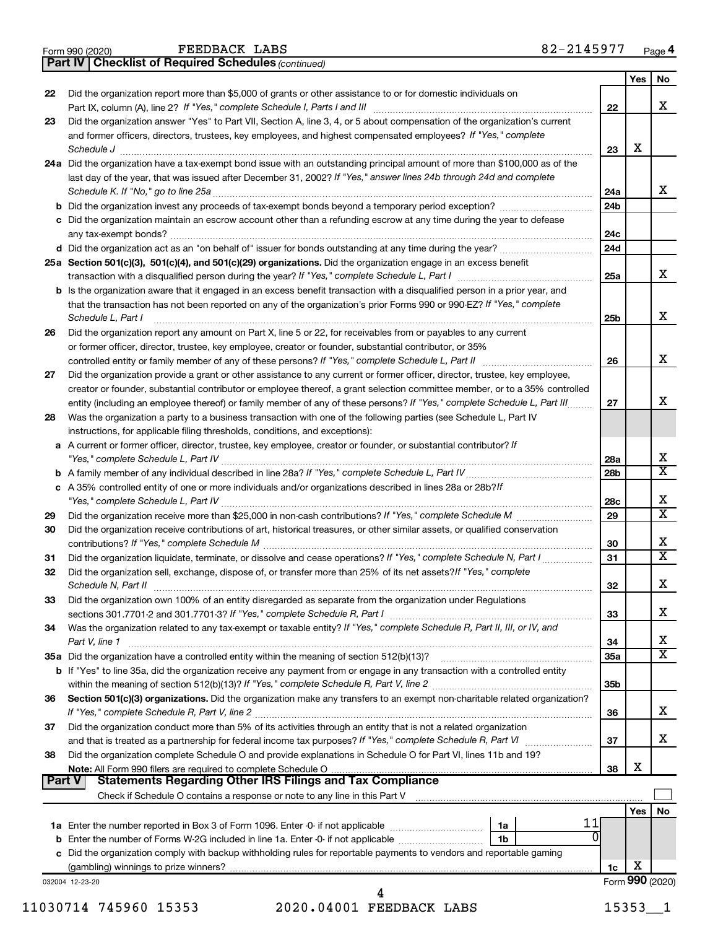|  | Form 990 (2020) |
|--|-----------------|
|  |                 |

FEEDBACK LABS

*(continued)* **Part IV Checklist of Required Schedules**

|        |                                                                                                                                            |                 | Yes | No                           |
|--------|--------------------------------------------------------------------------------------------------------------------------------------------|-----------------|-----|------------------------------|
| 22     | Did the organization report more than \$5,000 of grants or other assistance to or for domestic individuals on                              |                 |     |                              |
|        | Part IX, column (A), line 2? If "Yes," complete Schedule I, Parts I and III [11]] [11]] [11] [11] [11] [11] [1                             | 22              |     | x                            |
| 23     | Did the organization answer "Yes" to Part VII, Section A, line 3, 4, or 5 about compensation of the organization's current                 |                 |     |                              |
|        | and former officers, directors, trustees, key employees, and highest compensated employees? If "Yes," complete                             |                 |     |                              |
|        | Schedule J                                                                                                                                 | 23              | X   |                              |
|        | 24a Did the organization have a tax-exempt bond issue with an outstanding principal amount of more than \$100,000 as of the                |                 |     |                              |
|        | last day of the year, that was issued after December 31, 2002? If "Yes," answer lines 24b through 24d and complete                         |                 |     |                              |
|        | Schedule K. If "No," go to line 25a                                                                                                        | 24a             |     | x                            |
|        | <b>b</b> Did the organization invest any proceeds of tax-exempt bonds beyond a temporary period exception?                                 | 24 <sub>b</sub> |     |                              |
|        | c Did the organization maintain an escrow account other than a refunding escrow at any time during the year to defease                     |                 |     |                              |
|        | any tax-exempt bonds?                                                                                                                      | 24c             |     |                              |
|        |                                                                                                                                            | 24 <sub>d</sub> |     |                              |
|        | 25a Section 501(c)(3), 501(c)(4), and 501(c)(29) organizations. Did the organization engage in an excess benefit                           |                 |     |                              |
|        |                                                                                                                                            | 25a             |     | x                            |
|        | <b>b</b> Is the organization aware that it engaged in an excess benefit transaction with a disqualified person in a prior year, and        |                 |     |                              |
|        | that the transaction has not been reported on any of the organization's prior Forms 990 or 990-EZ? If "Yes," complete                      |                 |     |                              |
|        | Schedule L, Part I                                                                                                                         | 25b             |     | x                            |
| 26     | Did the organization report any amount on Part X, line 5 or 22, for receivables from or payables to any current                            |                 |     |                              |
|        | or former officer, director, trustee, key employee, creator or founder, substantial contributor, or 35%                                    |                 |     |                              |
|        | controlled entity or family member of any of these persons? If "Yes," complete Schedule L, Part II                                         | 26              |     | x                            |
| 27     | Did the organization provide a grant or other assistance to any current or former officer, director, trustee, key employee,                |                 |     |                              |
|        | creator or founder, substantial contributor or employee thereof, a grant selection committee member, or to a 35% controlled                |                 |     |                              |
|        | entity (including an employee thereof) or family member of any of these persons? If "Yes," complete Schedule L, Part III                   | 27              |     | x                            |
| 28     | Was the organization a party to a business transaction with one of the following parties (see Schedule L, Part IV                          |                 |     |                              |
|        | instructions, for applicable filing thresholds, conditions, and exceptions):                                                               |                 |     |                              |
|        | a A current or former officer, director, trustee, key employee, creator or founder, or substantial contributor? If                         |                 |     |                              |
|        |                                                                                                                                            | 28a             |     | х                            |
|        | "Yes," complete Schedule L, Part IV                                                                                                        | 28b             |     | $\overline{\mathtt{x}}$      |
|        |                                                                                                                                            |                 |     |                              |
|        | c A 35% controlled entity of one or more individuals and/or organizations described in lines 28a or 28b?If                                 |                 |     | х                            |
|        |                                                                                                                                            | 28c             |     | $\overline{\mathtt{x}}$      |
| 29     |                                                                                                                                            | 29              |     |                              |
| 30     | Did the organization receive contributions of art, historical treasures, or other similar assets, or qualified conservation                |                 |     |                              |
|        |                                                                                                                                            | 30              |     | x<br>$\overline{\mathtt{x}}$ |
| 31     | Did the organization liquidate, terminate, or dissolve and cease operations? If "Yes," complete Schedule N, Part I                         | 31              |     |                              |
| 32     | Did the organization sell, exchange, dispose of, or transfer more than 25% of its net assets? If "Yes," complete                           |                 |     |                              |
|        | Schedule N, Part II                                                                                                                        | 32              |     | X                            |
| 33     | Did the organization own 100% of an entity disregarded as separate from the organization under Regulations                                 |                 |     |                              |
|        |                                                                                                                                            | 33              |     | х                            |
| 34     | Was the organization related to any tax-exempt or taxable entity? If "Yes," complete Schedule R, Part II, III, or IV, and                  |                 |     |                              |
|        | Part V, line 1                                                                                                                             | 34              |     | x                            |
|        |                                                                                                                                            | 35a             |     | $\overline{\mathtt{x}}$      |
|        | b If "Yes" to line 35a, did the organization receive any payment from or engage in any transaction with a controlled entity                |                 |     |                              |
|        |                                                                                                                                            | 35b             |     |                              |
| 36     | Section 501(c)(3) organizations. Did the organization make any transfers to an exempt non-charitable related organization?                 |                 |     |                              |
|        |                                                                                                                                            | 36              |     | x                            |
| 37     | Did the organization conduct more than 5% of its activities through an entity that is not a related organization                           |                 |     |                              |
|        | and that is treated as a partnership for federal income tax purposes? If "Yes," complete Schedule R, Part VI                               | 37              |     | x                            |
| 38     | Did the organization complete Schedule O and provide explanations in Schedule O for Part VI, lines 11b and 19?                             |                 |     |                              |
|        |                                                                                                                                            | 38              | х   |                              |
| Part V | Statements Regarding Other IRS Filings and Tax Compliance                                                                                  |                 |     |                              |
|        |                                                                                                                                            |                 |     |                              |
|        |                                                                                                                                            |                 | Yes | No                           |
|        | 11<br>1a                                                                                                                                   |                 |     |                              |
|        | $\Omega$<br><b>b</b> Enter the number of Forms W-2G included in line 1a. Enter -0- if not applicable <i>manumerances</i><br>1 <sub>b</sub> |                 |     |                              |
|        | c Did the organization comply with backup withholding rules for reportable payments to vendors and reportable gaming                       |                 |     |                              |
|        |                                                                                                                                            | 1c              | х   |                              |
|        | 032004 12-23-20                                                                                                                            |                 |     | Form 990 (2020)              |
|        |                                                                                                                                            |                 |     |                              |

11030714 745960 15353 2020.04001 FEEDBACK LABS 1535311 4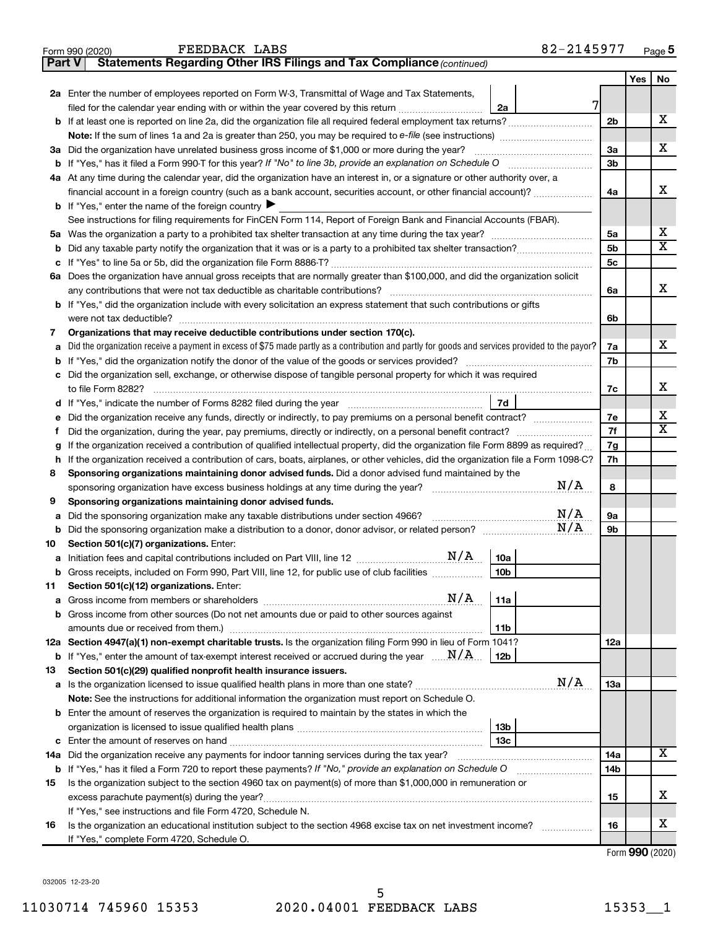| Part V | Statements Regarding Other IRS Filings and Tax Compliance (continued)                                                                                                                                                                    |                |     |    |  |  |  |
|--------|------------------------------------------------------------------------------------------------------------------------------------------------------------------------------------------------------------------------------------------|----------------|-----|----|--|--|--|
|        |                                                                                                                                                                                                                                          |                | Yes | No |  |  |  |
|        | 2a Enter the number of employees reported on Form W-3, Transmittal of Wage and Tax Statements,                                                                                                                                           |                |     |    |  |  |  |
|        | 7<br>filed for the calendar year ending with or within the year covered by this return <i>manumumumum</i><br>2a                                                                                                                          |                |     |    |  |  |  |
|        |                                                                                                                                                                                                                                          | 2 <sub>b</sub> |     | х  |  |  |  |
|        |                                                                                                                                                                                                                                          |                |     |    |  |  |  |
|        | 3a Did the organization have unrelated business gross income of \$1,000 or more during the year?                                                                                                                                         | За             |     | х  |  |  |  |
|        |                                                                                                                                                                                                                                          | 3b             |     |    |  |  |  |
|        | 4a At any time during the calendar year, did the organization have an interest in, or a signature or other authority over, a                                                                                                             |                |     |    |  |  |  |
|        | financial account in a foreign country (such as a bank account, securities account, or other financial account)?                                                                                                                         | 4a             |     | x  |  |  |  |
|        | <b>b</b> If "Yes," enter the name of the foreign country $\blacktriangleright$                                                                                                                                                           |                |     |    |  |  |  |
|        | See instructions for filing requirements for FinCEN Form 114, Report of Foreign Bank and Financial Accounts (FBAR).                                                                                                                      |                |     |    |  |  |  |
|        |                                                                                                                                                                                                                                          | 5a             |     | х  |  |  |  |
| b      |                                                                                                                                                                                                                                          | 5 <sub>b</sub> |     | х  |  |  |  |
| с      |                                                                                                                                                                                                                                          | 5 <sub>c</sub> |     |    |  |  |  |
|        | 6a Does the organization have annual gross receipts that are normally greater than \$100,000, and did the organization solicit                                                                                                           |                |     |    |  |  |  |
|        |                                                                                                                                                                                                                                          | 6a             |     | x  |  |  |  |
|        | <b>b</b> If "Yes," did the organization include with every solicitation an express statement that such contributions or gifts                                                                                                            |                |     |    |  |  |  |
|        |                                                                                                                                                                                                                                          | 6b             |     |    |  |  |  |
| 7      | Organizations that may receive deductible contributions under section 170(c).                                                                                                                                                            |                |     |    |  |  |  |
| а      | Did the organization receive a payment in excess of \$75 made partly as a contribution and partly for goods and services provided to the payor?                                                                                          | 7a             |     | x  |  |  |  |
| b      |                                                                                                                                                                                                                                          | 7b             |     |    |  |  |  |
|        | c Did the organization sell, exchange, or otherwise dispose of tangible personal property for which it was required                                                                                                                      |                |     |    |  |  |  |
|        |                                                                                                                                                                                                                                          | 7c             |     | x  |  |  |  |
|        | 7d                                                                                                                                                                                                                                       |                |     |    |  |  |  |
| е      | Did the organization receive any funds, directly or indirectly, to pay premiums on a personal benefit contract?                                                                                                                          | 7е             |     | х  |  |  |  |
| f.     | Did the organization, during the year, pay premiums, directly or indirectly, on a personal benefit contract?                                                                                                                             | 7f             |     | x  |  |  |  |
| g      | If the organization received a contribution of qualified intellectual property, did the organization file Form 8899 as required?                                                                                                         | 7g             |     |    |  |  |  |
| h      | If the organization received a contribution of cars, boats, airplanes, or other vehicles, did the organization file a Form 1098-C?                                                                                                       | 7h             |     |    |  |  |  |
| 8      | Sponsoring organizations maintaining donor advised funds. Did a donor advised fund maintained by the<br>N/A                                                                                                                              | 8              |     |    |  |  |  |
| 9      | sponsoring organization have excess business holdings at any time during the year? [111] sponsoring organization have excess business holdings at any time during the year?<br>Sponsoring organizations maintaining donor advised funds. |                |     |    |  |  |  |
| а      | N/A<br>Did the sponsoring organization make any taxable distributions under section 4966?                                                                                                                                                | 9а             |     |    |  |  |  |
| b      | N/A                                                                                                                                                                                                                                      | 9b             |     |    |  |  |  |
| 10     | Section 501(c)(7) organizations. Enter:                                                                                                                                                                                                  |                |     |    |  |  |  |
| а      | 10a                                                                                                                                                                                                                                      |                |     |    |  |  |  |
|        | 10 <sub>b</sub><br><b>b</b> Gross receipts, included on Form 990, Part VIII, line 12, for public use of club facilities <i>manument</i>                                                                                                  |                |     |    |  |  |  |
| 11     | Section 501(c)(12) organizations. Enter:                                                                                                                                                                                                 |                |     |    |  |  |  |
| а      | N/A<br>11a                                                                                                                                                                                                                               |                |     |    |  |  |  |
| b      | Gross income from other sources (Do not net amounts due or paid to other sources against                                                                                                                                                 |                |     |    |  |  |  |
|        | 11 <sub>b</sub>                                                                                                                                                                                                                          |                |     |    |  |  |  |
|        | 12a Section 4947(a)(1) non-exempt charitable trusts. Is the organization filing Form 990 in lieu of Form 1041?                                                                                                                           | 12a            |     |    |  |  |  |
| b      | If "Yes," enter the amount of tax-exempt interest received or accrued during the year $\ldots \ldots N/A$ .<br>12b                                                                                                                       |                |     |    |  |  |  |
| 13     | Section 501(c)(29) qualified nonprofit health insurance issuers.                                                                                                                                                                         |                |     |    |  |  |  |
|        | N/A                                                                                                                                                                                                                                      | 1За            |     |    |  |  |  |
|        | Note: See the instructions for additional information the organization must report on Schedule O.                                                                                                                                        |                |     |    |  |  |  |
|        | <b>b</b> Enter the amount of reserves the organization is required to maintain by the states in which the                                                                                                                                |                |     |    |  |  |  |
|        | 13 <sub>b</sub>                                                                                                                                                                                                                          |                |     |    |  |  |  |
| с      | 13 <sub>c</sub>                                                                                                                                                                                                                          |                |     | x  |  |  |  |
| 14a    | Did the organization receive any payments for indoor tanning services during the tax year?                                                                                                                                               |                |     |    |  |  |  |
| b      | If "Yes," has it filed a Form 720 to report these payments? If "No," provide an explanation on Schedule O                                                                                                                                | 14b            |     |    |  |  |  |
| 15     | Is the organization subject to the section 4960 tax on payment(s) of more than \$1,000,000 in remuneration or                                                                                                                            |                |     |    |  |  |  |
|        |                                                                                                                                                                                                                                          | 15             |     | x  |  |  |  |
|        | If "Yes," see instructions and file Form 4720, Schedule N.                                                                                                                                                                               |                |     |    |  |  |  |
| 16     | Is the organization an educational institution subject to the section 4968 excise tax on net investment income?                                                                                                                          | 16             |     | х  |  |  |  |
|        | If "Yes," complete Form 4720, Schedule O.                                                                                                                                                                                                |                |     |    |  |  |  |

Form 990 (2020) Page **5**

FEEDBACK LABS

Form (2020) **990**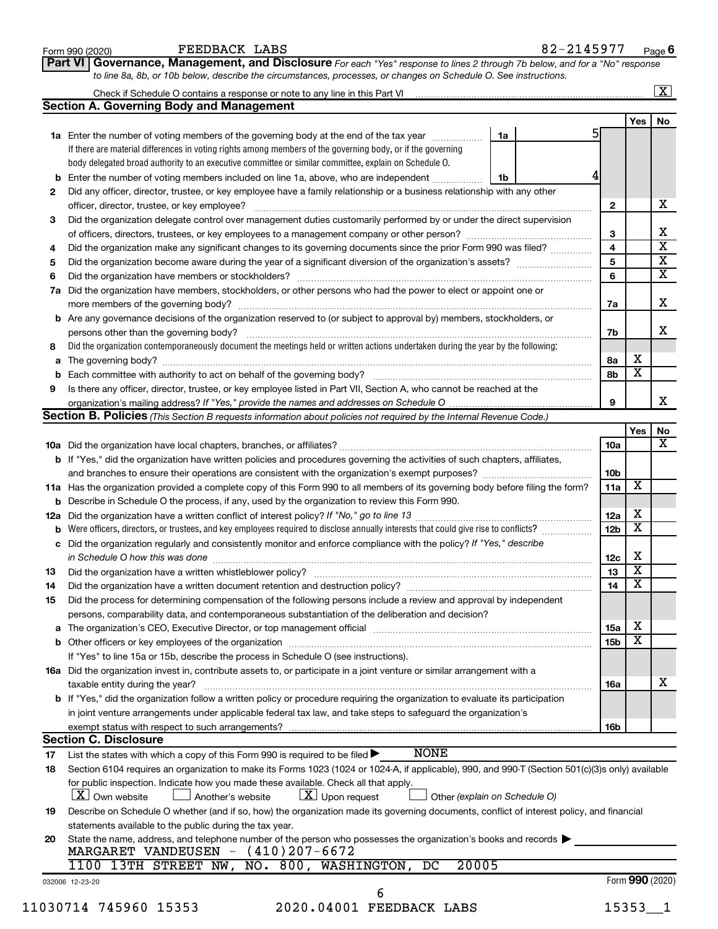|    | FEEDBACK LABS<br>Form 990 (2020)                                                                                                                                                                                                                                                                                                    |    | 82-2145977 |                 |                              | Page 6                  |
|----|-------------------------------------------------------------------------------------------------------------------------------------------------------------------------------------------------------------------------------------------------------------------------------------------------------------------------------------|----|------------|-----------------|------------------------------|-------------------------|
|    | Part VI Governance, Management, and Disclosure For each "Yes" response to lines 2 through 7b below, and for a "No" response                                                                                                                                                                                                         |    |            |                 |                              |                         |
|    | to line 8a, 8b, or 10b below, describe the circumstances, processes, or changes on Schedule O. See instructions.                                                                                                                                                                                                                    |    |            |                 |                              |                         |
|    |                                                                                                                                                                                                                                                                                                                                     |    |            |                 |                              | $\boxed{\textbf{X}}$    |
|    | <b>Section A. Governing Body and Management</b>                                                                                                                                                                                                                                                                                     |    |            |                 |                              |                         |
|    | 1a Enter the number of voting members of the governing body at the end of the tax year                                                                                                                                                                                                                                              | 1a |            | 5               | Yes                          | No                      |
|    | If there are material differences in voting rights among members of the governing body, or if the governing                                                                                                                                                                                                                         |    |            |                 |                              |                         |
|    | body delegated broad authority to an executive committee or similar committee, explain on Schedule O.                                                                                                                                                                                                                               |    |            |                 |                              |                         |
| b  | Enter the number of voting members included on line 1a, above, who are independent                                                                                                                                                                                                                                                  | 1b |            |                 |                              |                         |
| 2  | Did any officer, director, trustee, or key employee have a family relationship or a business relationship with any other                                                                                                                                                                                                            |    |            |                 |                              |                         |
|    | officer, director, trustee, or key employee?                                                                                                                                                                                                                                                                                        |    |            | 2               |                              | х                       |
| 3  | Did the organization delegate control over management duties customarily performed by or under the direct supervision                                                                                                                                                                                                               |    |            |                 |                              |                         |
|    |                                                                                                                                                                                                                                                                                                                                     |    |            | 3               |                              | х                       |
| 4  | Did the organization make any significant changes to its governing documents since the prior Form 990 was filed?                                                                                                                                                                                                                    |    |            | 4               |                              | $\overline{\textbf{x}}$ |
| 5  |                                                                                                                                                                                                                                                                                                                                     |    |            | 5               |                              | $\overline{\mathbf{X}}$ |
| 6  |                                                                                                                                                                                                                                                                                                                                     |    |            | 6               |                              | $\overline{\mathbf{X}}$ |
| 7a | Did the organization have members, stockholders, or other persons who had the power to elect or appoint one or                                                                                                                                                                                                                      |    |            |                 |                              |                         |
|    |                                                                                                                                                                                                                                                                                                                                     |    |            | 7а              |                              | X                       |
|    | <b>b</b> Are any governance decisions of the organization reserved to (or subject to approval by) members, stockholders, or                                                                                                                                                                                                         |    |            |                 |                              |                         |
|    |                                                                                                                                                                                                                                                                                                                                     |    |            | 7b              |                              | x                       |
| 8  | Did the organization contemporaneously document the meetings held or written actions undertaken during the year by the following:                                                                                                                                                                                                   |    |            |                 |                              |                         |
|    |                                                                                                                                                                                                                                                                                                                                     |    |            | 8а              | х<br>$\overline{\mathbf{x}}$ |                         |
| b  | Is there any officer, director, trustee, or key employee listed in Part VII, Section A, who cannot be reached at the                                                                                                                                                                                                                |    |            | 8b              |                              |                         |
| 9  |                                                                                                                                                                                                                                                                                                                                     |    |            | 9               |                              | x                       |
|    | <b>Section B. Policies</b> (This Section B requests information about policies not required by the Internal Revenue Code.)                                                                                                                                                                                                          |    |            |                 |                              |                         |
|    |                                                                                                                                                                                                                                                                                                                                     |    |            |                 | Yes                          | No                      |
|    |                                                                                                                                                                                                                                                                                                                                     |    |            | 10a             |                              | х                       |
|    | b If "Yes," did the organization have written policies and procedures governing the activities of such chapters, affiliates,                                                                                                                                                                                                        |    |            |                 |                              |                         |
|    |                                                                                                                                                                                                                                                                                                                                     |    |            | 10 <sub>b</sub> |                              |                         |
|    | 11a Has the organization provided a complete copy of this Form 990 to all members of its governing body before filing the form?                                                                                                                                                                                                     |    |            | 11a             | X                            |                         |
|    | <b>b</b> Describe in Schedule O the process, if any, used by the organization to review this Form 990.                                                                                                                                                                                                                              |    |            |                 |                              |                         |
|    |                                                                                                                                                                                                                                                                                                                                     |    |            | 12a             | х                            |                         |
| b  | Were officers, directors, or trustees, and key employees required to disclose annually interests that could give rise to conflicts?                                                                                                                                                                                                 |    |            | 12 <sub>b</sub> | X                            |                         |
|    | c Did the organization regularly and consistently monitor and enforce compliance with the policy? If "Yes," describe                                                                                                                                                                                                                |    |            |                 |                              |                         |
|    | in Schedule O how this was done manufactured and contact the state of the state of the state of the state of t                                                                                                                                                                                                                      |    |            | 12c             | х<br>$\overline{\texttt{x}}$ |                         |
| 13 |                                                                                                                                                                                                                                                                                                                                     |    |            | 13              | $\overline{\textbf{x}}$      |                         |
| 14 | Did the organization have a written document retention and destruction policy? [11] manuscription manuscription manuscription of the organization have a written document retention and destruction policy?                                                                                                                         |    |            | 14              |                              |                         |
| 15 | Did the process for determining compensation of the following persons include a review and approval by independent                                                                                                                                                                                                                  |    |            |                 |                              |                         |
|    | persons, comparability data, and contemporaneous substantiation of the deliberation and decision?<br>a The organization's CEO, Executive Director, or top management official manufactured content content of the organization's CEO, Executive Director, or top management official manufactured content of the state of the state |    |            | 15a             | х                            |                         |
|    |                                                                                                                                                                                                                                                                                                                                     |    |            | 15 <sub>b</sub> | X                            |                         |
|    | If "Yes" to line 15a or 15b, describe the process in Schedule O (see instructions).                                                                                                                                                                                                                                                 |    |            |                 |                              |                         |
|    | 16a Did the organization invest in, contribute assets to, or participate in a joint venture or similar arrangement with a                                                                                                                                                                                                           |    |            |                 |                              |                         |
|    | taxable entity during the year?                                                                                                                                                                                                                                                                                                     |    |            | 16a             |                              | x                       |
|    | <b>b</b> If "Yes," did the organization follow a written policy or procedure requiring the organization to evaluate its participation                                                                                                                                                                                               |    |            |                 |                              |                         |
|    | in joint venture arrangements under applicable federal tax law, and take steps to safeguard the organization's                                                                                                                                                                                                                      |    |            |                 |                              |                         |
|    | exempt status with respect to such arrangements?                                                                                                                                                                                                                                                                                    |    |            | 16b             |                              |                         |
|    | <b>Section C. Disclosure</b>                                                                                                                                                                                                                                                                                                        |    |            |                 |                              |                         |
| 17 | <b>NONE</b><br>List the states with which a copy of this Form 990 is required to be filed $\blacktriangleright$                                                                                                                                                                                                                     |    |            |                 |                              |                         |
| 18 | Section 6104 requires an organization to make its Forms 1023 (1024 or 1024-A, if applicable), 990, and 990-T (Section 501(c)(3)s only) available                                                                                                                                                                                    |    |            |                 |                              |                         |
|    | for public inspection. Indicate how you made these available. Check all that apply.                                                                                                                                                                                                                                                 |    |            |                 |                              |                         |
|    | X Own website<br>$\lfloor x \rfloor$ Upon request<br>Another's website<br>Other (explain on Schedule O)                                                                                                                                                                                                                             |    |            |                 |                              |                         |
| 19 | Describe on Schedule O whether (and if so, how) the organization made its governing documents, conflict of interest policy, and financial                                                                                                                                                                                           |    |            |                 |                              |                         |
|    | statements available to the public during the tax year.                                                                                                                                                                                                                                                                             |    |            |                 |                              |                         |
| 20 | State the name, address, and telephone number of the person who possesses the organization's books and records<br>MARGARET VANDEUSEN $-$ (410)207-6672                                                                                                                                                                              |    |            |                 |                              |                         |
|    | 20005<br>1100 13TH STREET NW, NO. 800, WASHINGTON, DC                                                                                                                                                                                                                                                                               |    |            |                 |                              |                         |
|    | 032006 12-23-20                                                                                                                                                                                                                                                                                                                     |    |            |                 | Form 990 (2020)              |                         |
|    | 6                                                                                                                                                                                                                                                                                                                                   |    |            |                 |                              |                         |
|    | 11030714 745960 15353<br>2020.04001 FEEDBACK LABS                                                                                                                                                                                                                                                                                   |    |            |                 | $15353 - 1$                  |                         |
|    |                                                                                                                                                                                                                                                                                                                                     |    |            |                 |                              |                         |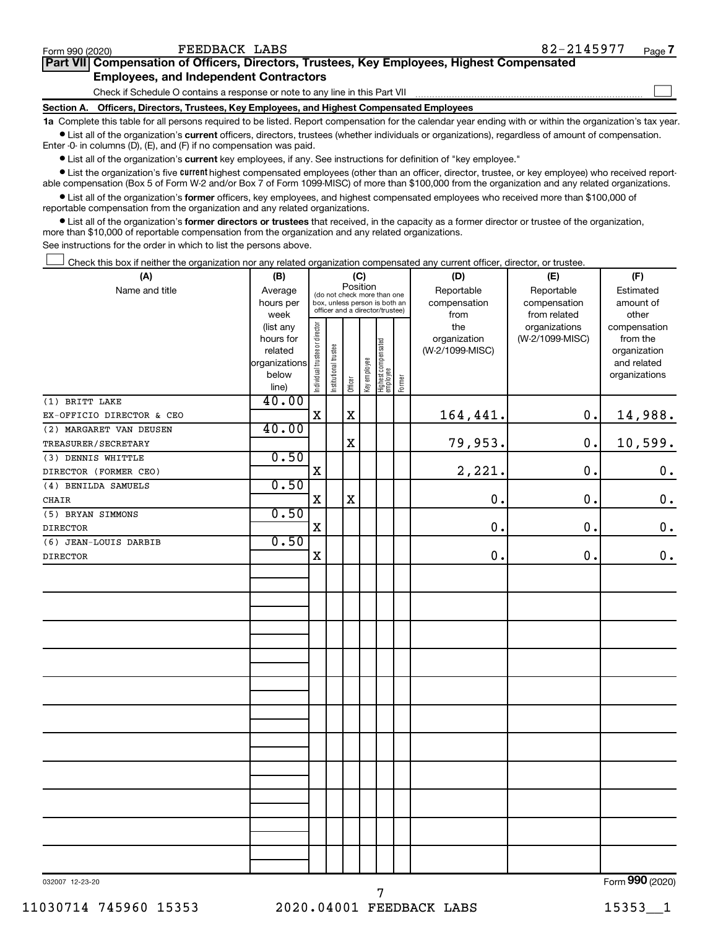| Form 990 (2020)   | FEEDBACK LABS                                                                                                                                                   | 82-2145977 | Page 7 |
|-------------------|-----------------------------------------------------------------------------------------------------------------------------------------------------------------|------------|--------|
|                   | <b>Part VIII Compensation of Officers, Directors, Trustees, Key Employees, Highest Compensated</b>                                                              |            |        |
|                   | <b>Employees, and Independent Contractors</b>                                                                                                                   |            |        |
| <b>Section A.</b> | Check if Schedule O contains a response or note to any line in this Part VII<br>Officers, Directors, Trustees, Key Employees, and Highest Compensated Employees |            |        |

**1a**  Complete this table for all persons required to be listed. Report compensation for the calendar year ending with or within the organization's tax year.

 $\bullet$  List all of the organization's current officers, directors, trustees (whether individuals or organizations), regardless of amount of compensation. Enter -0- in columns (D), (E), and (F) if no compensation was paid.

**•** List all of the organization's current key employees, if any. See instructions for definition of "key employee."

• List the organization's five *current* highest compensated employees (other than an officer, director, trustee, or key employee) who received reportable compensation (Box 5 of Form W-2 and/or Box 7 of Form 1099-MISC) of more than \$100,000 from the organization and any related organizations.

 $\bullet$  List all of the organization's former officers, key employees, and highest compensated employees who received more than \$100,000 of reportable compensation from the organization and any related organizations.

**•** List all of the organization's former directors or trustees that received, in the capacity as a former director or trustee of the organization, more than \$10,000 of reportable compensation from the organization and any related organizations.

See instructions for the order in which to list the persons above.

Check this box if neither the organization nor any related organization compensated any current officer, director, or trustee.  $\Box$ 

| (A)                       |                                                    | (C)<br>(B)                     |                                                                  |             |              |                                 |        | (D)                 | (E)                              | (F)                      |
|---------------------------|----------------------------------------------------|--------------------------------|------------------------------------------------------------------|-------------|--------------|---------------------------------|--------|---------------------|----------------------------------|--------------------------|
| Name and title            | Position<br>Average<br>(do not check more than one |                                |                                                                  |             |              |                                 |        | Reportable          | Reportable                       | Estimated                |
|                           | hours per                                          |                                | box, unless person is both an<br>officer and a director/trustee) |             |              |                                 |        | compensation        | compensation                     | amount of                |
|                           | week                                               |                                |                                                                  |             |              |                                 |        | from                | from related                     | other                    |
|                           | (list any<br>hours for                             | Individual trustee or director |                                                                  |             |              |                                 |        | the<br>organization | organizations<br>(W-2/1099-MISC) | compensation<br>from the |
|                           | related                                            |                                |                                                                  |             |              |                                 |        | (W-2/1099-MISC)     |                                  | organization             |
|                           | organizations                                      |                                |                                                                  |             |              |                                 |        |                     |                                  | and related              |
|                           | below                                              |                                | Institutional trustee                                            |             | Key employee |                                 |        |                     |                                  | organizations            |
|                           | line)                                              |                                |                                                                  | Officer     |              | Highest compensated<br>employee | Former |                     |                                  |                          |
| (1) BRITT LAKE            | 40.00                                              |                                |                                                                  |             |              |                                 |        |                     |                                  |                          |
| EX-OFFICIO DIRECTOR & CEO |                                                    | $\mathbf X$                    |                                                                  | $\mathbf X$ |              |                                 |        | 164,441.            | 0.                               | 14,988.                  |
| (2) MARGARET VAN DEUSEN   | 40.00                                              |                                |                                                                  |             |              |                                 |        |                     |                                  |                          |
| TREASURER/SECRETARY       |                                                    |                                |                                                                  | $\mathbf X$ |              |                                 |        | 79,953.             | 0.                               | 10,599.                  |
| (3) DENNIS WHITTLE        | 0.50                                               |                                |                                                                  |             |              |                                 |        |                     |                                  |                          |
| DIRECTOR (FORMER CEO)     |                                                    | $\mathbf X$                    |                                                                  |             |              |                                 |        | 2,221.              | 0.                               | 0.                       |
| (4) BENILDA SAMUELS       | 0.50                                               |                                |                                                                  |             |              |                                 |        |                     |                                  |                          |
| CHAIR                     |                                                    | $\mathbf X$                    |                                                                  | $\mathbf X$ |              |                                 |        | $\mathbf 0$         | 0.                               | $\mathbf 0$ .            |
| (5) BRYAN SIMMONS         | 0.50                                               |                                |                                                                  |             |              |                                 |        |                     |                                  |                          |
| <b>DIRECTOR</b>           |                                                    | X                              |                                                                  |             |              |                                 |        | $\mathbf 0$         | 0.                               | $\mathbf 0$ .            |
| (6) JEAN-LOUIS DARBIB     | 0.50                                               |                                |                                                                  |             |              |                                 |        |                     |                                  |                          |
| <b>DIRECTOR</b>           |                                                    | $\mathbf X$                    |                                                                  |             |              |                                 |        | $\mathbf 0$ .       | 0.                               | $0$ .                    |
|                           |                                                    |                                |                                                                  |             |              |                                 |        |                     |                                  |                          |
|                           |                                                    |                                |                                                                  |             |              |                                 |        |                     |                                  |                          |
|                           |                                                    |                                |                                                                  |             |              |                                 |        |                     |                                  |                          |
|                           |                                                    |                                |                                                                  |             |              |                                 |        |                     |                                  |                          |
|                           |                                                    |                                |                                                                  |             |              |                                 |        |                     |                                  |                          |
|                           |                                                    |                                |                                                                  |             |              |                                 |        |                     |                                  |                          |
|                           |                                                    |                                |                                                                  |             |              |                                 |        |                     |                                  |                          |
|                           |                                                    |                                |                                                                  |             |              |                                 |        |                     |                                  |                          |
|                           |                                                    |                                |                                                                  |             |              |                                 |        |                     |                                  |                          |
|                           |                                                    |                                |                                                                  |             |              |                                 |        |                     |                                  |                          |
|                           |                                                    |                                |                                                                  |             |              |                                 |        |                     |                                  |                          |
|                           |                                                    |                                |                                                                  |             |              |                                 |        |                     |                                  |                          |
|                           |                                                    |                                |                                                                  |             |              |                                 |        |                     |                                  |                          |
|                           |                                                    |                                |                                                                  |             |              |                                 |        |                     |                                  |                          |
|                           |                                                    |                                |                                                                  |             |              |                                 |        |                     |                                  |                          |
|                           |                                                    |                                |                                                                  |             |              |                                 |        |                     |                                  |                          |
|                           |                                                    |                                |                                                                  |             |              |                                 |        |                     |                                  |                          |
|                           |                                                    |                                |                                                                  |             |              |                                 |        |                     |                                  |                          |
|                           |                                                    |                                |                                                                  |             |              |                                 |        |                     |                                  |                          |
|                           |                                                    |                                |                                                                  |             |              |                                 |        |                     |                                  |                          |
|                           |                                                    |                                |                                                                  |             |              |                                 |        |                     |                                  |                          |
|                           |                                                    |                                |                                                                  |             |              |                                 |        |                     |                                  |                          |
|                           |                                                    |                                |                                                                  |             |              |                                 |        |                     |                                  | $000 - 1$                |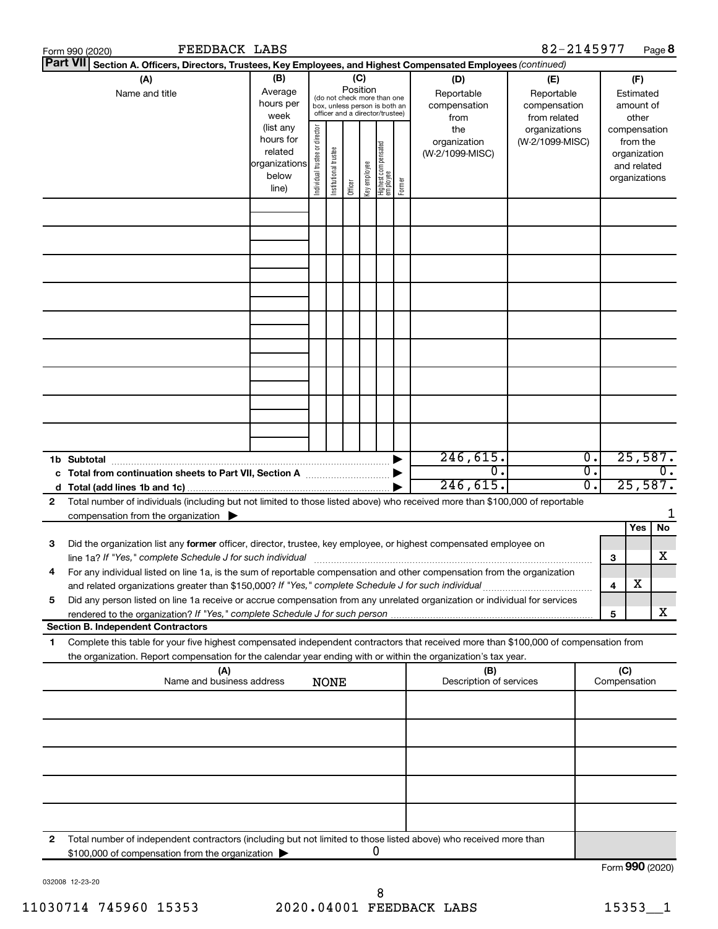|    | FEEDBACK LABS<br>Form 990 (2020)                                                                                                                                                                                                    |                                                                      |                                |                       |                 |              |                                                                                                 |        |                                                                                                | 82-2145977                       |                  |                     | Page 8                                                                   |
|----|-------------------------------------------------------------------------------------------------------------------------------------------------------------------------------------------------------------------------------------|----------------------------------------------------------------------|--------------------------------|-----------------------|-----------------|--------------|-------------------------------------------------------------------------------------------------|--------|------------------------------------------------------------------------------------------------|----------------------------------|------------------|---------------------|--------------------------------------------------------------------------|
|    | <b>Part VII</b><br>Section A. Officers, Directors, Trustees, Key Employees, and Highest Compensated Employees (continued)                                                                                                           |                                                                      |                                |                       |                 |              |                                                                                                 |        |                                                                                                |                                  |                  |                     |                                                                          |
|    | (A)<br>Name and title                                                                                                                                                                                                               | (B)<br>Average<br>hours per<br>week                                  |                                |                       | (C)<br>Position |              | (do not check more than one<br>box, unless person is both an<br>officer and a director/trustee) |        | (D)<br>(E)<br>Reportable<br>Reportable<br>compensation<br>compensation<br>from related<br>from |                                  |                  |                     | (F)<br>Estimated<br>amount of<br>other                                   |
|    |                                                                                                                                                                                                                                     | (list any<br>hours for<br>related<br>organizations<br>below<br>line) | Individual trustee or director | Institutional trustee | Officer         | Key employee | Highest compensated<br>  employee                                                               | Former | the<br>organization<br>(W-2/1099-MISC)                                                         | organizations<br>(W-2/1099-MISC) |                  |                     | compensation<br>from the<br>organization<br>and related<br>organizations |
|    |                                                                                                                                                                                                                                     |                                                                      |                                |                       |                 |              |                                                                                                 |        |                                                                                                |                                  |                  |                     |                                                                          |
|    |                                                                                                                                                                                                                                     |                                                                      |                                |                       |                 |              |                                                                                                 |        |                                                                                                |                                  |                  |                     |                                                                          |
|    |                                                                                                                                                                                                                                     |                                                                      |                                |                       |                 |              |                                                                                                 |        |                                                                                                |                                  |                  |                     |                                                                          |
|    |                                                                                                                                                                                                                                     |                                                                      |                                |                       |                 |              |                                                                                                 |        |                                                                                                |                                  |                  |                     |                                                                          |
|    | 1b Subtotal                                                                                                                                                                                                                         |                                                                      |                                |                       |                 |              |                                                                                                 |        | 246,615.                                                                                       |                                  | $\overline{0}$ . |                     | 25,587.                                                                  |
| 2  | c Total from continuation sheets to Part VII, Section A manufactured by<br>Total number of individuals (including but not limited to those listed above) who received more than \$100,000 of reportable                             |                                                                      |                                |                       |                 |              |                                                                                                 |        | $\overline{0}$ .<br>246,615.                                                                   |                                  | σ.<br>0.         |                     | $\overline{0}$ .<br>25,587.                                              |
|    | compensation from the organization $\blacktriangleright$                                                                                                                                                                            |                                                                      |                                |                       |                 |              |                                                                                                 |        |                                                                                                |                                  |                  |                     | 1<br>Yes<br>No                                                           |
| 3  | Did the organization list any former officer, director, trustee, key employee, or highest compensated employee on<br>line 1a? If "Yes," complete Schedule J for such individual manufactured content to the set of the set of the s |                                                                      |                                |                       |                 |              |                                                                                                 |        |                                                                                                |                                  |                  | 3                   | х                                                                        |
|    | For any individual listed on line 1a, is the sum of reportable compensation and other compensation from the organization<br>and related organizations greater than \$150,000? If "Yes," complete Schedule J for such individual     |                                                                      |                                |                       |                 |              |                                                                                                 |        |                                                                                                |                                  |                  | 4                   | х                                                                        |
| 5  | Did any person listed on line 1a receive or accrue compensation from any unrelated organization or individual for services<br><b>Section B. Independent Contractors</b>                                                             |                                                                      |                                |                       |                 |              |                                                                                                 |        |                                                                                                |                                  |                  | 5                   | x                                                                        |
| 1. | Complete this table for your five highest compensated independent contractors that received more than \$100,000 of compensation from                                                                                                |                                                                      |                                |                       |                 |              |                                                                                                 |        |                                                                                                |                                  |                  |                     |                                                                          |
|    | the organization. Report compensation for the calendar year ending with or within the organization's tax year.<br>(A)<br>Name and business address                                                                                  |                                                                      |                                |                       |                 |              |                                                                                                 |        | (B)<br>Description of services                                                                 |                                  |                  | (C)<br>Compensation |                                                                          |
|    |                                                                                                                                                                                                                                     |                                                                      |                                | <b>NONE</b>           |                 |              |                                                                                                 |        |                                                                                                |                                  |                  |                     |                                                                          |
|    |                                                                                                                                                                                                                                     |                                                                      |                                |                       |                 |              |                                                                                                 |        |                                                                                                |                                  |                  |                     |                                                                          |
|    |                                                                                                                                                                                                                                     |                                                                      |                                |                       |                 |              |                                                                                                 |        |                                                                                                |                                  |                  |                     |                                                                          |
|    |                                                                                                                                                                                                                                     |                                                                      |                                |                       |                 |              |                                                                                                 |        |                                                                                                |                                  |                  |                     |                                                                          |
| 2  | Total number of independent contractors (including but not limited to those listed above) who received more than<br>\$100,000 of compensation from the organization                                                                 |                                                                      |                                |                       |                 |              | 0                                                                                               |        |                                                                                                |                                  |                  |                     |                                                                          |
|    |                                                                                                                                                                                                                                     |                                                                      |                                |                       |                 |              |                                                                                                 |        |                                                                                                |                                  |                  |                     | Form 990 (2020)                                                          |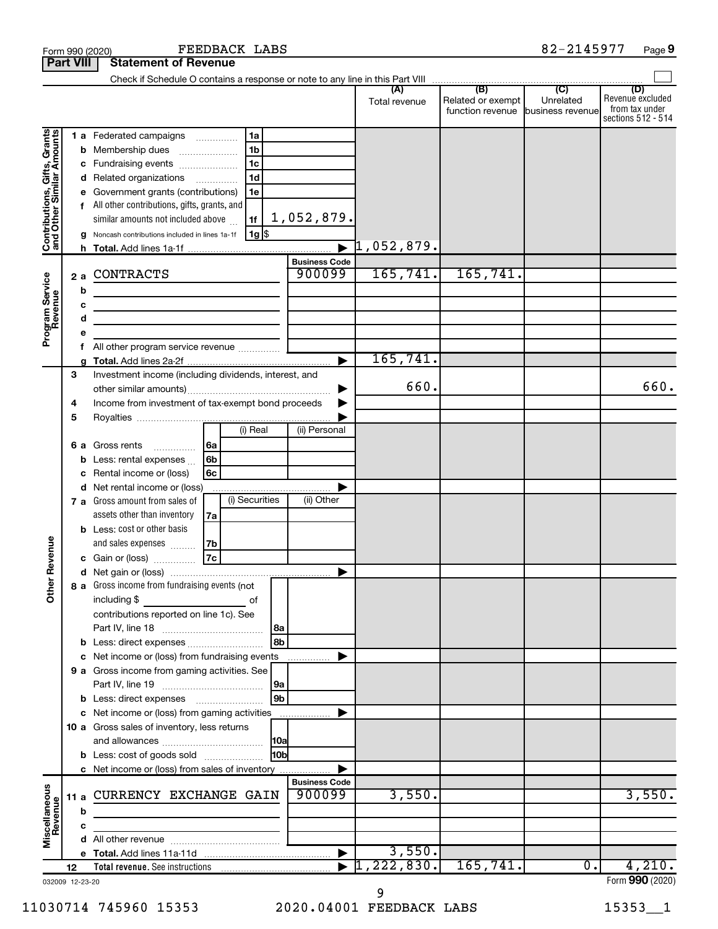|                                                           |    |        | Form 990 (2020)                                                                                                        |     | FEEDBACK LABS  |                 |                      |                     |                                                            | 82-2145977       | Page 9                                                          |
|-----------------------------------------------------------|----|--------|------------------------------------------------------------------------------------------------------------------------|-----|----------------|-----------------|----------------------|---------------------|------------------------------------------------------------|------------------|-----------------------------------------------------------------|
| <b>Part VIII</b>                                          |    |        | <b>Statement of Revenue</b>                                                                                            |     |                |                 |                      |                     |                                                            |                  |                                                                 |
|                                                           |    |        |                                                                                                                        |     |                |                 |                      |                     |                                                            |                  |                                                                 |
|                                                           |    |        |                                                                                                                        |     |                |                 |                      | Total revenue       | Related or exempt  <br>function revenue   business revenue | Unrelated        | (D)<br>Revenue excluded<br>from tax under<br>sections 512 - 514 |
|                                                           |    |        | 1 a Federated campaigns                                                                                                |     | 1a             |                 |                      |                     |                                                            |                  |                                                                 |
| Contributions, Gifts, Grants<br>and Other Similar Amounts |    |        | <b>b</b> Membership dues                                                                                               |     | 1 <sub>b</sub> |                 |                      |                     |                                                            |                  |                                                                 |
|                                                           |    |        | c Fundraising events                                                                                                   |     | 1 <sub>c</sub> |                 |                      |                     |                                                            |                  |                                                                 |
|                                                           |    |        | d Related organizations                                                                                                |     | 1 <sub>d</sub> |                 |                      |                     |                                                            |                  |                                                                 |
|                                                           |    |        | e Government grants (contributions)                                                                                    |     | 1e             |                 |                      |                     |                                                            |                  |                                                                 |
|                                                           |    |        | All other contributions, gifts, grants, and                                                                            |     |                |                 |                      |                     |                                                            |                  |                                                                 |
|                                                           |    |        | similar amounts not included above                                                                                     |     | 1f             |                 | 1,052,879.           |                     |                                                            |                  |                                                                 |
|                                                           |    |        | g Noncash contributions included in lines 1a-1f                                                                        |     | 1g \$          |                 |                      |                     |                                                            |                  |                                                                 |
|                                                           |    |        |                                                                                                                        |     |                |                 |                      | $\vert 1,052,879$ . |                                                            |                  |                                                                 |
|                                                           |    |        |                                                                                                                        |     |                |                 | <b>Business Code</b> |                     |                                                            |                  |                                                                 |
| Program Service<br>Revenue                                |    | 2 a    | <b>CONTRACTS</b>                                                                                                       |     |                |                 | 900099               | 165, 741.           | 165, 741.                                                  |                  |                                                                 |
|                                                           |    | b      | <u> 1989 - Johann Stoff, deutscher Stoffen und der Stoffen und der Stoffen und der Stoffen und der Stoffen und der</u> |     |                |                 |                      |                     |                                                            |                  |                                                                 |
|                                                           |    | c<br>d | <u> 1980 - John Stein, mars and de Brandenburg and de Brandenburg and de Brandenburg and de Brandenburg and de Br</u>  |     |                |                 |                      |                     |                                                            |                  |                                                                 |
|                                                           |    |        | the control of the control of the control of the control of the control of                                             |     |                |                 |                      |                     |                                                            |                  |                                                                 |
|                                                           |    |        | All other program service revenue                                                                                      |     |                |                 |                      |                     |                                                            |                  |                                                                 |
|                                                           |    |        |                                                                                                                        |     |                |                 |                      | 165, 741.           |                                                            |                  |                                                                 |
|                                                           | 3  |        | Investment income (including dividends, interest, and                                                                  |     |                |                 |                      |                     |                                                            |                  |                                                                 |
|                                                           |    |        |                                                                                                                        |     |                |                 |                      | 660.                |                                                            |                  | 660.                                                            |
|                                                           | 4  |        | Income from investment of tax-exempt bond proceeds                                                                     |     |                |                 |                      |                     |                                                            |                  |                                                                 |
|                                                           | 5  |        |                                                                                                                        |     |                |                 |                      |                     |                                                            |                  |                                                                 |
|                                                           |    |        |                                                                                                                        |     | (i) Real       |                 | (ii) Personal        |                     |                                                            |                  |                                                                 |
|                                                           |    | 6а     | Gross rents                                                                                                            | l6a |                |                 |                      |                     |                                                            |                  |                                                                 |
|                                                           |    |        | Less: rental expenses                                                                                                  | 6b  |                |                 |                      |                     |                                                            |                  |                                                                 |
|                                                           |    |        | Rental income or (loss)                                                                                                | 6с  |                |                 |                      |                     |                                                            |                  |                                                                 |
|                                                           |    |        | d Net rental income or (loss)                                                                                          |     | (i) Securities |                 | (ii) Other           |                     |                                                            |                  |                                                                 |
|                                                           |    |        | <b>7 a</b> Gross amount from sales of<br>assets other than inventory                                                   |     |                |                 |                      |                     |                                                            |                  |                                                                 |
|                                                           |    |        | <b>b</b> Less: cost or other basis                                                                                     | 7a  |                |                 |                      |                     |                                                            |                  |                                                                 |
|                                                           |    |        | and sales expenses                                                                                                     | 7b  |                |                 |                      |                     |                                                            |                  |                                                                 |
| venue                                                     |    |        | c Gain or (loss)                                                                                                       | 7c  |                |                 |                      |                     |                                                            |                  |                                                                 |
| ۵                                                         |    |        |                                                                                                                        |     |                |                 |                      |                     |                                                            |                  |                                                                 |
| Other <sub>R</sub>                                        |    |        | 8 a Gross income from fundraising events (not                                                                          |     |                |                 |                      |                     |                                                            |                  |                                                                 |
|                                                           |    |        | including \$                                                                                                           |     | of             |                 |                      |                     |                                                            |                  |                                                                 |
|                                                           |    |        | contributions reported on line 1c). See                                                                                |     |                |                 |                      |                     |                                                            |                  |                                                                 |
|                                                           |    |        |                                                                                                                        |     |                | 8a              |                      |                     |                                                            |                  |                                                                 |
|                                                           |    |        | b Less: direct expenses                                                                                                |     |                | 8b              |                      |                     |                                                            |                  |                                                                 |
|                                                           |    |        | c Net income or (loss) from fundraising events                                                                         |     |                |                 |                      |                     |                                                            |                  |                                                                 |
|                                                           |    |        | 9 a Gross income from gaming activities. See                                                                           |     |                |                 |                      |                     |                                                            |                  |                                                                 |
|                                                           |    |        |                                                                                                                        |     |                | 9a              |                      |                     |                                                            |                  |                                                                 |
|                                                           |    |        |                                                                                                                        |     |                | 9b              |                      |                     |                                                            |                  |                                                                 |
|                                                           |    |        | c Net income or (loss) from gaming activities<br>10 a Gross sales of inventory, less returns                           |     |                |                 |                      |                     |                                                            |                  |                                                                 |
|                                                           |    |        |                                                                                                                        |     |                |                 |                      |                     |                                                            |                  |                                                                 |
|                                                           |    |        | <b>b</b> Less: cost of goods sold                                                                                      |     |                | 10 <sub>b</sub> |                      |                     |                                                            |                  |                                                                 |
|                                                           |    |        | c Net income or (loss) from sales of inventory                                                                         |     |                |                 |                      |                     |                                                            |                  |                                                                 |
|                                                           |    |        |                                                                                                                        |     |                |                 | <b>Business Code</b> |                     |                                                            |                  |                                                                 |
| Miscellaneous<br>Revenue                                  |    |        | 11 a CURRENCY EXCHANGE GAIN                                                                                            |     |                |                 | 900099               | 3,550.              |                                                            |                  | 3,550.                                                          |
|                                                           |    | b      |                                                                                                                        |     |                |                 |                      |                     |                                                            |                  |                                                                 |
|                                                           |    | с      |                                                                                                                        |     |                |                 |                      |                     |                                                            |                  |                                                                 |
|                                                           |    |        |                                                                                                                        |     |                |                 |                      |                     |                                                            |                  |                                                                 |
|                                                           |    |        |                                                                                                                        |     |                |                 |                      | 3,550.              |                                                            |                  |                                                                 |
|                                                           | 12 |        |                                                                                                                        |     |                |                 |                      | , 222, 830.         | 165, 741.                                                  | $\overline{0}$ . | 4,210.                                                          |
| 032009 12-23-20                                           |    |        |                                                                                                                        |     |                |                 |                      |                     |                                                            |                  | Form 990 (2020)                                                 |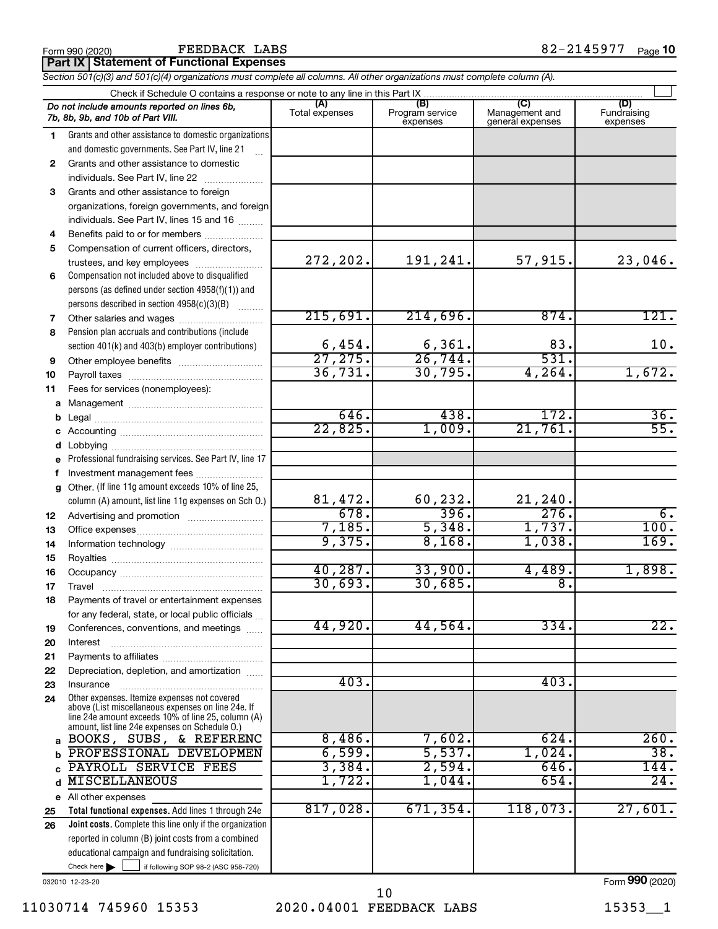#### FEEDBACK LABS

**Part IX Statement of Functional Expenses**

*Section 501(c)(3) and 501(c)(4) organizations must complete all columns. All other organizations must complete column (A).*

|              | Check if Schedule O contains a response or note to any line in this Part IX                                                                                                                                |                        |                                    |                                           |                                |  |  |  |  |  |  |  |
|--------------|------------------------------------------------------------------------------------------------------------------------------------------------------------------------------------------------------------|------------------------|------------------------------------|-------------------------------------------|--------------------------------|--|--|--|--|--|--|--|
|              | Do not include amounts reported on lines 6b,<br>7b, 8b, 9b, and 10b of Part VIII.                                                                                                                          | (A)<br>Total expenses  | (B)<br>Program service<br>expenses | (C)<br>Management and<br>general expenses | (D)<br>Fundraising<br>expenses |  |  |  |  |  |  |  |
| 1.           | Grants and other assistance to domestic organizations                                                                                                                                                      |                        |                                    |                                           |                                |  |  |  |  |  |  |  |
|              | and domestic governments. See Part IV, line 21                                                                                                                                                             |                        |                                    |                                           |                                |  |  |  |  |  |  |  |
| $\mathbf{2}$ | Grants and other assistance to domestic                                                                                                                                                                    |                        |                                    |                                           |                                |  |  |  |  |  |  |  |
|              | individuals. See Part IV, line 22                                                                                                                                                                          |                        |                                    |                                           |                                |  |  |  |  |  |  |  |
| 3            | Grants and other assistance to foreign                                                                                                                                                                     |                        |                                    |                                           |                                |  |  |  |  |  |  |  |
|              | organizations, foreign governments, and foreign                                                                                                                                                            |                        |                                    |                                           |                                |  |  |  |  |  |  |  |
|              | individuals. See Part IV, lines 15 and 16                                                                                                                                                                  |                        |                                    |                                           |                                |  |  |  |  |  |  |  |
| 4            | Benefits paid to or for members                                                                                                                                                                            |                        |                                    |                                           |                                |  |  |  |  |  |  |  |
| 5            | Compensation of current officers, directors,                                                                                                                                                               |                        |                                    |                                           |                                |  |  |  |  |  |  |  |
|              | trustees, and key employees                                                                                                                                                                                | 272, 202.              | 191,241.                           | 57,915.                                   | 23,046.                        |  |  |  |  |  |  |  |
| 6            | Compensation not included above to disqualified                                                                                                                                                            |                        |                                    |                                           |                                |  |  |  |  |  |  |  |
|              | persons (as defined under section 4958(f)(1)) and                                                                                                                                                          |                        |                                    |                                           |                                |  |  |  |  |  |  |  |
|              | persons described in section 4958(c)(3)(B)                                                                                                                                                                 |                        |                                    |                                           |                                |  |  |  |  |  |  |  |
| 7            | Other salaries and wages                                                                                                                                                                                   | 215,691.               | 214,696.                           | 874.                                      | 121.                           |  |  |  |  |  |  |  |
| 8            | Pension plan accruals and contributions (include                                                                                                                                                           |                        |                                    |                                           |                                |  |  |  |  |  |  |  |
|              | section 401(k) and 403(b) employer contributions)                                                                                                                                                          | $\frac{6,454}{27,275}$ | $\frac{6,361}{26,744}$             | 83.<br>531.                               | 10.                            |  |  |  |  |  |  |  |
| 9            |                                                                                                                                                                                                            | 36,731.                | 30,795.                            | 4,264.                                    |                                |  |  |  |  |  |  |  |
| 10           |                                                                                                                                                                                                            |                        |                                    |                                           | 1,672.                         |  |  |  |  |  |  |  |
| 11           | Fees for services (nonemployees):                                                                                                                                                                          |                        |                                    |                                           |                                |  |  |  |  |  |  |  |
| a            |                                                                                                                                                                                                            | 646.                   | 438.                               | 172.                                      | 36.                            |  |  |  |  |  |  |  |
| b            |                                                                                                                                                                                                            | 22,825.                | 1,009.                             | 21,761.                                   | $\overline{55}$ .              |  |  |  |  |  |  |  |
| c            |                                                                                                                                                                                                            |                        |                                    |                                           |                                |  |  |  |  |  |  |  |
|              | Lobbying<br>Professional fundraising services. See Part IV, line 17                                                                                                                                        |                        |                                    |                                           |                                |  |  |  |  |  |  |  |
| е<br>f       | Investment management fees                                                                                                                                                                                 |                        |                                    |                                           |                                |  |  |  |  |  |  |  |
| g            | Other. (If line 11g amount exceeds 10% of line 25,                                                                                                                                                         |                        |                                    |                                           |                                |  |  |  |  |  |  |  |
|              | column (A) amount, list line 11g expenses on Sch O.)                                                                                                                                                       | 81,472.                | 60,232.                            |                                           |                                |  |  |  |  |  |  |  |
| 12           |                                                                                                                                                                                                            | 678.                   | 396.                               | $\frac{21,240}{276}$                      | б.                             |  |  |  |  |  |  |  |
| 13           |                                                                                                                                                                                                            | 7,185.                 | 5,348.                             | 1,737.                                    | 100.                           |  |  |  |  |  |  |  |
| 14           |                                                                                                                                                                                                            | 9,375.                 | 8,168.                             | 1,038.                                    | 169.                           |  |  |  |  |  |  |  |
| 15           |                                                                                                                                                                                                            |                        |                                    |                                           |                                |  |  |  |  |  |  |  |
| 16           |                                                                                                                                                                                                            | 40, 287.               | 33,900.                            | 4,489.                                    | 1,898.                         |  |  |  |  |  |  |  |
| 17           |                                                                                                                                                                                                            | 30,693.                | 30,685.                            | $\overline{8}$ .                          |                                |  |  |  |  |  |  |  |
| 18           | Payments of travel or entertainment expenses                                                                                                                                                               |                        |                                    |                                           |                                |  |  |  |  |  |  |  |
|              | for any federal, state, or local public officials                                                                                                                                                          |                        |                                    |                                           |                                |  |  |  |  |  |  |  |
| 19           | Conferences, conventions, and meetings                                                                                                                                                                     | 44,920.                | 44,564.                            | 334.                                      | 22.                            |  |  |  |  |  |  |  |
| 20           | Interest                                                                                                                                                                                                   |                        |                                    |                                           |                                |  |  |  |  |  |  |  |
| 21           |                                                                                                                                                                                                            |                        |                                    |                                           |                                |  |  |  |  |  |  |  |
| 22           | Depreciation, depletion, and amortization                                                                                                                                                                  |                        |                                    |                                           |                                |  |  |  |  |  |  |  |
| 23           | Insurance                                                                                                                                                                                                  | 403.                   |                                    | 403.                                      |                                |  |  |  |  |  |  |  |
| 24           | Other expenses. Itemize expenses not covered<br>above (List miscellaneous expenses on line 24e. If<br>line 24e amount exceeds 10% of line 25, column (A)<br>amount, list line 24e expenses on Schedule O.) |                        |                                    |                                           |                                |  |  |  |  |  |  |  |
| a            | BOOKS, SUBS, & REFERENC                                                                                                                                                                                    | 8,486.                 | 7,602.                             | 624.                                      | 260.                           |  |  |  |  |  |  |  |
|              | PROFESSIONAL DEVELOPMEN                                                                                                                                                                                    | 6,599.                 | 5,537.                             | $1,024$ .                                 | 38.                            |  |  |  |  |  |  |  |
|              | PAYROLL SERVICE FEES                                                                                                                                                                                       | 3,384.                 | 2,594.                             | 646.                                      | 144.                           |  |  |  |  |  |  |  |
|              | <b>MISCELLANEOUS</b>                                                                                                                                                                                       | 1,722.                 | 1,044.                             | 654.                                      | 24.                            |  |  |  |  |  |  |  |
|              | e All other expenses                                                                                                                                                                                       |                        |                                    |                                           |                                |  |  |  |  |  |  |  |
| 25           | Total functional expenses. Add lines 1 through 24e                                                                                                                                                         | 817,028.               | 671, 354.                          | 118,073.                                  | 27,601.                        |  |  |  |  |  |  |  |
| 26           | Joint costs. Complete this line only if the organization                                                                                                                                                   |                        |                                    |                                           |                                |  |  |  |  |  |  |  |
|              | reported in column (B) joint costs from a combined                                                                                                                                                         |                        |                                    |                                           |                                |  |  |  |  |  |  |  |
|              | educational campaign and fundraising solicitation.                                                                                                                                                         |                        |                                    |                                           |                                |  |  |  |  |  |  |  |
|              | Check here $\blacktriangleright$<br>if following SOP 98-2 (ASC 958-720)                                                                                                                                    |                        |                                    |                                           |                                |  |  |  |  |  |  |  |

032010 12-23-20

Form (2020) **990**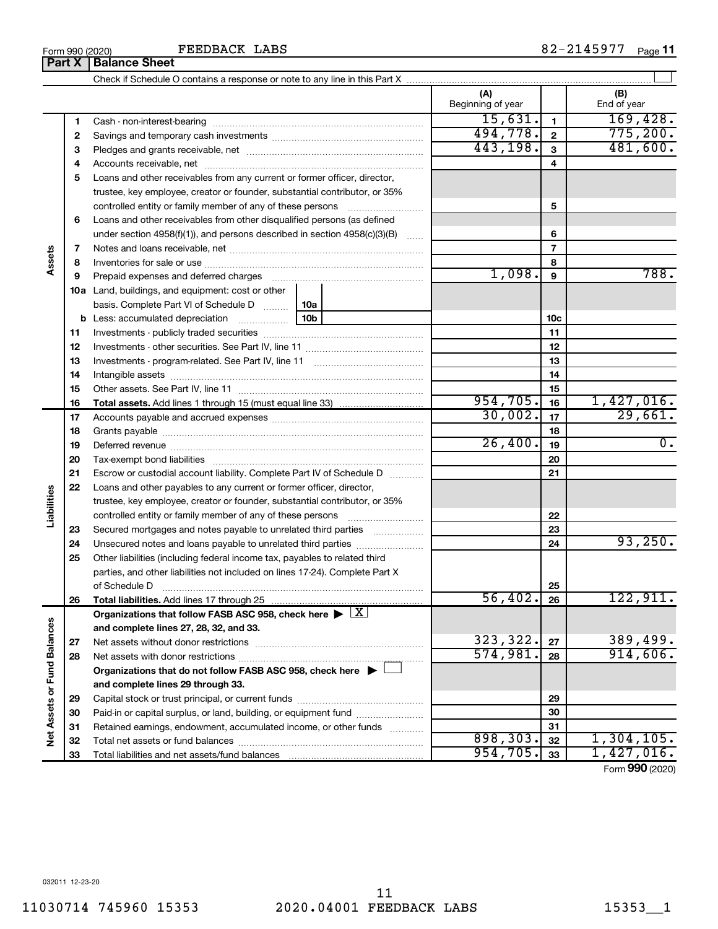|                      | 2  |                                                                                                                  | 494,778.  | $\overline{\mathbf{2}}$ | 775,200.         |
|----------------------|----|------------------------------------------------------------------------------------------------------------------|-----------|-------------------------|------------------|
|                      | 3  |                                                                                                                  | 443,198.  | $\mathbf{3}$            | 481,600.         |
|                      | 4  |                                                                                                                  |           | 4                       |                  |
|                      | 5  | Loans and other receivables from any current or former officer, director,                                        |           |                         |                  |
|                      |    | trustee, key employee, creator or founder, substantial contributor, or 35%                                       |           |                         |                  |
| Assets               |    | controlled entity or family member of any of these persons                                                       |           | 5                       |                  |
|                      | 6  | Loans and other receivables from other disqualified persons (as defined                                          |           |                         |                  |
|                      |    | under section $4958(f)(1)$ , and persons described in section $4958(c)(3)(B)$<br>$\ldots$                        |           | 6                       |                  |
|                      | 7  |                                                                                                                  |           | $\overline{7}$          |                  |
|                      | 8  |                                                                                                                  |           | 8                       |                  |
|                      | 9  | Prepaid expenses and deferred charges [11] matter continuum matter and the Prepaid expenses and deferred charges | 1,098.    | 9                       | 788.             |
|                      |    | <b>10a</b> Land, buildings, and equipment: cost or other                                                         |           |                         |                  |
|                      |    | basis. Complete Part VI of Schedule D<br>10a                                                                     |           |                         |                  |
|                      |    | 10 <sub>b</sub>                                                                                                  |           | 10 <sub>c</sub>         |                  |
|                      | 11 |                                                                                                                  |           | 11                      |                  |
|                      | 12 |                                                                                                                  |           | 12                      |                  |
|                      | 13 |                                                                                                                  |           | 13                      |                  |
|                      | 14 |                                                                                                                  |           | 14                      |                  |
|                      | 15 |                                                                                                                  |           | 15                      |                  |
|                      | 16 | <b>Total assets.</b> Add lines 1 through 15 (must equal line 33) <i></i>                                         | 954,705.  | 16                      | 1,427,016.       |
|                      | 17 |                                                                                                                  | 30,002.   | 17                      | 29,661.          |
|                      | 18 |                                                                                                                  |           | 18                      |                  |
|                      | 19 |                                                                                                                  | 26,400.   | 19                      | $\overline{0}$ . |
|                      | 20 |                                                                                                                  |           | 20                      |                  |
|                      | 21 | Escrow or custodial account liability. Complete Part IV of Schedule D                                            |           | 21                      |                  |
|                      | 22 | Loans and other payables to any current or former officer, director,                                             |           |                         |                  |
| Liabilities          |    | trustee, key employee, creator or founder, substantial contributor, or 35%                                       |           |                         |                  |
|                      |    |                                                                                                                  |           | 22                      |                  |
|                      | 23 | Secured mortgages and notes payable to unrelated third parties                                                   |           | 23                      |                  |
|                      | 24 | Unsecured notes and loans payable to unrelated third parties                                                     |           | 24                      | 93, 250.         |
|                      | 25 | Other liabilities (including federal income tax, payables to related third                                       |           |                         |                  |
|                      |    | parties, and other liabilities not included on lines 17-24). Complete Part X                                     |           |                         |                  |
|                      |    | of Schedule D                                                                                                    |           | 25                      |                  |
|                      | 26 |                                                                                                                  | 56,402.   | 26                      | 122,911.         |
|                      |    | Organizations that follow FASB ASC 958, check here $\blacktriangleright \lfloor X \rfloor$                       |           |                         |                  |
|                      |    | and complete lines 27, 28, 32, and 33.                                                                           |           |                         |                  |
| alances              | 27 |                                                                                                                  | 323, 322. | 27                      | 389,499.         |
|                      | 28 |                                                                                                                  | 574,981.  | 28                      | 914,606.         |
|                      |    | Organizations that do not follow FASB ASC 958, check here ▶ L                                                    |           |                         |                  |
|                      |    | and complete lines 29 through 33.                                                                                |           |                         |                  |
|                      | 29 |                                                                                                                  |           | 29                      |                  |
|                      | 30 | Paid-in or capital surplus, or land, building, or equipment fund                                                 |           | 30                      |                  |
| Net Assets or Fund B | 31 | Retained earnings, endowment, accumulated income, or other funds                                                 |           | 31                      |                  |
|                      | 32 |                                                                                                                  | 898, 303. | 32                      | 1,304,105.       |
|                      | 33 |                                                                                                                  | 954, 705. | 33                      | 1,427,016.       |
|                      |    |                                                                                                                  |           |                         | Form 990 (2020)  |

 $\perp$ 

**(A) (B)**

Beginning of year  $\vert$  | End of year

**1**

 $15,631.$  169,428.

**1**

FEEDBACK LABS

Check if Schedule O contains a response or note to any line in this Part X

Cash - non-interest-bearing ~~~~~~~~~~~~~~~~~~~~~~~~~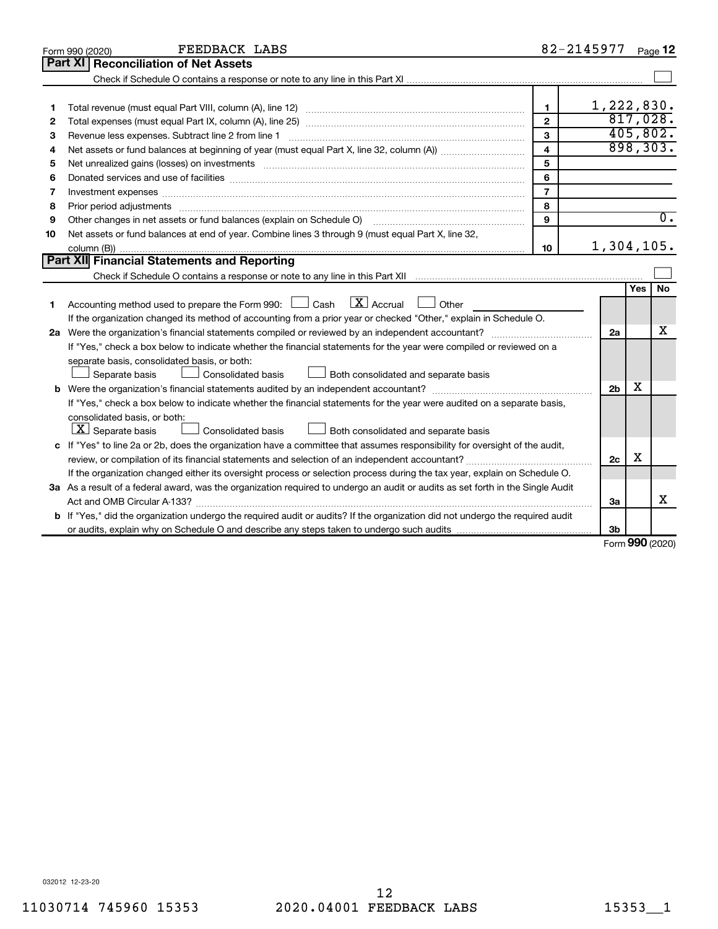|    | FEEDBACK LABS<br>Form 990 (2020)                                                                                                     | 82-2145977     |                |               | Page 12          |
|----|--------------------------------------------------------------------------------------------------------------------------------------|----------------|----------------|---------------|------------------|
|    | Part XI<br><b>Reconciliation of Net Assets</b>                                                                                       |                |                |               |                  |
|    |                                                                                                                                      |                |                |               |                  |
|    |                                                                                                                                      |                |                |               |                  |
| 1  |                                                                                                                                      | $\mathbf{1}$   | 1,222,830.     |               |                  |
| 2  |                                                                                                                                      | $\mathbf{2}$   |                |               | 817,028.         |
| З  | Revenue less expenses. Subtract line 2 from line 1                                                                                   | 3              |                |               | 405,802.         |
| 4  |                                                                                                                                      | $\overline{4}$ |                |               | 898, 303.        |
| 5  | Net unrealized gains (losses) on investments [111] www.martime.community.community.community.community.communi                       | 5              |                |               |                  |
| 6  |                                                                                                                                      | 6              |                |               |                  |
| 7  | Investment expenses www.communication.communication.com/www.communication.com/www.communication.com                                  | $\overline{7}$ |                |               |                  |
| 8  |                                                                                                                                      | 8              |                |               |                  |
| 9  | Other changes in net assets or fund balances (explain on Schedule O)                                                                 | 9              |                |               | $\overline{0}$ . |
| 10 | Net assets or fund balances at end of year. Combine lines 3 through 9 (must equal Part X, line 32,                                   |                |                |               |                  |
|    |                                                                                                                                      | 10             | 1,304,105.     |               |                  |
|    | Part XII Financial Statements and Reporting                                                                                          |                |                |               |                  |
|    |                                                                                                                                      |                |                |               |                  |
|    |                                                                                                                                      |                |                | <b>Yes</b>    | No               |
| 1  | Accounting method used to prepare the Form 990: $\Box$ Cash $\Box X$ Accrual<br>$\Box$ Other                                         |                |                |               |                  |
|    | If the organization changed its method of accounting from a prior year or checked "Other," explain in Schedule O.                    |                |                |               |                  |
|    |                                                                                                                                      |                | 2a             |               | x                |
|    | If "Yes," check a box below to indicate whether the financial statements for the year were compiled or reviewed on a                 |                |                |               |                  |
|    | separate basis, consolidated basis, or both:                                                                                         |                |                |               |                  |
|    | Separate basis<br>Consolidated basis<br>Both consolidated and separate basis                                                         |                |                |               |                  |
|    |                                                                                                                                      |                | 2 <sub>b</sub> | х             |                  |
|    | If "Yes," check a box below to indicate whether the financial statements for the year were audited on a separate basis,              |                |                |               |                  |
|    | consolidated basis, or both:                                                                                                         |                |                |               |                  |
|    | $ \mathbf{X} $ Separate basis<br>Consolidated basis<br>Both consolidated and separate basis                                          |                |                |               |                  |
|    | c If "Yes" to line 2a or 2b, does the organization have a committee that assumes responsibility for oversight of the audit,          |                |                |               |                  |
|    | review, or compilation of its financial statements and selection of an independent accountant?                                       |                | 2c             | X             |                  |
|    | If the organization changed either its oversight process or selection process during the tax year, explain on Schedule O.            |                |                |               |                  |
|    | 3a As a result of a federal award, was the organization required to undergo an audit or audits as set forth in the Single Audit      |                |                |               |                  |
|    |                                                                                                                                      |                | За             |               | x                |
|    | <b>b</b> If "Yes," did the organization undergo the required audit or audits? If the organization did not undergo the required audit |                |                |               |                  |
|    |                                                                                                                                      |                | 3b             |               |                  |
|    |                                                                                                                                      |                |                | $000 \approx$ |                  |

Form (2020) **990**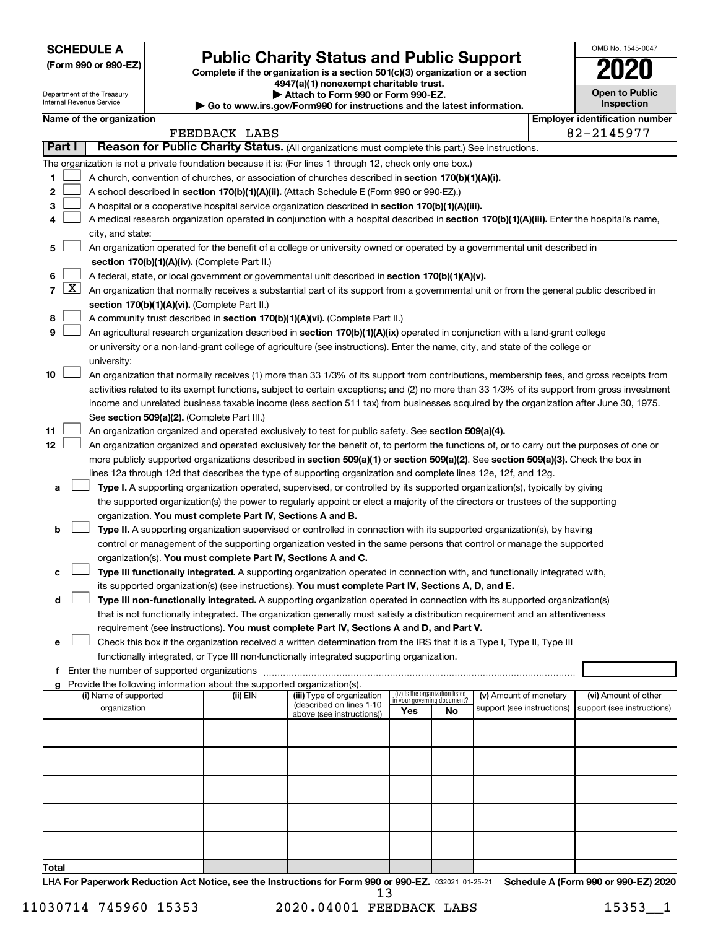**SCHEDULE A**

Department of the Treasury

# Form 990 or 990-EZ) **Public Charity Status and Public Support**<br>
Complete if the organization is a section 501(c)(3) organization or a section<br> **2020**

**4947(a)(1) nonexempt charitable trust. | Attach to Form 990 or Form 990-EZ.** 

|    | <b>Open to Public</b><br>Inspection |
|----|-------------------------------------|
| r. | entification nu                     |

OMB No. 1545-0047

|                | Internal Revenue Service<br>Inspection<br>Go to www.irs.gov/Form990 for instructions and the latest information. |                                                                                                  |  |                                                                                    |                                                                                                                                              |     |                                          |                            |  |                                       |
|----------------|------------------------------------------------------------------------------------------------------------------|--------------------------------------------------------------------------------------------------|--|------------------------------------------------------------------------------------|----------------------------------------------------------------------------------------------------------------------------------------------|-----|------------------------------------------|----------------------------|--|---------------------------------------|
|                |                                                                                                                  | Name of the organization                                                                         |  |                                                                                    |                                                                                                                                              |     |                                          |                            |  | <b>Employer identification number</b> |
|                |                                                                                                                  |                                                                                                  |  | FEEDBACK LABS                                                                      |                                                                                                                                              |     |                                          |                            |  | 82-2145977                            |
|                | Part I                                                                                                           |                                                                                                  |  |                                                                                    | Reason for Public Charity Status. (All organizations must complete this part.) See instructions.                                             |     |                                          |                            |  |                                       |
|                |                                                                                                                  |                                                                                                  |  |                                                                                    | The organization is not a private foundation because it is: (For lines 1 through 12, check only one box.)                                    |     |                                          |                            |  |                                       |
| 1.             |                                                                                                                  |                                                                                                  |  |                                                                                    | A church, convention of churches, or association of churches described in section 170(b)(1)(A)(i).                                           |     |                                          |                            |  |                                       |
| 2              |                                                                                                                  |                                                                                                  |  |                                                                                    | A school described in section 170(b)(1)(A)(ii). (Attach Schedule E (Form 990 or 990-EZ).)                                                    |     |                                          |                            |  |                                       |
| 3              |                                                                                                                  |                                                                                                  |  |                                                                                    | A hospital or a cooperative hospital service organization described in section 170(b)(1)(A)(iii).                                            |     |                                          |                            |  |                                       |
| 4              |                                                                                                                  | city, and state:                                                                                 |  |                                                                                    | A medical research organization operated in conjunction with a hospital described in section 170(b)(1)(A)(iii). Enter the hospital's name,   |     |                                          |                            |  |                                       |
| 5              |                                                                                                                  |                                                                                                  |  |                                                                                    | An organization operated for the benefit of a college or university owned or operated by a governmental unit described in                    |     |                                          |                            |  |                                       |
|                |                                                                                                                  | section 170(b)(1)(A)(iv). (Complete Part II.)                                                    |  |                                                                                    |                                                                                                                                              |     |                                          |                            |  |                                       |
| 6              |                                                                                                                  | A federal, state, or local government or governmental unit described in section 170(b)(1)(A)(v). |  |                                                                                    |                                                                                                                                              |     |                                          |                            |  |                                       |
| $\overline{7}$ | $\lfloor x \rfloor$                                                                                              |                                                                                                  |  |                                                                                    | An organization that normally receives a substantial part of its support from a governmental unit or from the general public described in    |     |                                          |                            |  |                                       |
|                |                                                                                                                  |                                                                                                  |  | section 170(b)(1)(A)(vi). (Complete Part II.)                                      |                                                                                                                                              |     |                                          |                            |  |                                       |
| 8              |                                                                                                                  |                                                                                                  |  |                                                                                    | A community trust described in section 170(b)(1)(A)(vi). (Complete Part II.)                                                                 |     |                                          |                            |  |                                       |
| 9              |                                                                                                                  |                                                                                                  |  |                                                                                    | An agricultural research organization described in section 170(b)(1)(A)(ix) operated in conjunction with a land-grant college                |     |                                          |                            |  |                                       |
|                |                                                                                                                  |                                                                                                  |  |                                                                                    | or university or a non-land-grant college of agriculture (see instructions). Enter the name, city, and state of the college or               |     |                                          |                            |  |                                       |
|                |                                                                                                                  | university:                                                                                      |  |                                                                                    |                                                                                                                                              |     |                                          |                            |  |                                       |
| 10             |                                                                                                                  |                                                                                                  |  |                                                                                    | An organization that normally receives (1) more than 33 1/3% of its support from contributions, membership fees, and gross receipts from     |     |                                          |                            |  |                                       |
|                |                                                                                                                  |                                                                                                  |  |                                                                                    | activities related to its exempt functions, subject to certain exceptions; and (2) no more than 33 1/3% of its support from gross investment |     |                                          |                            |  |                                       |
|                |                                                                                                                  |                                                                                                  |  |                                                                                    | income and unrelated business taxable income (less section 511 tax) from businesses acquired by the organization after June 30, 1975.        |     |                                          |                            |  |                                       |
|                |                                                                                                                  |                                                                                                  |  | See section 509(a)(2). (Complete Part III.)                                        |                                                                                                                                              |     |                                          |                            |  |                                       |
| 11             |                                                                                                                  |                                                                                                  |  |                                                                                    | An organization organized and operated exclusively to test for public safety. See section 509(a)(4).                                         |     |                                          |                            |  |                                       |
| 12             |                                                                                                                  |                                                                                                  |  |                                                                                    | An organization organized and operated exclusively for the benefit of, to perform the functions of, or to carry out the purposes of one or   |     |                                          |                            |  |                                       |
|                |                                                                                                                  |                                                                                                  |  |                                                                                    | more publicly supported organizations described in section 509(a)(1) or section 509(a)(2). See section 509(a)(3). Check the box in           |     |                                          |                            |  |                                       |
|                |                                                                                                                  |                                                                                                  |  |                                                                                    | lines 12a through 12d that describes the type of supporting organization and complete lines 12e, 12f, and 12g.                               |     |                                          |                            |  |                                       |
| a              |                                                                                                                  |                                                                                                  |  |                                                                                    | Type I. A supporting organization operated, supervised, or controlled by its supported organization(s), typically by giving                  |     |                                          |                            |  |                                       |
|                |                                                                                                                  |                                                                                                  |  |                                                                                    | the supported organization(s) the power to regularly appoint or elect a majority of the directors or trustees of the supporting              |     |                                          |                            |  |                                       |
|                |                                                                                                                  |                                                                                                  |  | organization. You must complete Part IV, Sections A and B.                         |                                                                                                                                              |     |                                          |                            |  |                                       |
| b              |                                                                                                                  |                                                                                                  |  |                                                                                    | Type II. A supporting organization supervised or controlled in connection with its supported organization(s), by having                      |     |                                          |                            |  |                                       |
|                |                                                                                                                  |                                                                                                  |  |                                                                                    | control or management of the supporting organization vested in the same persons that control or manage the supported                         |     |                                          |                            |  |                                       |
|                |                                                                                                                  |                                                                                                  |  | organization(s). You must complete Part IV, Sections A and C.                      |                                                                                                                                              |     |                                          |                            |  |                                       |
| c              |                                                                                                                  |                                                                                                  |  |                                                                                    | Type III functionally integrated. A supporting organization operated in connection with, and functionally integrated with,                   |     |                                          |                            |  |                                       |
|                |                                                                                                                  |                                                                                                  |  |                                                                                    | its supported organization(s) (see instructions). You must complete Part IV, Sections A, D, and E.                                           |     |                                          |                            |  |                                       |
| d              |                                                                                                                  |                                                                                                  |  |                                                                                    | Type III non-functionally integrated. A supporting organization operated in connection with its supported organization(s)                    |     |                                          |                            |  |                                       |
|                |                                                                                                                  |                                                                                                  |  |                                                                                    | that is not functionally integrated. The organization generally must satisfy a distribution requirement and an attentiveness                 |     |                                          |                            |  |                                       |
|                |                                                                                                                  |                                                                                                  |  |                                                                                    | requirement (see instructions). You must complete Part IV, Sections A and D, and Part V.                                                     |     |                                          |                            |  |                                       |
| e              |                                                                                                                  |                                                                                                  |  |                                                                                    | Check this box if the organization received a written determination from the IRS that it is a Type I, Type II, Type III                      |     |                                          |                            |  |                                       |
|                |                                                                                                                  |                                                                                                  |  |                                                                                    | functionally integrated, or Type III non-functionally integrated supporting organization.                                                    |     |                                          |                            |  |                                       |
|                |                                                                                                                  |                                                                                                  |  |                                                                                    |                                                                                                                                              |     |                                          |                            |  |                                       |
|                |                                                                                                                  | (i) Name of supported                                                                            |  | Provide the following information about the supported organization(s).<br>(ii) EIN | (iii) Type of organization                                                                                                                   |     | (iv) Is the organization listed          | (v) Amount of monetary     |  | (vi) Amount of other                  |
|                |                                                                                                                  | organization                                                                                     |  |                                                                                    | (described on lines 1-10<br>above (see instructions))                                                                                        | Yes | in your governing document?<br><b>No</b> | support (see instructions) |  | support (see instructions)            |
|                |                                                                                                                  |                                                                                                  |  |                                                                                    |                                                                                                                                              |     |                                          |                            |  |                                       |
|                |                                                                                                                  |                                                                                                  |  |                                                                                    |                                                                                                                                              |     |                                          |                            |  |                                       |
|                |                                                                                                                  |                                                                                                  |  |                                                                                    |                                                                                                                                              |     |                                          |                            |  |                                       |
|                |                                                                                                                  |                                                                                                  |  |                                                                                    |                                                                                                                                              |     |                                          |                            |  |                                       |
|                |                                                                                                                  |                                                                                                  |  |                                                                                    |                                                                                                                                              |     |                                          |                            |  |                                       |
|                |                                                                                                                  |                                                                                                  |  |                                                                                    |                                                                                                                                              |     |                                          |                            |  |                                       |
| Total          |                                                                                                                  |                                                                                                  |  |                                                                                    |                                                                                                                                              |     |                                          |                            |  |                                       |
|                |                                                                                                                  |                                                                                                  |  |                                                                                    |                                                                                                                                              |     |                                          |                            |  |                                       |

LHA For Paperwork Reduction Act Notice, see the Instructions for Form 990 or 990-EZ. 032021 01-25-21 Schedule A (Form 990 or 990-EZ) 2020 13

11030714 745960 15353 2020.04001 FEEDBACK LABS 15353 1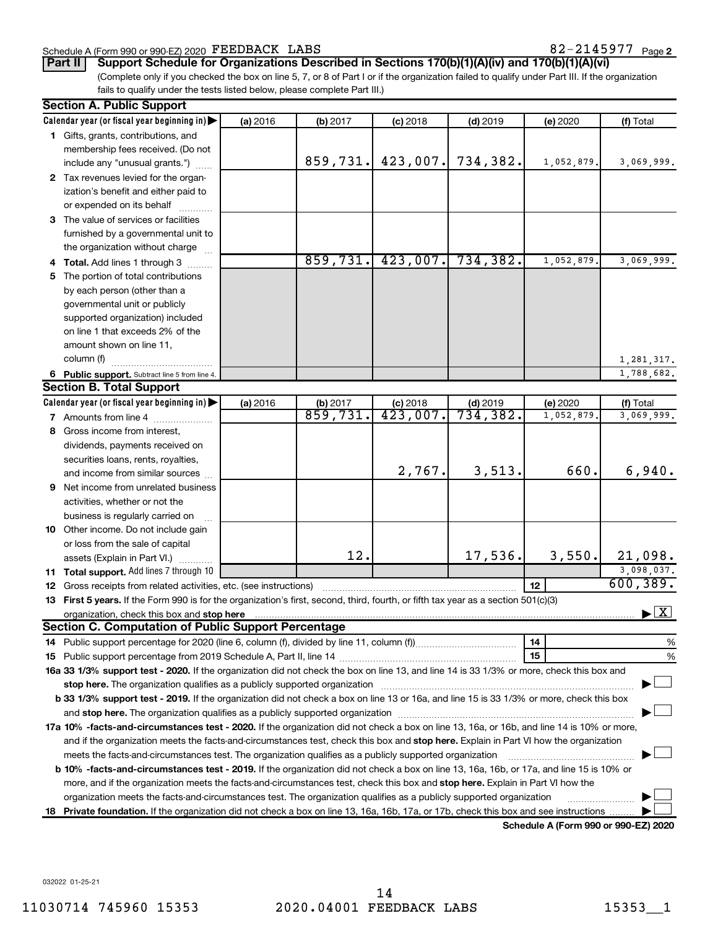#### Schedule A (Form 990 or 990-EZ) 2020 Page FEEDBACK LABS 82-2145977

82-2145977 <sub>Page 2</sub>

(Complete only if you checked the box on line 5, 7, or 8 of Part I or if the organization failed to qualify under Part III. If the organization **Part II Support Schedule for Organizations Described in Sections 170(b)(1)(A)(iv) and 170(b)(1)(A)(vi)**

fails to qualify under the tests listed below, please complete Part III.)

| Calendar year (or fiscal year beginning in)<br>(a) 2016<br>(b) 2017<br>$(c)$ 2018<br>$(d)$ 2019<br>(e) 2020<br>(f) Total<br>1 Gifts, grants, contributions, and<br>membership fees received. (Do not<br>859,731.<br>423,007.<br>734,382.<br>1,052,879.<br>include any "unusual grants.")<br>2 Tax revenues levied for the organ-<br>ization's benefit and either paid to<br>or expended on its behalf<br>3 The value of services or facilities<br>furnished by a governmental unit to<br>the organization without charge<br>$859,731.$ 423,007. 734,382.<br>1,052,879.<br>4 Total. Add lines 1 through 3<br>5 The portion of total contributions<br>by each person (other than a<br>governmental unit or publicly<br>supported organization) included<br>on line 1 that exceeds 2% of the<br>amount shown on line 11,<br>column (f)<br>6 Public support. Subtract line 5 from line 4.<br><b>Section B. Total Support</b><br>Calendar year (or fiscal year beginning in)<br>(a) 2016<br>(e) 2020<br>(b) 2017<br>$(c)$ 2018<br>$(d)$ 2019<br>(f) Total<br>859,731.<br>423,007.<br>734,382.<br>1,052,879<br>7 Amounts from line 4<br>8 Gross income from interest,<br>dividends, payments received on<br>securities loans, rents, royalties,<br>3,513.<br>660.<br>2,767.<br>and income from similar sources<br>Net income from unrelated business<br>9<br>activities, whether or not the<br>business is regularly carried on<br>10 Other income. Do not include gain<br>or loss from the sale of capital<br>12.<br>17,536.<br>3,550.<br>assets (Explain in Part VI.)<br>11 Total support. Add lines 7 through 10<br>12 <sup>2</sup><br>12 Gross receipts from related activities, etc. (see instructions)<br>13 First 5 years. If the Form 990 is for the organization's first, second, third, fourth, or fifth tax year as a section 501(c)(3)<br><b>Section C. Computation of Public Support Percentage</b><br>14<br>15<br>16a 33 1/3% support test - 2020. If the organization did not check the box on line 13, and line 14 is 33 1/3% or more, check this box and<br>stop here. The organization qualifies as a publicly supported organization manufaction manufacture content and the supported organization manufacture content and the support of the state of the state of the state of the st<br>b 33 1/3% support test - 2019. If the organization did not check a box on line 13 or 16a, and line 15 is 33 1/3% or more, check this box<br>17a 10% -facts-and-circumstances test - 2020. If the organization did not check a box on line 13, 16a, or 16b, and line 14 is 10% or more, | <b>Section A. Public Support</b>                                                                                                      |  |  |  |  |  |                                          |  |  |  |  |
|-------------------------------------------------------------------------------------------------------------------------------------------------------------------------------------------------------------------------------------------------------------------------------------------------------------------------------------------------------------------------------------------------------------------------------------------------------------------------------------------------------------------------------------------------------------------------------------------------------------------------------------------------------------------------------------------------------------------------------------------------------------------------------------------------------------------------------------------------------------------------------------------------------------------------------------------------------------------------------------------------------------------------------------------------------------------------------------------------------------------------------------------------------------------------------------------------------------------------------------------------------------------------------------------------------------------------------------------------------------------------------------------------------------------------------------------------------------------------------------------------------------------------------------------------------------------------------------------------------------------------------------------------------------------------------------------------------------------------------------------------------------------------------------------------------------------------------------------------------------------------------------------------------------------------------------------------------------------------------------------------------------------------------------------------------------------------------------------------------------------------------------------------------------------------------------------------------------------------------------------------------------------------------------------------------------------------------------------------------------------------------------------------------------------------------------------------------------------------------------------------------------------------------------------------------------------------------------------------|---------------------------------------------------------------------------------------------------------------------------------------|--|--|--|--|--|------------------------------------------|--|--|--|--|
|                                                                                                                                                                                                                                                                                                                                                                                                                                                                                                                                                                                                                                                                                                                                                                                                                                                                                                                                                                                                                                                                                                                                                                                                                                                                                                                                                                                                                                                                                                                                                                                                                                                                                                                                                                                                                                                                                                                                                                                                                                                                                                                                                                                                                                                                                                                                                                                                                                                                                                                                                                                                 |                                                                                                                                       |  |  |  |  |  |                                          |  |  |  |  |
|                                                                                                                                                                                                                                                                                                                                                                                                                                                                                                                                                                                                                                                                                                                                                                                                                                                                                                                                                                                                                                                                                                                                                                                                                                                                                                                                                                                                                                                                                                                                                                                                                                                                                                                                                                                                                                                                                                                                                                                                                                                                                                                                                                                                                                                                                                                                                                                                                                                                                                                                                                                                 |                                                                                                                                       |  |  |  |  |  |                                          |  |  |  |  |
|                                                                                                                                                                                                                                                                                                                                                                                                                                                                                                                                                                                                                                                                                                                                                                                                                                                                                                                                                                                                                                                                                                                                                                                                                                                                                                                                                                                                                                                                                                                                                                                                                                                                                                                                                                                                                                                                                                                                                                                                                                                                                                                                                                                                                                                                                                                                                                                                                                                                                                                                                                                                 |                                                                                                                                       |  |  |  |  |  |                                          |  |  |  |  |
|                                                                                                                                                                                                                                                                                                                                                                                                                                                                                                                                                                                                                                                                                                                                                                                                                                                                                                                                                                                                                                                                                                                                                                                                                                                                                                                                                                                                                                                                                                                                                                                                                                                                                                                                                                                                                                                                                                                                                                                                                                                                                                                                                                                                                                                                                                                                                                                                                                                                                                                                                                                                 |                                                                                                                                       |  |  |  |  |  | 3,069,999.                               |  |  |  |  |
|                                                                                                                                                                                                                                                                                                                                                                                                                                                                                                                                                                                                                                                                                                                                                                                                                                                                                                                                                                                                                                                                                                                                                                                                                                                                                                                                                                                                                                                                                                                                                                                                                                                                                                                                                                                                                                                                                                                                                                                                                                                                                                                                                                                                                                                                                                                                                                                                                                                                                                                                                                                                 |                                                                                                                                       |  |  |  |  |  |                                          |  |  |  |  |
|                                                                                                                                                                                                                                                                                                                                                                                                                                                                                                                                                                                                                                                                                                                                                                                                                                                                                                                                                                                                                                                                                                                                                                                                                                                                                                                                                                                                                                                                                                                                                                                                                                                                                                                                                                                                                                                                                                                                                                                                                                                                                                                                                                                                                                                                                                                                                                                                                                                                                                                                                                                                 |                                                                                                                                       |  |  |  |  |  |                                          |  |  |  |  |
|                                                                                                                                                                                                                                                                                                                                                                                                                                                                                                                                                                                                                                                                                                                                                                                                                                                                                                                                                                                                                                                                                                                                                                                                                                                                                                                                                                                                                                                                                                                                                                                                                                                                                                                                                                                                                                                                                                                                                                                                                                                                                                                                                                                                                                                                                                                                                                                                                                                                                                                                                                                                 |                                                                                                                                       |  |  |  |  |  |                                          |  |  |  |  |
|                                                                                                                                                                                                                                                                                                                                                                                                                                                                                                                                                                                                                                                                                                                                                                                                                                                                                                                                                                                                                                                                                                                                                                                                                                                                                                                                                                                                                                                                                                                                                                                                                                                                                                                                                                                                                                                                                                                                                                                                                                                                                                                                                                                                                                                                                                                                                                                                                                                                                                                                                                                                 |                                                                                                                                       |  |  |  |  |  |                                          |  |  |  |  |
|                                                                                                                                                                                                                                                                                                                                                                                                                                                                                                                                                                                                                                                                                                                                                                                                                                                                                                                                                                                                                                                                                                                                                                                                                                                                                                                                                                                                                                                                                                                                                                                                                                                                                                                                                                                                                                                                                                                                                                                                                                                                                                                                                                                                                                                                                                                                                                                                                                                                                                                                                                                                 |                                                                                                                                       |  |  |  |  |  |                                          |  |  |  |  |
|                                                                                                                                                                                                                                                                                                                                                                                                                                                                                                                                                                                                                                                                                                                                                                                                                                                                                                                                                                                                                                                                                                                                                                                                                                                                                                                                                                                                                                                                                                                                                                                                                                                                                                                                                                                                                                                                                                                                                                                                                                                                                                                                                                                                                                                                                                                                                                                                                                                                                                                                                                                                 |                                                                                                                                       |  |  |  |  |  |                                          |  |  |  |  |
|                                                                                                                                                                                                                                                                                                                                                                                                                                                                                                                                                                                                                                                                                                                                                                                                                                                                                                                                                                                                                                                                                                                                                                                                                                                                                                                                                                                                                                                                                                                                                                                                                                                                                                                                                                                                                                                                                                                                                                                                                                                                                                                                                                                                                                                                                                                                                                                                                                                                                                                                                                                                 |                                                                                                                                       |  |  |  |  |  | 3,069,999.                               |  |  |  |  |
|                                                                                                                                                                                                                                                                                                                                                                                                                                                                                                                                                                                                                                                                                                                                                                                                                                                                                                                                                                                                                                                                                                                                                                                                                                                                                                                                                                                                                                                                                                                                                                                                                                                                                                                                                                                                                                                                                                                                                                                                                                                                                                                                                                                                                                                                                                                                                                                                                                                                                                                                                                                                 |                                                                                                                                       |  |  |  |  |  |                                          |  |  |  |  |
|                                                                                                                                                                                                                                                                                                                                                                                                                                                                                                                                                                                                                                                                                                                                                                                                                                                                                                                                                                                                                                                                                                                                                                                                                                                                                                                                                                                                                                                                                                                                                                                                                                                                                                                                                                                                                                                                                                                                                                                                                                                                                                                                                                                                                                                                                                                                                                                                                                                                                                                                                                                                 |                                                                                                                                       |  |  |  |  |  |                                          |  |  |  |  |
|                                                                                                                                                                                                                                                                                                                                                                                                                                                                                                                                                                                                                                                                                                                                                                                                                                                                                                                                                                                                                                                                                                                                                                                                                                                                                                                                                                                                                                                                                                                                                                                                                                                                                                                                                                                                                                                                                                                                                                                                                                                                                                                                                                                                                                                                                                                                                                                                                                                                                                                                                                                                 |                                                                                                                                       |  |  |  |  |  |                                          |  |  |  |  |
|                                                                                                                                                                                                                                                                                                                                                                                                                                                                                                                                                                                                                                                                                                                                                                                                                                                                                                                                                                                                                                                                                                                                                                                                                                                                                                                                                                                                                                                                                                                                                                                                                                                                                                                                                                                                                                                                                                                                                                                                                                                                                                                                                                                                                                                                                                                                                                                                                                                                                                                                                                                                 |                                                                                                                                       |  |  |  |  |  |                                          |  |  |  |  |
|                                                                                                                                                                                                                                                                                                                                                                                                                                                                                                                                                                                                                                                                                                                                                                                                                                                                                                                                                                                                                                                                                                                                                                                                                                                                                                                                                                                                                                                                                                                                                                                                                                                                                                                                                                                                                                                                                                                                                                                                                                                                                                                                                                                                                                                                                                                                                                                                                                                                                                                                                                                                 |                                                                                                                                       |  |  |  |  |  |                                          |  |  |  |  |
|                                                                                                                                                                                                                                                                                                                                                                                                                                                                                                                                                                                                                                                                                                                                                                                                                                                                                                                                                                                                                                                                                                                                                                                                                                                                                                                                                                                                                                                                                                                                                                                                                                                                                                                                                                                                                                                                                                                                                                                                                                                                                                                                                                                                                                                                                                                                                                                                                                                                                                                                                                                                 |                                                                                                                                       |  |  |  |  |  |                                          |  |  |  |  |
|                                                                                                                                                                                                                                                                                                                                                                                                                                                                                                                                                                                                                                                                                                                                                                                                                                                                                                                                                                                                                                                                                                                                                                                                                                                                                                                                                                                                                                                                                                                                                                                                                                                                                                                                                                                                                                                                                                                                                                                                                                                                                                                                                                                                                                                                                                                                                                                                                                                                                                                                                                                                 |                                                                                                                                       |  |  |  |  |  | 1,281,317.                               |  |  |  |  |
|                                                                                                                                                                                                                                                                                                                                                                                                                                                                                                                                                                                                                                                                                                                                                                                                                                                                                                                                                                                                                                                                                                                                                                                                                                                                                                                                                                                                                                                                                                                                                                                                                                                                                                                                                                                                                                                                                                                                                                                                                                                                                                                                                                                                                                                                                                                                                                                                                                                                                                                                                                                                 |                                                                                                                                       |  |  |  |  |  | 1,788,682.                               |  |  |  |  |
|                                                                                                                                                                                                                                                                                                                                                                                                                                                                                                                                                                                                                                                                                                                                                                                                                                                                                                                                                                                                                                                                                                                                                                                                                                                                                                                                                                                                                                                                                                                                                                                                                                                                                                                                                                                                                                                                                                                                                                                                                                                                                                                                                                                                                                                                                                                                                                                                                                                                                                                                                                                                 |                                                                                                                                       |  |  |  |  |  |                                          |  |  |  |  |
|                                                                                                                                                                                                                                                                                                                                                                                                                                                                                                                                                                                                                                                                                                                                                                                                                                                                                                                                                                                                                                                                                                                                                                                                                                                                                                                                                                                                                                                                                                                                                                                                                                                                                                                                                                                                                                                                                                                                                                                                                                                                                                                                                                                                                                                                                                                                                                                                                                                                                                                                                                                                 |                                                                                                                                       |  |  |  |  |  |                                          |  |  |  |  |
|                                                                                                                                                                                                                                                                                                                                                                                                                                                                                                                                                                                                                                                                                                                                                                                                                                                                                                                                                                                                                                                                                                                                                                                                                                                                                                                                                                                                                                                                                                                                                                                                                                                                                                                                                                                                                                                                                                                                                                                                                                                                                                                                                                                                                                                                                                                                                                                                                                                                                                                                                                                                 |                                                                                                                                       |  |  |  |  |  | 3,069,999.                               |  |  |  |  |
|                                                                                                                                                                                                                                                                                                                                                                                                                                                                                                                                                                                                                                                                                                                                                                                                                                                                                                                                                                                                                                                                                                                                                                                                                                                                                                                                                                                                                                                                                                                                                                                                                                                                                                                                                                                                                                                                                                                                                                                                                                                                                                                                                                                                                                                                                                                                                                                                                                                                                                                                                                                                 |                                                                                                                                       |  |  |  |  |  |                                          |  |  |  |  |
|                                                                                                                                                                                                                                                                                                                                                                                                                                                                                                                                                                                                                                                                                                                                                                                                                                                                                                                                                                                                                                                                                                                                                                                                                                                                                                                                                                                                                                                                                                                                                                                                                                                                                                                                                                                                                                                                                                                                                                                                                                                                                                                                                                                                                                                                                                                                                                                                                                                                                                                                                                                                 |                                                                                                                                       |  |  |  |  |  |                                          |  |  |  |  |
|                                                                                                                                                                                                                                                                                                                                                                                                                                                                                                                                                                                                                                                                                                                                                                                                                                                                                                                                                                                                                                                                                                                                                                                                                                                                                                                                                                                                                                                                                                                                                                                                                                                                                                                                                                                                                                                                                                                                                                                                                                                                                                                                                                                                                                                                                                                                                                                                                                                                                                                                                                                                 |                                                                                                                                       |  |  |  |  |  |                                          |  |  |  |  |
|                                                                                                                                                                                                                                                                                                                                                                                                                                                                                                                                                                                                                                                                                                                                                                                                                                                                                                                                                                                                                                                                                                                                                                                                                                                                                                                                                                                                                                                                                                                                                                                                                                                                                                                                                                                                                                                                                                                                                                                                                                                                                                                                                                                                                                                                                                                                                                                                                                                                                                                                                                                                 |                                                                                                                                       |  |  |  |  |  | 6,940.                                   |  |  |  |  |
|                                                                                                                                                                                                                                                                                                                                                                                                                                                                                                                                                                                                                                                                                                                                                                                                                                                                                                                                                                                                                                                                                                                                                                                                                                                                                                                                                                                                                                                                                                                                                                                                                                                                                                                                                                                                                                                                                                                                                                                                                                                                                                                                                                                                                                                                                                                                                                                                                                                                                                                                                                                                 |                                                                                                                                       |  |  |  |  |  |                                          |  |  |  |  |
|                                                                                                                                                                                                                                                                                                                                                                                                                                                                                                                                                                                                                                                                                                                                                                                                                                                                                                                                                                                                                                                                                                                                                                                                                                                                                                                                                                                                                                                                                                                                                                                                                                                                                                                                                                                                                                                                                                                                                                                                                                                                                                                                                                                                                                                                                                                                                                                                                                                                                                                                                                                                 |                                                                                                                                       |  |  |  |  |  |                                          |  |  |  |  |
|                                                                                                                                                                                                                                                                                                                                                                                                                                                                                                                                                                                                                                                                                                                                                                                                                                                                                                                                                                                                                                                                                                                                                                                                                                                                                                                                                                                                                                                                                                                                                                                                                                                                                                                                                                                                                                                                                                                                                                                                                                                                                                                                                                                                                                                                                                                                                                                                                                                                                                                                                                                                 |                                                                                                                                       |  |  |  |  |  |                                          |  |  |  |  |
|                                                                                                                                                                                                                                                                                                                                                                                                                                                                                                                                                                                                                                                                                                                                                                                                                                                                                                                                                                                                                                                                                                                                                                                                                                                                                                                                                                                                                                                                                                                                                                                                                                                                                                                                                                                                                                                                                                                                                                                                                                                                                                                                                                                                                                                                                                                                                                                                                                                                                                                                                                                                 |                                                                                                                                       |  |  |  |  |  |                                          |  |  |  |  |
|                                                                                                                                                                                                                                                                                                                                                                                                                                                                                                                                                                                                                                                                                                                                                                                                                                                                                                                                                                                                                                                                                                                                                                                                                                                                                                                                                                                                                                                                                                                                                                                                                                                                                                                                                                                                                                                                                                                                                                                                                                                                                                                                                                                                                                                                                                                                                                                                                                                                                                                                                                                                 |                                                                                                                                       |  |  |  |  |  |                                          |  |  |  |  |
|                                                                                                                                                                                                                                                                                                                                                                                                                                                                                                                                                                                                                                                                                                                                                                                                                                                                                                                                                                                                                                                                                                                                                                                                                                                                                                                                                                                                                                                                                                                                                                                                                                                                                                                                                                                                                                                                                                                                                                                                                                                                                                                                                                                                                                                                                                                                                                                                                                                                                                                                                                                                 |                                                                                                                                       |  |  |  |  |  | 21,098.                                  |  |  |  |  |
|                                                                                                                                                                                                                                                                                                                                                                                                                                                                                                                                                                                                                                                                                                                                                                                                                                                                                                                                                                                                                                                                                                                                                                                                                                                                                                                                                                                                                                                                                                                                                                                                                                                                                                                                                                                                                                                                                                                                                                                                                                                                                                                                                                                                                                                                                                                                                                                                                                                                                                                                                                                                 |                                                                                                                                       |  |  |  |  |  | 3,098,037.                               |  |  |  |  |
|                                                                                                                                                                                                                                                                                                                                                                                                                                                                                                                                                                                                                                                                                                                                                                                                                                                                                                                                                                                                                                                                                                                                                                                                                                                                                                                                                                                                                                                                                                                                                                                                                                                                                                                                                                                                                                                                                                                                                                                                                                                                                                                                                                                                                                                                                                                                                                                                                                                                                                                                                                                                 |                                                                                                                                       |  |  |  |  |  | 600, 389.                                |  |  |  |  |
|                                                                                                                                                                                                                                                                                                                                                                                                                                                                                                                                                                                                                                                                                                                                                                                                                                                                                                                                                                                                                                                                                                                                                                                                                                                                                                                                                                                                                                                                                                                                                                                                                                                                                                                                                                                                                                                                                                                                                                                                                                                                                                                                                                                                                                                                                                                                                                                                                                                                                                                                                                                                 |                                                                                                                                       |  |  |  |  |  |                                          |  |  |  |  |
|                                                                                                                                                                                                                                                                                                                                                                                                                                                                                                                                                                                                                                                                                                                                                                                                                                                                                                                                                                                                                                                                                                                                                                                                                                                                                                                                                                                                                                                                                                                                                                                                                                                                                                                                                                                                                                                                                                                                                                                                                                                                                                                                                                                                                                                                                                                                                                                                                                                                                                                                                                                                 |                                                                                                                                       |  |  |  |  |  | $\blacktriangleright$ $\boxed{\text{X}}$ |  |  |  |  |
|                                                                                                                                                                                                                                                                                                                                                                                                                                                                                                                                                                                                                                                                                                                                                                                                                                                                                                                                                                                                                                                                                                                                                                                                                                                                                                                                                                                                                                                                                                                                                                                                                                                                                                                                                                                                                                                                                                                                                                                                                                                                                                                                                                                                                                                                                                                                                                                                                                                                                                                                                                                                 |                                                                                                                                       |  |  |  |  |  |                                          |  |  |  |  |
|                                                                                                                                                                                                                                                                                                                                                                                                                                                                                                                                                                                                                                                                                                                                                                                                                                                                                                                                                                                                                                                                                                                                                                                                                                                                                                                                                                                                                                                                                                                                                                                                                                                                                                                                                                                                                                                                                                                                                                                                                                                                                                                                                                                                                                                                                                                                                                                                                                                                                                                                                                                                 |                                                                                                                                       |  |  |  |  |  | %                                        |  |  |  |  |
|                                                                                                                                                                                                                                                                                                                                                                                                                                                                                                                                                                                                                                                                                                                                                                                                                                                                                                                                                                                                                                                                                                                                                                                                                                                                                                                                                                                                                                                                                                                                                                                                                                                                                                                                                                                                                                                                                                                                                                                                                                                                                                                                                                                                                                                                                                                                                                                                                                                                                                                                                                                                 |                                                                                                                                       |  |  |  |  |  | %                                        |  |  |  |  |
|                                                                                                                                                                                                                                                                                                                                                                                                                                                                                                                                                                                                                                                                                                                                                                                                                                                                                                                                                                                                                                                                                                                                                                                                                                                                                                                                                                                                                                                                                                                                                                                                                                                                                                                                                                                                                                                                                                                                                                                                                                                                                                                                                                                                                                                                                                                                                                                                                                                                                                                                                                                                 |                                                                                                                                       |  |  |  |  |  |                                          |  |  |  |  |
|                                                                                                                                                                                                                                                                                                                                                                                                                                                                                                                                                                                                                                                                                                                                                                                                                                                                                                                                                                                                                                                                                                                                                                                                                                                                                                                                                                                                                                                                                                                                                                                                                                                                                                                                                                                                                                                                                                                                                                                                                                                                                                                                                                                                                                                                                                                                                                                                                                                                                                                                                                                                 |                                                                                                                                       |  |  |  |  |  |                                          |  |  |  |  |
|                                                                                                                                                                                                                                                                                                                                                                                                                                                                                                                                                                                                                                                                                                                                                                                                                                                                                                                                                                                                                                                                                                                                                                                                                                                                                                                                                                                                                                                                                                                                                                                                                                                                                                                                                                                                                                                                                                                                                                                                                                                                                                                                                                                                                                                                                                                                                                                                                                                                                                                                                                                                 |                                                                                                                                       |  |  |  |  |  |                                          |  |  |  |  |
|                                                                                                                                                                                                                                                                                                                                                                                                                                                                                                                                                                                                                                                                                                                                                                                                                                                                                                                                                                                                                                                                                                                                                                                                                                                                                                                                                                                                                                                                                                                                                                                                                                                                                                                                                                                                                                                                                                                                                                                                                                                                                                                                                                                                                                                                                                                                                                                                                                                                                                                                                                                                 |                                                                                                                                       |  |  |  |  |  |                                          |  |  |  |  |
|                                                                                                                                                                                                                                                                                                                                                                                                                                                                                                                                                                                                                                                                                                                                                                                                                                                                                                                                                                                                                                                                                                                                                                                                                                                                                                                                                                                                                                                                                                                                                                                                                                                                                                                                                                                                                                                                                                                                                                                                                                                                                                                                                                                                                                                                                                                                                                                                                                                                                                                                                                                                 |                                                                                                                                       |  |  |  |  |  |                                          |  |  |  |  |
|                                                                                                                                                                                                                                                                                                                                                                                                                                                                                                                                                                                                                                                                                                                                                                                                                                                                                                                                                                                                                                                                                                                                                                                                                                                                                                                                                                                                                                                                                                                                                                                                                                                                                                                                                                                                                                                                                                                                                                                                                                                                                                                                                                                                                                                                                                                                                                                                                                                                                                                                                                                                 | and if the organization meets the facts-and-circumstances test, check this box and stop here. Explain in Part VI how the organization |  |  |  |  |  |                                          |  |  |  |  |
| meets the facts-and-circumstances test. The organization qualifies as a publicly supported organization                                                                                                                                                                                                                                                                                                                                                                                                                                                                                                                                                                                                                                                                                                                                                                                                                                                                                                                                                                                                                                                                                                                                                                                                                                                                                                                                                                                                                                                                                                                                                                                                                                                                                                                                                                                                                                                                                                                                                                                                                                                                                                                                                                                                                                                                                                                                                                                                                                                                                         |                                                                                                                                       |  |  |  |  |  |                                          |  |  |  |  |
| b 10% -facts-and-circumstances test - 2019. If the organization did not check a box on line 13, 16a, 16b, or 17a, and line 15 is 10% or                                                                                                                                                                                                                                                                                                                                                                                                                                                                                                                                                                                                                                                                                                                                                                                                                                                                                                                                                                                                                                                                                                                                                                                                                                                                                                                                                                                                                                                                                                                                                                                                                                                                                                                                                                                                                                                                                                                                                                                                                                                                                                                                                                                                                                                                                                                                                                                                                                                         |                                                                                                                                       |  |  |  |  |  |                                          |  |  |  |  |
| more, and if the organization meets the facts-and-circumstances test, check this box and stop here. Explain in Part VI how the                                                                                                                                                                                                                                                                                                                                                                                                                                                                                                                                                                                                                                                                                                                                                                                                                                                                                                                                                                                                                                                                                                                                                                                                                                                                                                                                                                                                                                                                                                                                                                                                                                                                                                                                                                                                                                                                                                                                                                                                                                                                                                                                                                                                                                                                                                                                                                                                                                                                  |                                                                                                                                       |  |  |  |  |  |                                          |  |  |  |  |
| organization meets the facts-and-circumstances test. The organization qualifies as a publicly supported organization                                                                                                                                                                                                                                                                                                                                                                                                                                                                                                                                                                                                                                                                                                                                                                                                                                                                                                                                                                                                                                                                                                                                                                                                                                                                                                                                                                                                                                                                                                                                                                                                                                                                                                                                                                                                                                                                                                                                                                                                                                                                                                                                                                                                                                                                                                                                                                                                                                                                            |                                                                                                                                       |  |  |  |  |  |                                          |  |  |  |  |
| Private foundation. If the organization did not check a box on line 13, 16a, 16b, 17a, or 17b, check this box and see instructions<br>18.                                                                                                                                                                                                                                                                                                                                                                                                                                                                                                                                                                                                                                                                                                                                                                                                                                                                                                                                                                                                                                                                                                                                                                                                                                                                                                                                                                                                                                                                                                                                                                                                                                                                                                                                                                                                                                                                                                                                                                                                                                                                                                                                                                                                                                                                                                                                                                                                                                                       |                                                                                                                                       |  |  |  |  |  |                                          |  |  |  |  |

**Schedule A (Form 990 or 990-EZ) 2020**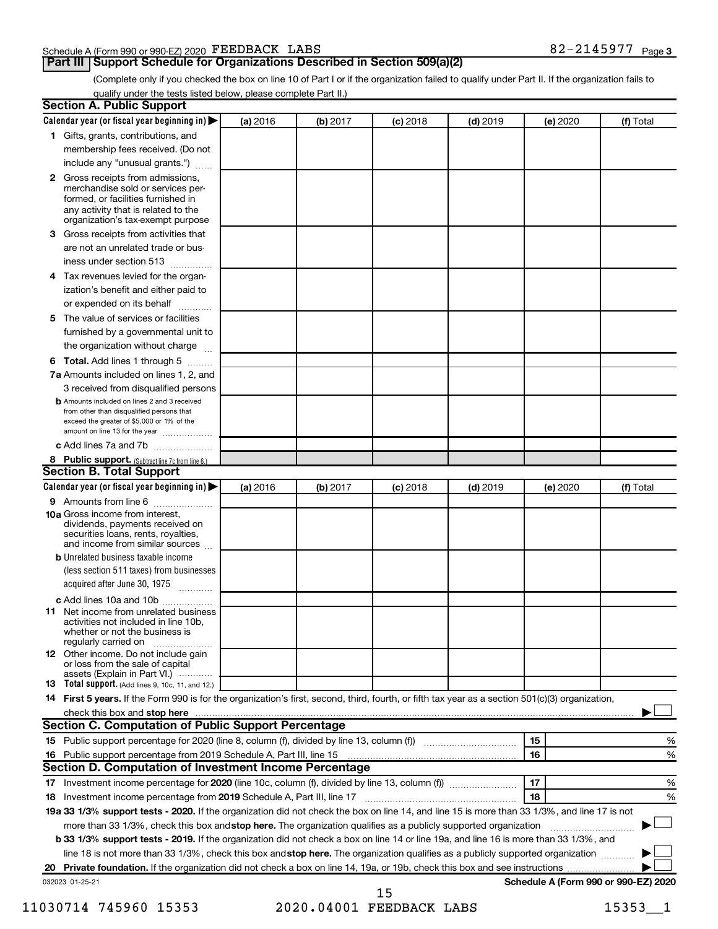#### Schedule A (Form 990 or 990-EZ) 2020 Page FEEDBACK LABS 82-2145977

#### **Part III Support Schedule for Organizations Described in Section 509(a)(2)**

(Complete only if you checked the box on line 10 of Part I or if the organization failed to qualify under Part II. If the organization fails to qualify under the tests listed below, please complete Part II.)

| <b>Section A. Public Support</b>                                                                                                                                                                                                                          |          |          |            |            |          |                                      |  |  |  |
|-----------------------------------------------------------------------------------------------------------------------------------------------------------------------------------------------------------------------------------------------------------|----------|----------|------------|------------|----------|--------------------------------------|--|--|--|
| Calendar year (or fiscal year beginning in)                                                                                                                                                                                                               | (a) 2016 | (b) 2017 | $(c)$ 2018 | $(d)$ 2019 | (e) 2020 | (f) Total                            |  |  |  |
| 1 Gifts, grants, contributions, and                                                                                                                                                                                                                       |          |          |            |            |          |                                      |  |  |  |
| membership fees received. (Do not                                                                                                                                                                                                                         |          |          |            |            |          |                                      |  |  |  |
| include any "unusual grants.")                                                                                                                                                                                                                            |          |          |            |            |          |                                      |  |  |  |
| 2 Gross receipts from admissions,<br>merchandise sold or services per-<br>formed, or facilities furnished in<br>any activity that is related to the<br>organization's tax-exempt purpose                                                                  |          |          |            |            |          |                                      |  |  |  |
| 3 Gross receipts from activities that                                                                                                                                                                                                                     |          |          |            |            |          |                                      |  |  |  |
| are not an unrelated trade or bus-                                                                                                                                                                                                                        |          |          |            |            |          |                                      |  |  |  |
| iness under section 513                                                                                                                                                                                                                                   |          |          |            |            |          |                                      |  |  |  |
| 4 Tax revenues levied for the organ-                                                                                                                                                                                                                      |          |          |            |            |          |                                      |  |  |  |
| ization's benefit and either paid to<br>or expended on its behalf<br>.                                                                                                                                                                                    |          |          |            |            |          |                                      |  |  |  |
| 5 The value of services or facilities                                                                                                                                                                                                                     |          |          |            |            |          |                                      |  |  |  |
| furnished by a governmental unit to                                                                                                                                                                                                                       |          |          |            |            |          |                                      |  |  |  |
| the organization without charge                                                                                                                                                                                                                           |          |          |            |            |          |                                      |  |  |  |
| <b>6 Total.</b> Add lines 1 through 5                                                                                                                                                                                                                     |          |          |            |            |          |                                      |  |  |  |
| 7a Amounts included on lines 1, 2, and                                                                                                                                                                                                                    |          |          |            |            |          |                                      |  |  |  |
| 3 received from disqualified persons                                                                                                                                                                                                                      |          |          |            |            |          |                                      |  |  |  |
| <b>b</b> Amounts included on lines 2 and 3 received<br>from other than disqualified persons that<br>exceed the greater of \$5,000 or 1% of the<br>amount on line 13 for the year                                                                          |          |          |            |            |          |                                      |  |  |  |
| c Add lines 7a and 7b                                                                                                                                                                                                                                     |          |          |            |            |          |                                      |  |  |  |
| 8 Public support. (Subtract line 7c from line 6.)<br><b>Section B. Total Support</b>                                                                                                                                                                      |          |          |            |            |          |                                      |  |  |  |
| Calendar year (or fiscal year beginning in)                                                                                                                                                                                                               | (a) 2016 | (b) 2017 | (c) 2018   | $(d)$ 2019 | (e) 2020 | (f) Total                            |  |  |  |
| <b>9</b> Amounts from line 6                                                                                                                                                                                                                              |          |          |            |            |          |                                      |  |  |  |
| <b>10a</b> Gross income from interest,<br>dividends, payments received on<br>securities loans, rents, royalties,<br>and income from similar sources                                                                                                       |          |          |            |            |          |                                      |  |  |  |
| <b>b</b> Unrelated business taxable income<br>(less section 511 taxes) from businesses<br>acquired after June 30, 1975                                                                                                                                    |          |          |            |            |          |                                      |  |  |  |
| c Add lines 10a and 10b                                                                                                                                                                                                                                   |          |          |            |            |          |                                      |  |  |  |
| <b>11</b> Net income from unrelated business<br>activities not included in line 10b.<br>whether or not the business is<br>regularly carried on                                                                                                            |          |          |            |            |          |                                      |  |  |  |
| 12 Other income. Do not include gain<br>or loss from the sale of capital<br>assets (Explain in Part VI.)                                                                                                                                                  |          |          |            |            |          |                                      |  |  |  |
| <b>13</b> Total support. (Add lines 9, 10c, 11, and 12.)                                                                                                                                                                                                  |          |          |            |            |          |                                      |  |  |  |
| 14 First 5 years. If the Form 990 is for the organization's first, second, third, fourth, or fifth tax year as a section 501(c)(3) organization,                                                                                                          |          |          |            |            |          |                                      |  |  |  |
|                                                                                                                                                                                                                                                           |          |          |            |            |          |                                      |  |  |  |
| <b>Section C. Computation of Public Support Percentage</b>                                                                                                                                                                                                |          |          |            |            |          |                                      |  |  |  |
|                                                                                                                                                                                                                                                           |          |          |            |            | 15       | %                                    |  |  |  |
| 16 Public support percentage from 2019 Schedule A, Part III, line 15                                                                                                                                                                                      |          |          |            |            | 16       | %                                    |  |  |  |
| Section D. Computation of Investment Income Percentage                                                                                                                                                                                                    |          |          |            |            |          |                                      |  |  |  |
|                                                                                                                                                                                                                                                           |          |          |            |            | 17<br>18 | %<br>%                               |  |  |  |
| 18 Investment income percentage from 2019 Schedule A, Part III, line 17<br>19a 33 1/3% support tests - 2020. If the organization did not check the box on line 14, and line 15 is more than 33 1/3%, and line 17 is not                                   |          |          |            |            |          |                                      |  |  |  |
|                                                                                                                                                                                                                                                           |          |          |            |            |          |                                      |  |  |  |
| more than 33 1/3%, check this box and stop here. The organization qualifies as a publicly supported organization<br>b 33 1/3% support tests - 2019. If the organization did not check a box on line 14 or line 19a, and line 16 is more than 33 1/3%, and |          |          |            |            |          |                                      |  |  |  |
| line 18 is not more than 33 1/3%, check this box and stop here. The organization qualifies as a publicly supported organization                                                                                                                           |          |          |            |            |          |                                      |  |  |  |
|                                                                                                                                                                                                                                                           |          |          |            |            |          |                                      |  |  |  |
| 032023 01-25-21                                                                                                                                                                                                                                           |          |          |            |            |          | Schedule A (Form 990 or 990-EZ) 2020 |  |  |  |
|                                                                                                                                                                                                                                                           |          |          | 15         |            |          |                                      |  |  |  |

11030714 745960 15353 2020.04001 FEEDBACK LABS 15353 1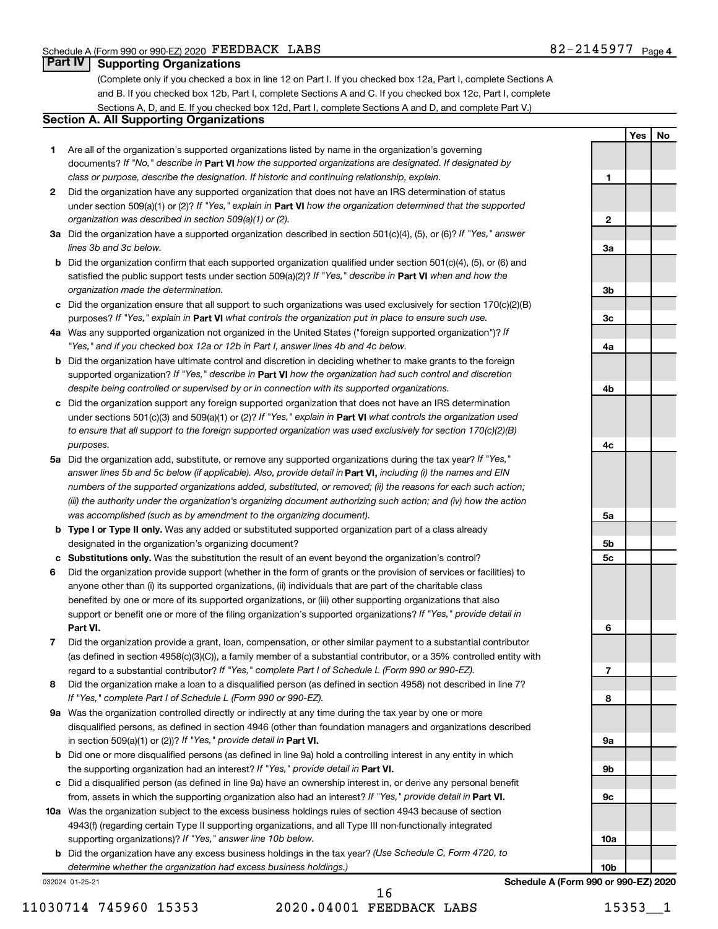**1**

**Yes No**

#### **Part IV Supporting Organizations**

(Complete only if you checked a box in line 12 on Part I. If you checked box 12a, Part I, complete Sections A and B. If you checked box 12b, Part I, complete Sections A and C. If you checked box 12c, Part I, complete Sections A, D, and E. If you checked box 12d, Part I, complete Sections A and D, and complete Part V.)

### **Section A. All Supporting Organizations**

- **1** Are all of the organization's supported organizations listed by name in the organization's governing documents? If "No," describe in Part VI how the supported organizations are designated. If designated by *class or purpose, describe the designation. If historic and continuing relationship, explain.*
- **2** Did the organization have any supported organization that does not have an IRS determination of status under section 509(a)(1) or (2)? If "Yes," explain in Part **VI** how the organization determined that the supported *organization was described in section 509(a)(1) or (2).*
- **3a** Did the organization have a supported organization described in section 501(c)(4), (5), or (6)? If "Yes," answer *lines 3b and 3c below.*
- **b** Did the organization confirm that each supported organization qualified under section 501(c)(4), (5), or (6) and satisfied the public support tests under section 509(a)(2)? If "Yes," describe in Part VI when and how the *organization made the determination.*
- **c** Did the organization ensure that all support to such organizations was used exclusively for section 170(c)(2)(B) purposes? If "Yes," explain in Part VI what controls the organization put in place to ensure such use.
- **4 a** *If* Was any supported organization not organized in the United States ("foreign supported organization")? *"Yes," and if you checked box 12a or 12b in Part I, answer lines 4b and 4c below.*
- **b** Did the organization have ultimate control and discretion in deciding whether to make grants to the foreign supported organization? If "Yes," describe in Part VI how the organization had such control and discretion *despite being controlled or supervised by or in connection with its supported organizations.*
- **c** Did the organization support any foreign supported organization that does not have an IRS determination under sections 501(c)(3) and 509(a)(1) or (2)? If "Yes," explain in Part VI what controls the organization used *to ensure that all support to the foreign supported organization was used exclusively for section 170(c)(2)(B) purposes.*
- **5a** Did the organization add, substitute, or remove any supported organizations during the tax year? If "Yes," answer lines 5b and 5c below (if applicable). Also, provide detail in **Part VI,** including (i) the names and EIN *numbers of the supported organizations added, substituted, or removed; (ii) the reasons for each such action; (iii) the authority under the organization's organizing document authorizing such action; and (iv) how the action was accomplished (such as by amendment to the organizing document).*
- **b Type I or Type II only.** Was any added or substituted supported organization part of a class already designated in the organization's organizing document?
- **c Substitutions only.**  Was the substitution the result of an event beyond the organization's control?
- **6** Did the organization provide support (whether in the form of grants or the provision of services or facilities) to **Part VI.** support or benefit one or more of the filing organization's supported organizations? If "Yes," provide detail in anyone other than (i) its supported organizations, (ii) individuals that are part of the charitable class benefited by one or more of its supported organizations, or (iii) other supporting organizations that also
- **7** Did the organization provide a grant, loan, compensation, or other similar payment to a substantial contributor regard to a substantial contributor? If "Yes," complete Part I of Schedule L (Form 990 or 990-EZ). (as defined in section 4958(c)(3)(C)), a family member of a substantial contributor, or a 35% controlled entity with
- **8** Did the organization make a loan to a disqualified person (as defined in section 4958) not described in line 7? *If "Yes," complete Part I of Schedule L (Form 990 or 990-EZ).*
- **9 a** Was the organization controlled directly or indirectly at any time during the tax year by one or more in section 509(a)(1) or (2))? If "Yes," provide detail in **Part VI.** disqualified persons, as defined in section 4946 (other than foundation managers and organizations described
- **b** Did one or more disqualified persons (as defined in line 9a) hold a controlling interest in any entity in which the supporting organization had an interest? If "Yes," provide detail in Part VI.
- **c** Did a disqualified person (as defined in line 9a) have an ownership interest in, or derive any personal benefit from, assets in which the supporting organization also had an interest? If "Yes," provide detail in Part VI.
- **10 a** Was the organization subject to the excess business holdings rules of section 4943 because of section supporting organizations)? If "Yes," answer line 10b below. 4943(f) (regarding certain Type II supporting organizations, and all Type III non-functionally integrated
	- **b** Did the organization have any excess business holdings in the tax year? (Use Schedule C, Form 4720, to *determine whether the organization had excess business holdings.)*

032024 01-25-21

11030714 745960 15353 2020.04001 FEEDBACK LABS 15353\_\_1 16

**2 3a 3b 3c 4a 4b 4c 5a 5b 5c 6 7 8 9a 9b 9c 10a 10b**

**Schedule A (Form 990 or 990-EZ) 2020**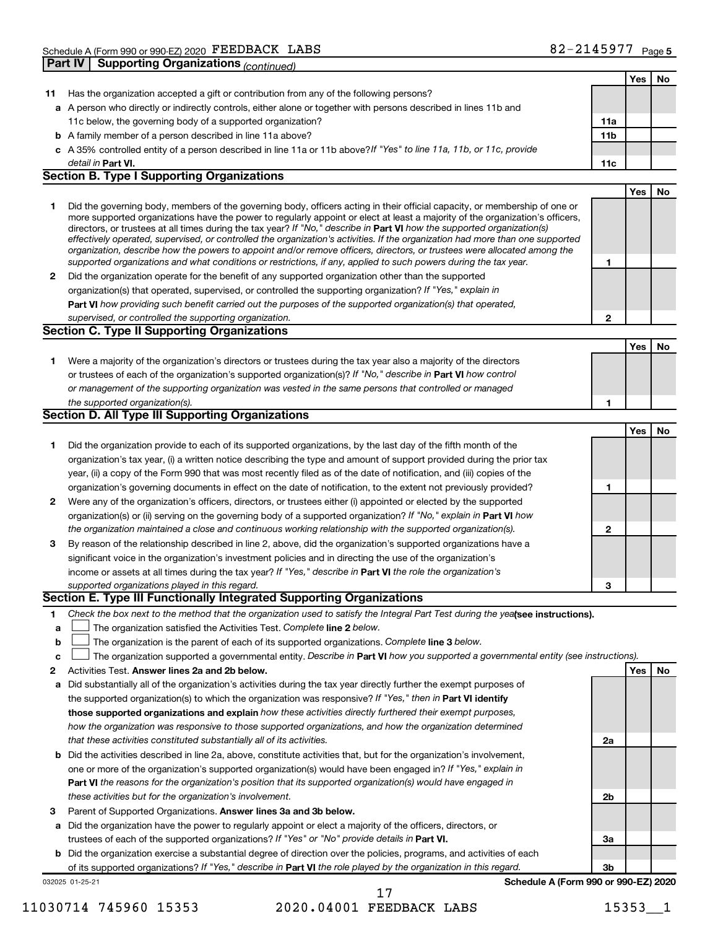|    |                                                                                                                                                                                                                                                            |                 | Yes | No |
|----|------------------------------------------------------------------------------------------------------------------------------------------------------------------------------------------------------------------------------------------------------------|-----------------|-----|----|
| 11 | Has the organization accepted a gift or contribution from any of the following persons?                                                                                                                                                                    |                 |     |    |
|    | a A person who directly or indirectly controls, either alone or together with persons described in lines 11b and                                                                                                                                           |                 |     |    |
|    | 11c below, the governing body of a supported organization?                                                                                                                                                                                                 | 11a             |     |    |
|    | <b>b</b> A family member of a person described in line 11a above?                                                                                                                                                                                          | 11 <sub>b</sub> |     |    |
|    | c A 35% controlled entity of a person described in line 11a or 11b above?If "Yes" to line 11a, 11b, or 11c, provide                                                                                                                                        |                 |     |    |
|    | detail in Part VI.                                                                                                                                                                                                                                         | 11c             |     |    |
|    | <b>Section B. Type I Supporting Organizations</b>                                                                                                                                                                                                          |                 |     |    |
|    |                                                                                                                                                                                                                                                            |                 | Yes | No |
| 1  | Did the governing body, members of the governing body, officers acting in their official capacity, or membership of one or                                                                                                                                 |                 |     |    |
|    | more supported organizations have the power to regularly appoint or elect at least a majority of the organization's officers,                                                                                                                              |                 |     |    |
|    | directors, or trustees at all times during the tax year? If "No," describe in Part VI how the supported organization(s)                                                                                                                                    |                 |     |    |
|    | effectively operated, supervised, or controlled the organization's activities. If the organization had more than one supported<br>organization, describe how the powers to appoint and/or remove officers, directors, or trustees were allocated among the |                 |     |    |
|    | supported organizations and what conditions or restrictions, if any, applied to such powers during the tax year.                                                                                                                                           | 1               |     |    |
| 2  | Did the organization operate for the benefit of any supported organization other than the supported                                                                                                                                                        |                 |     |    |
|    | organization(s) that operated, supervised, or controlled the supporting organization? If "Yes," explain in                                                                                                                                                 |                 |     |    |
|    | Part VI how providing such benefit carried out the purposes of the supported organization(s) that operated,                                                                                                                                                |                 |     |    |
|    | supervised, or controlled the supporting organization.                                                                                                                                                                                                     | $\mathbf{2}$    |     |    |
|    | <b>Section C. Type II Supporting Organizations</b>                                                                                                                                                                                                         |                 |     |    |
|    |                                                                                                                                                                                                                                                            |                 | Yes | No |
| 1  | Were a majority of the organization's directors or trustees during the tax year also a majority of the directors                                                                                                                                           |                 |     |    |
|    | or trustees of each of the organization's supported organization(s)? If "No," describe in Part VI how control                                                                                                                                              |                 |     |    |
|    | or management of the supporting organization was vested in the same persons that controlled or managed                                                                                                                                                     |                 |     |    |
|    | the supported organization(s).                                                                                                                                                                                                                             | 1               |     |    |
|    | <b>Section D. All Type III Supporting Organizations</b>                                                                                                                                                                                                    |                 |     |    |
|    |                                                                                                                                                                                                                                                            |                 | Yes | No |
| 1  | Did the organization provide to each of its supported organizations, by the last day of the fifth month of the                                                                                                                                             |                 |     |    |
|    | organization's tax year, (i) a written notice describing the type and amount of support provided during the prior tax                                                                                                                                      |                 |     |    |
|    | year, (ii) a copy of the Form 990 that was most recently filed as of the date of notification, and (iii) copies of the                                                                                                                                     |                 |     |    |
|    | organization's governing documents in effect on the date of notification, to the extent not previously provided?                                                                                                                                           | 1               |     |    |
| 2  | Were any of the organization's officers, directors, or trustees either (i) appointed or elected by the supported                                                                                                                                           |                 |     |    |
|    | organization(s) or (ii) serving on the governing body of a supported organization? If "No," explain in Part VI how                                                                                                                                         |                 |     |    |
|    | the organization maintained a close and continuous working relationship with the supported organization(s).                                                                                                                                                | 2               |     |    |
| 3  | By reason of the relationship described in line 2, above, did the organization's supported organizations have a                                                                                                                                            |                 |     |    |
|    | significant voice in the organization's investment policies and in directing the use of the organization's                                                                                                                                                 |                 |     |    |
|    | income or assets at all times during the tax year? If "Yes," describe in Part VI the role the organization's                                                                                                                                               |                 |     |    |
|    | supported organizations played in this regard.                                                                                                                                                                                                             | 3               |     |    |
|    | Section E. Type III Functionally Integrated Supporting Organizations                                                                                                                                                                                       |                 |     |    |
| 1  | Check the box next to the method that the organization used to satisfy the Integral Part Test during the yealsee instructions).                                                                                                                            |                 |     |    |
| a  | The organization satisfied the Activities Test. Complete line 2 below.                                                                                                                                                                                     |                 |     |    |
| b  | The organization is the parent of each of its supported organizations. Complete line 3 below.                                                                                                                                                              |                 |     |    |
| c  | The organization supported a governmental entity. Describe in Part VI how you supported a governmental entity (see instructions).                                                                                                                          |                 |     |    |
| 2  | Activities Test. Answer lines 2a and 2b below.                                                                                                                                                                                                             |                 | Yes | No |
| а  | Did substantially all of the organization's activities during the tax year directly further the exempt purposes of                                                                                                                                         |                 |     |    |
|    | the supported organization(s) to which the organization was responsive? If "Yes," then in Part VI identify                                                                                                                                                 |                 |     |    |
|    | those supported organizations and explain how these activities directly furthered their exempt purposes,                                                                                                                                                   |                 |     |    |
|    | how the organization was responsive to those supported organizations, and how the organization determined                                                                                                                                                  |                 |     |    |
|    | that these activities constituted substantially all of its activities.                                                                                                                                                                                     | 2a              |     |    |
| b  | Did the activities described in line 2a, above, constitute activities that, but for the organization's involvement,                                                                                                                                        |                 |     |    |
|    | one or more of the organization's supported organization(s) would have been engaged in? If "Yes," explain in                                                                                                                                               |                 |     |    |
|    | <b>Part VI</b> the reasons for the organization's position that its supported organization(s) would have engaged in                                                                                                                                        |                 |     |    |
|    | these activities but for the organization's involvement.                                                                                                                                                                                                   | 2b              |     |    |
| З  | Parent of Supported Organizations. Answer lines 3a and 3b below.                                                                                                                                                                                           |                 |     |    |
| а  | Did the organization have the power to regularly appoint or elect a majority of the officers, directors, or                                                                                                                                                |                 |     |    |
|    | trustees of each of the supported organizations? If "Yes" or "No" provide details in Part VI.                                                                                                                                                              | За              |     |    |
|    | <b>b</b> Did the organization exercise a substantial degree of direction over the policies, programs, and activities of each                                                                                                                               |                 |     |    |
|    | of its supported organizations? If "Yes," describe in Part VI the role played by the organization in this regard.                                                                                                                                          | 3b              |     |    |
|    | Schedule A (Form 990 or 990-EZ) 2020<br>032025 01-25-21                                                                                                                                                                                                    |                 |     |    |

<sup>11030714 745960 15353 2020.04001</sup> FEEDBACK LABS 15353 1 17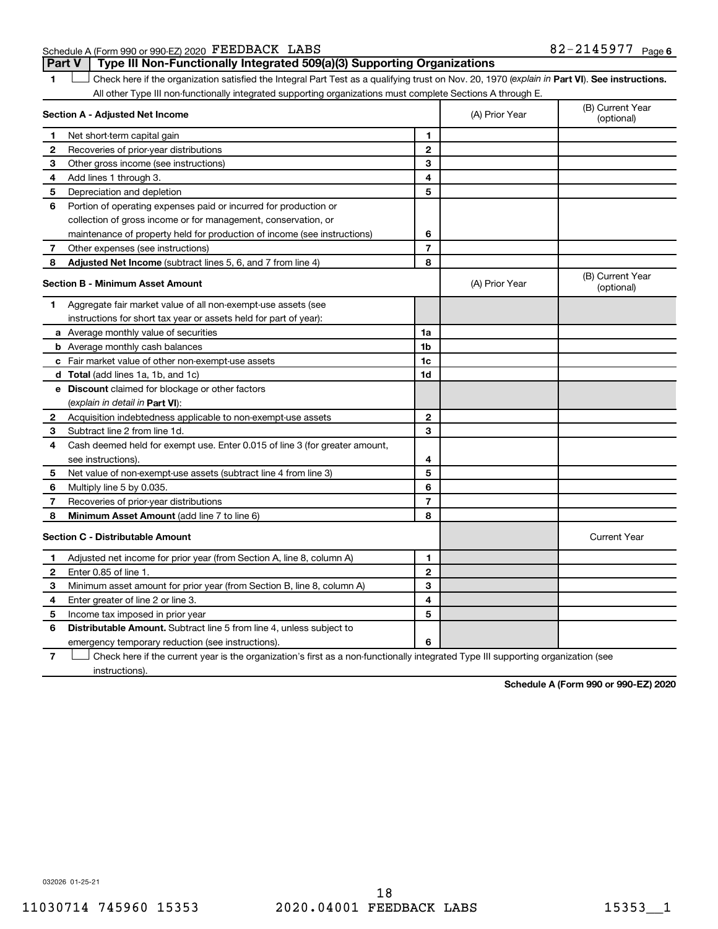Schedule A (Form 990 or 990-EZ) 2020 Page FEEDBACK LABS 82-2145977

**Part V Type III Non-Functionally Integrated 509(a)(3) Supporting Organizations** 

1 **Letter See instructions.** Check here if the organization satisfied the Integral Part Test as a qualifying trust on Nov. 20, 1970 (*explain in* Part **VI**). See instructions. All other Type III non-functionally integrated supporting organizations must complete Sections A through E.

|   | Section A - Adjusted Net Income                                             |                | (A) Prior Year | (B) Current Year<br>(optional) |
|---|-----------------------------------------------------------------------------|----------------|----------------|--------------------------------|
| 1 | Net short-term capital gain                                                 | 1              |                |                                |
| 2 | Recoveries of prior-year distributions                                      | $\mathbf{2}$   |                |                                |
| 3 | Other gross income (see instructions)                                       | 3              |                |                                |
| 4 | Add lines 1 through 3.                                                      | 4              |                |                                |
| 5 | Depreciation and depletion                                                  | 5              |                |                                |
| 6 | Portion of operating expenses paid or incurred for production or            |                |                |                                |
|   | collection of gross income or for management, conservation, or              |                |                |                                |
|   | maintenance of property held for production of income (see instructions)    | 6              |                |                                |
| 7 | Other expenses (see instructions)                                           | $\overline{7}$ |                |                                |
| 8 | Adjusted Net Income (subtract lines 5, 6, and 7 from line 4)                | 8              |                |                                |
|   | <b>Section B - Minimum Asset Amount</b>                                     |                | (A) Prior Year | (B) Current Year<br>(optional) |
| 1 | Aggregate fair market value of all non-exempt-use assets (see               |                |                |                                |
|   | instructions for short tax year or assets held for part of year):           |                |                |                                |
|   | a Average monthly value of securities                                       | 1a             |                |                                |
|   | <b>b</b> Average monthly cash balances                                      | 1 <sub>b</sub> |                |                                |
|   | c Fair market value of other non-exempt-use assets                          | 1c             |                |                                |
|   | d Total (add lines 1a, 1b, and 1c)                                          | 1d             |                |                                |
|   | e Discount claimed for blockage or other factors                            |                |                |                                |
|   | (explain in detail in <b>Part VI</b> ):                                     |                |                |                                |
| 2 | Acquisition indebtedness applicable to non-exempt-use assets                | $\mathbf{2}$   |                |                                |
| 3 | Subtract line 2 from line 1d.                                               | 3              |                |                                |
| 4 | Cash deemed held for exempt use. Enter 0.015 of line 3 (for greater amount, |                |                |                                |
|   | see instructions).                                                          | 4              |                |                                |
| 5 | Net value of non-exempt-use assets (subtract line 4 from line 3)            | 5              |                |                                |
| 6 | Multiply line 5 by 0.035.                                                   | 6              |                |                                |
| 7 | Recoveries of prior-year distributions                                      | $\overline{7}$ |                |                                |
| 8 | <b>Minimum Asset Amount (add line 7 to line 6)</b>                          | 8              |                |                                |
|   | <b>Section C - Distributable Amount</b>                                     |                |                | <b>Current Year</b>            |
| 1 | Adjusted net income for prior year (from Section A, line 8, column A)       | 1              |                |                                |
| 2 | Enter 0.85 of line 1.                                                       | $\mathbf{2}$   |                |                                |
| 3 | Minimum asset amount for prior year (from Section B, line 8, column A)      | 3              |                |                                |
| 4 | Enter greater of line 2 or line 3.                                          | 4              |                |                                |
| 5 | Income tax imposed in prior year                                            | 5              |                |                                |
| 6 | <b>Distributable Amount.</b> Subtract line 5 from line 4, unless subject to |                |                |                                |
|   | emergency temporary reduction (see instructions).                           | 6              |                |                                |
|   |                                                                             |                |                |                                |

**7** Check here if the current year is the organization's first as a non-functionally integrated Type III supporting organization (see † instructions).

**Schedule A (Form 990 or 990-EZ) 2020**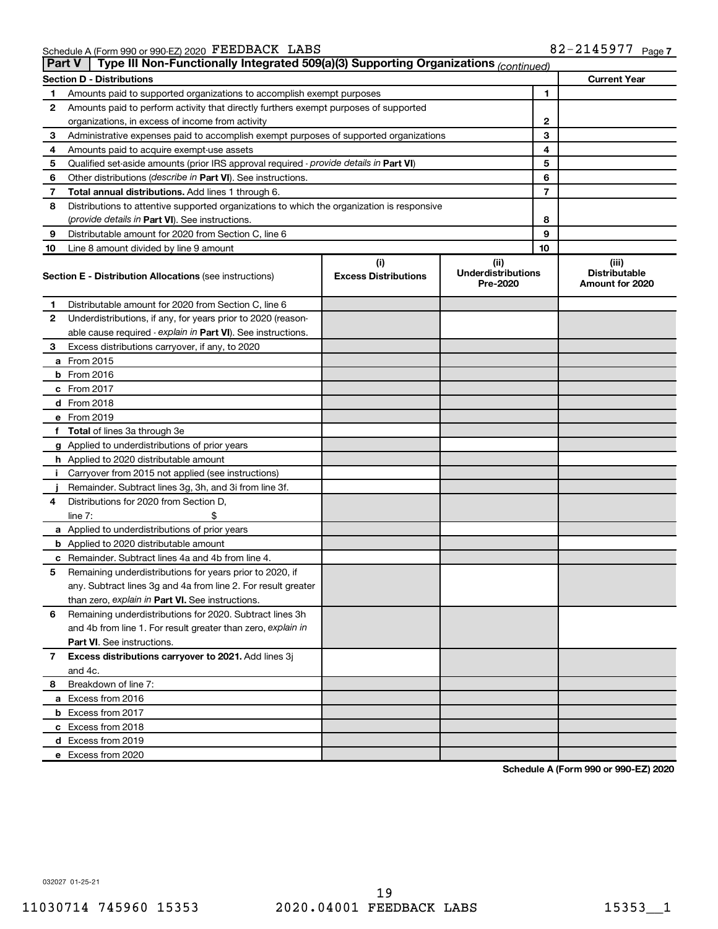|    | Type III Non-Functionally Integrated 509(a)(3) Supporting Organizations (continued)<br><b>Part V</b> |                                    |                                               |                                                  |  |  |  |  |  |  |  |
|----|------------------------------------------------------------------------------------------------------|------------------------------------|-----------------------------------------------|--------------------------------------------------|--|--|--|--|--|--|--|
|    | <b>Section D - Distributions</b>                                                                     |                                    |                                               | <b>Current Year</b>                              |  |  |  |  |  |  |  |
| 1  | Amounts paid to supported organizations to accomplish exempt purposes                                |                                    | 1                                             |                                                  |  |  |  |  |  |  |  |
| 2  | Amounts paid to perform activity that directly furthers exempt purposes of supported                 |                                    |                                               |                                                  |  |  |  |  |  |  |  |
|    | organizations, in excess of income from activity                                                     |                                    | 2                                             |                                                  |  |  |  |  |  |  |  |
| 3  | Administrative expenses paid to accomplish exempt purposes of supported organizations                |                                    | 3                                             |                                                  |  |  |  |  |  |  |  |
| 4  | Amounts paid to acquire exempt-use assets                                                            |                                    | 4                                             |                                                  |  |  |  |  |  |  |  |
| 5  | Qualified set-aside amounts (prior IRS approval required - provide details in Part VI)               |                                    | 5                                             |                                                  |  |  |  |  |  |  |  |
| 6  | Other distributions ( <i>describe in Part VI</i> ). See instructions.                                |                                    | 6                                             |                                                  |  |  |  |  |  |  |  |
| 7  | Total annual distributions. Add lines 1 through 6.                                                   |                                    | 7                                             |                                                  |  |  |  |  |  |  |  |
| 8  | Distributions to attentive supported organizations to which the organization is responsive           |                                    |                                               |                                                  |  |  |  |  |  |  |  |
|    | ( <i>provide details in Part VI</i> ). See instructions.                                             |                                    | 8                                             |                                                  |  |  |  |  |  |  |  |
| 9  | Distributable amount for 2020 from Section C, line 6                                                 |                                    | 9                                             |                                                  |  |  |  |  |  |  |  |
| 10 | Line 8 amount divided by line 9 amount                                                               |                                    | 10                                            |                                                  |  |  |  |  |  |  |  |
|    | <b>Section E - Distribution Allocations (see instructions)</b>                                       | (i)<br><b>Excess Distributions</b> | (ii)<br><b>Underdistributions</b><br>Pre-2020 | (iii)<br><b>Distributable</b><br>Amount for 2020 |  |  |  |  |  |  |  |
| 1  | Distributable amount for 2020 from Section C, line 6                                                 |                                    |                                               |                                                  |  |  |  |  |  |  |  |
| 2  | Underdistributions, if any, for years prior to 2020 (reason-                                         |                                    |                                               |                                                  |  |  |  |  |  |  |  |
|    | able cause required - explain in Part VI). See instructions.                                         |                                    |                                               |                                                  |  |  |  |  |  |  |  |
| 3  | Excess distributions carryover, if any, to 2020                                                      |                                    |                                               |                                                  |  |  |  |  |  |  |  |
|    | a From 2015                                                                                          |                                    |                                               |                                                  |  |  |  |  |  |  |  |
|    | $b$ From 2016                                                                                        |                                    |                                               |                                                  |  |  |  |  |  |  |  |
|    | c From 2017                                                                                          |                                    |                                               |                                                  |  |  |  |  |  |  |  |
|    | d From 2018                                                                                          |                                    |                                               |                                                  |  |  |  |  |  |  |  |
|    | e From 2019                                                                                          |                                    |                                               |                                                  |  |  |  |  |  |  |  |
|    | f Total of lines 3a through 3e                                                                       |                                    |                                               |                                                  |  |  |  |  |  |  |  |
|    | g Applied to underdistributions of prior years                                                       |                                    |                                               |                                                  |  |  |  |  |  |  |  |
|    | <b>h</b> Applied to 2020 distributable amount                                                        |                                    |                                               |                                                  |  |  |  |  |  |  |  |
|    | Carryover from 2015 not applied (see instructions)                                                   |                                    |                                               |                                                  |  |  |  |  |  |  |  |
|    | Remainder. Subtract lines 3g, 3h, and 3i from line 3f.                                               |                                    |                                               |                                                  |  |  |  |  |  |  |  |
| 4  | Distributions for 2020 from Section D,                                                               |                                    |                                               |                                                  |  |  |  |  |  |  |  |
|    | line $7:$                                                                                            |                                    |                                               |                                                  |  |  |  |  |  |  |  |
|    | a Applied to underdistributions of prior years                                                       |                                    |                                               |                                                  |  |  |  |  |  |  |  |
|    | <b>b</b> Applied to 2020 distributable amount                                                        |                                    |                                               |                                                  |  |  |  |  |  |  |  |
|    | <b>c</b> Remainder. Subtract lines 4a and 4b from line 4.                                            |                                    |                                               |                                                  |  |  |  |  |  |  |  |
| 5  | Remaining underdistributions for years prior to 2020, if                                             |                                    |                                               |                                                  |  |  |  |  |  |  |  |
|    | any. Subtract lines 3g and 4a from line 2. For result greater                                        |                                    |                                               |                                                  |  |  |  |  |  |  |  |
|    | than zero, explain in Part VI. See instructions.                                                     |                                    |                                               |                                                  |  |  |  |  |  |  |  |
| 6  | Remaining underdistributions for 2020. Subtract lines 3h                                             |                                    |                                               |                                                  |  |  |  |  |  |  |  |
|    | and 4b from line 1. For result greater than zero, explain in                                         |                                    |                                               |                                                  |  |  |  |  |  |  |  |
|    | <b>Part VI.</b> See instructions.                                                                    |                                    |                                               |                                                  |  |  |  |  |  |  |  |
| 7  | Excess distributions carryover to 2021. Add lines 3j                                                 |                                    |                                               |                                                  |  |  |  |  |  |  |  |
|    | and 4c.                                                                                              |                                    |                                               |                                                  |  |  |  |  |  |  |  |
| 8  | Breakdown of line 7:                                                                                 |                                    |                                               |                                                  |  |  |  |  |  |  |  |
|    | a Excess from 2016                                                                                   |                                    |                                               |                                                  |  |  |  |  |  |  |  |
|    | <b>b</b> Excess from 2017                                                                            |                                    |                                               |                                                  |  |  |  |  |  |  |  |
|    | c Excess from 2018                                                                                   |                                    |                                               |                                                  |  |  |  |  |  |  |  |
|    | d Excess from 2019                                                                                   |                                    |                                               |                                                  |  |  |  |  |  |  |  |
|    | e Excess from 2020                                                                                   |                                    |                                               |                                                  |  |  |  |  |  |  |  |

**Schedule A (Form 990 or 990-EZ) 2020**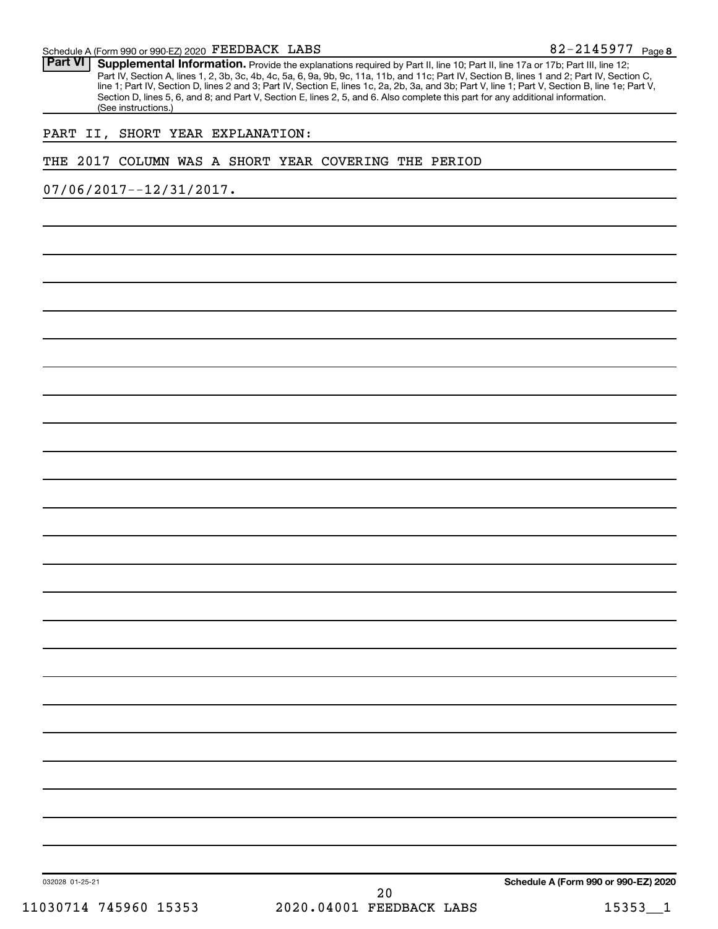Part VI | Supplemental Information. Provide the explanations required by Part II, line 10; Part II, line 17a or 17b; Part III, line 12; Part IV, Section A, lines 1, 2, 3b, 3c, 4b, 4c, 5a, 6, 9a, 9b, 9c, 11a, 11b, and 11c; Part IV, Section B, lines 1 and 2; Part IV, Section C, line 1; Part IV, Section D, lines 2 and 3; Part IV, Section E, lines 1c, 2a, 2b, 3a, and 3b; Part V, line 1; Part V, Section B, line 1e; Part V, Section D, lines 5, 6, and 8; and Part V, Section E, lines 2, 5, and 6. Also complete this part for any additional information. (See instructions.)

#### PART II, SHORT YEAR EXPLANATION:

#### THE 2017 COLUMN WAS A SHORT YEAR COVERING THE PERIOD

07/06/2017--12/31/2017.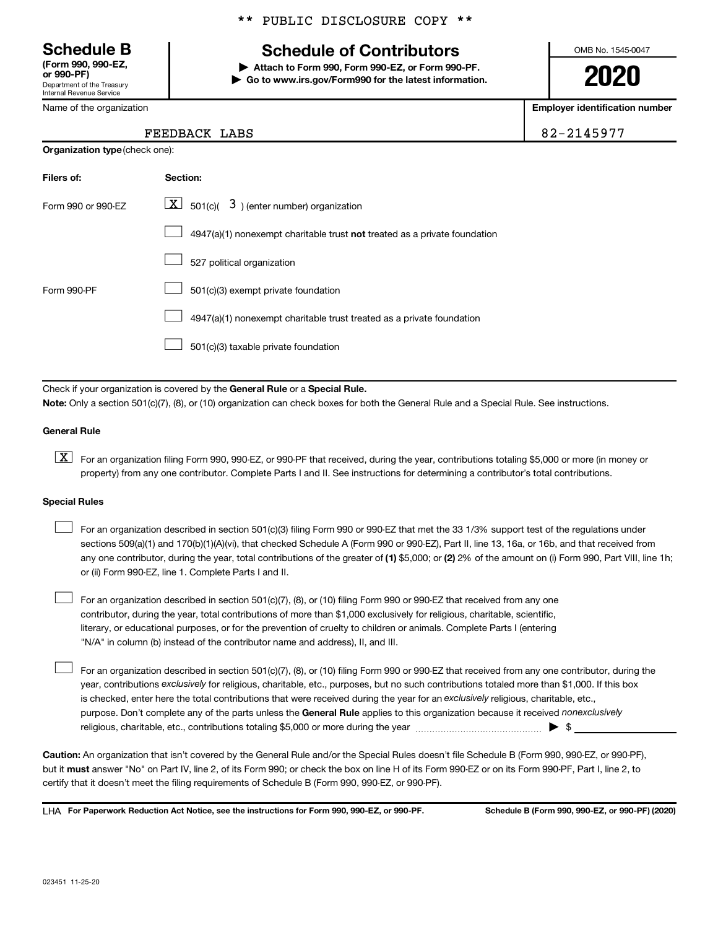Department of the Treasury Internal Revenue Service **(Form 990, 990-EZ,**

Name of the organization

**Organization type** (check one):

#### \*\* PUBLIC DISCLOSURE COPY \*\*

## **Schedule B Schedule of Contributors**

**or 990-PF) | Attach to Form 990, Form 990-EZ, or Form 990-PF. | Go to www.irs.gov/Form990 for the latest information.** OMB No. 1545-0047

**2020**

**Employer identification number**

|  | 2-2145977 |  |
|--|-----------|--|
|  |           |  |

| FEEDBACK LABS | 82-2145977 |
|---------------|------------|
|               |            |

| Filers of:         | Section:                                                                  |
|--------------------|---------------------------------------------------------------------------|
| Form 990 or 990-EZ | $\boxed{\textbf{X}}$ 501(c)( 3) (enter number) organization               |
|                    | 4947(a)(1) nonexempt charitable trust not treated as a private foundation |
|                    | 527 political organization                                                |
| Form 990-PF        | 501(c)(3) exempt private foundation                                       |
|                    | 4947(a)(1) nonexempt charitable trust treated as a private foundation     |
|                    | 501(c)(3) taxable private foundation                                      |

Check if your organization is covered by the General Rule or a Special Rule.

**Note:**  Only a section 501(c)(7), (8), or (10) organization can check boxes for both the General Rule and a Special Rule. See instructions.

#### **General Rule**

**K** For an organization filing Form 990, 990-EZ, or 990-PF that received, during the year, contributions totaling \$5,000 or more (in money or property) from any one contributor. Complete Parts I and II. See instructions for determining a contributor's total contributions.

#### **Special Rules**

 $\Box$ 

any one contributor, during the year, total contributions of the greater of (1) \$5,000; or (2) 2% of the amount on (i) Form 990, Part VIII, line 1h; For an organization described in section 501(c)(3) filing Form 990 or 990-EZ that met the 33 1/3% support test of the regulations under sections 509(a)(1) and 170(b)(1)(A)(vi), that checked Schedule A (Form 990 or 990-EZ), Part II, line 13, 16a, or 16b, and that received from or (ii) Form 990-EZ, line 1. Complete Parts I and II.  $\Box$ 

For an organization described in section 501(c)(7), (8), or (10) filing Form 990 or 990-EZ that received from any one contributor, during the year, total contributions of more than \$1,000 exclusively for religious, charitable, scientific, literary, or educational purposes, or for the prevention of cruelty to children or animals. Complete Parts I (entering "N/A" in column (b) instead of the contributor name and address), II, and III.  $\Box$ 

purpose. Don't complete any of the parts unless the General Rule applies to this organization because it received nonexclusively year, contributions exclusively for religious, charitable, etc., purposes, but no such contributions totaled more than \$1,000. If this box is checked, enter here the total contributions that were received during the year for an exclusively religious, charitable, etc., For an organization described in section 501(c)(7), (8), or (10) filing Form 990 or 990-EZ that received from any one contributor, during the religious, charitable, etc., contributions totaling \$5,000 or more during the year  $~\ldots\ldots\ldots\ldots\ldots\ldots\ldots\ldots\blacktriangleright~$ \$

**Caution:**  An organization that isn't covered by the General Rule and/or the Special Rules doesn't file Schedule B (Form 990, 990-EZ, or 990-PF),  **must** but it answer "No" on Part IV, line 2, of its Form 990; or check the box on line H of its Form 990-EZ or on its Form 990-PF, Part I, line 2, to certify that it doesn't meet the filing requirements of Schedule B (Form 990, 990-EZ, or 990-PF).

**For Paperwork Reduction Act Notice, see the instructions for Form 990, 990-EZ, or 990-PF. Schedule B (Form 990, 990-EZ, or 990-PF) (2020)** LHA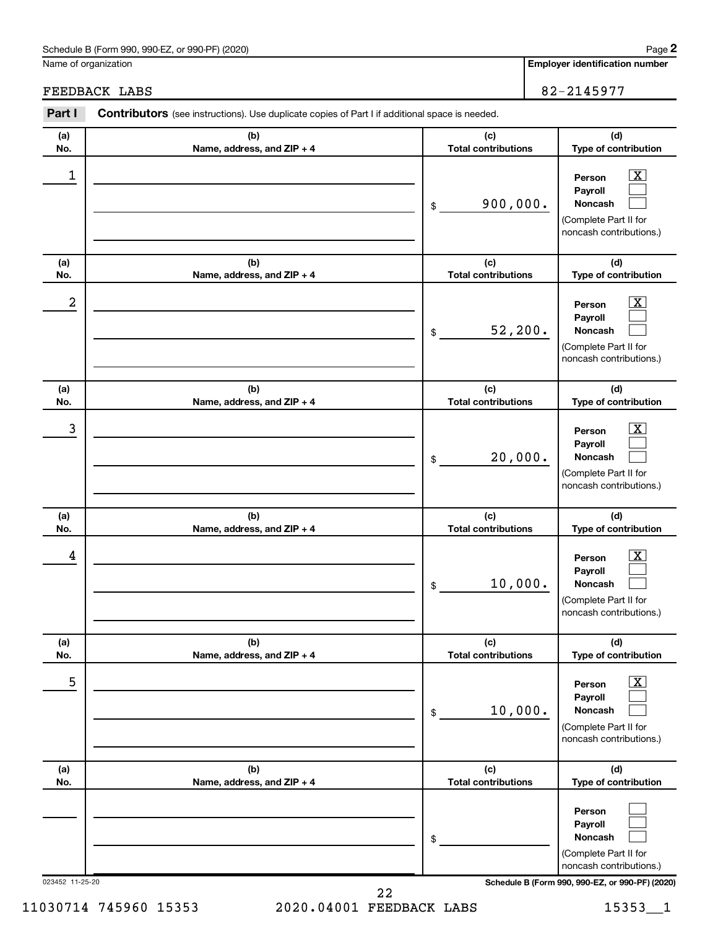#### Schedule B (Form 990, 990-EZ, or 990-PF) (2020)

Name of organization

**Employer identification number**

### FEEDBACK LABS 82-2145977

| Part I          | Contributors (see instructions). Use duplicate copies of Part I if additional space is needed. |                                                |                                                                                                                                     |  |  |  |  |
|-----------------|------------------------------------------------------------------------------------------------|------------------------------------------------|-------------------------------------------------------------------------------------------------------------------------------------|--|--|--|--|
| (a)             | (b)                                                                                            | (c)                                            | (d)                                                                                                                                 |  |  |  |  |
| No.<br>1        | Name, address, and ZIP + 4                                                                     | <b>Total contributions</b><br>900,000.<br>$\$$ | Type of contribution<br>$\overline{\mathbf{X}}$<br>Person<br>Payroll<br>Noncash<br>(Complete Part II for<br>noncash contributions.) |  |  |  |  |
| (a)<br>No.      | (b)<br>Name, address, and ZIP + 4                                                              | (c)<br><b>Total contributions</b>              | (d)<br>Type of contribution                                                                                                         |  |  |  |  |
| 2               |                                                                                                | 52, 200.<br>$\$$                               | $\overline{\mathbf{X}}$<br>Person<br>Payroll<br>Noncash<br>(Complete Part II for<br>noncash contributions.)                         |  |  |  |  |
| (a)<br>No.      | (b)<br>Name, address, and ZIP + 4                                                              | (c)<br><b>Total contributions</b>              | (d)<br>Type of contribution                                                                                                         |  |  |  |  |
| 3               |                                                                                                | 20,000.<br>$\$$                                | $\overline{\mathbf{X}}$<br>Person<br>Payroll<br>Noncash<br>(Complete Part II for<br>noncash contributions.)                         |  |  |  |  |
| (a)<br>No.      | (b)<br>Name, address, and ZIP + 4                                                              | (c)<br><b>Total contributions</b>              | (d)<br>Type of contribution                                                                                                         |  |  |  |  |
| 4               |                                                                                                | 10,000.<br>$\$$                                | $\overline{\mathbf{X}}$<br>Person<br>Payroll<br>Noncash<br>(Complete Part II for<br>noncash contributions.)                         |  |  |  |  |
| (a)<br>No.      | (b)<br>Name, address, and ZIP + 4                                                              | (c)<br><b>Total contributions</b>              | (d)<br>Type of contribution                                                                                                         |  |  |  |  |
| 5               |                                                                                                | 10,000.<br>$\$$                                | $\overline{\textbf{x}}$<br>Person<br>Payroll<br>Noncash<br>(Complete Part II for<br>noncash contributions.)                         |  |  |  |  |
| (a)<br>No.      | (b)<br>Name, address, and ZIP + 4                                                              | (c)<br><b>Total contributions</b>              | (d)<br>Type of contribution                                                                                                         |  |  |  |  |
|                 |                                                                                                | \$                                             | Person<br>Payroll<br>Noncash<br>(Complete Part II for<br>noncash contributions.)                                                    |  |  |  |  |
| 023452 11-25-20 |                                                                                                |                                                | Schedule B (Form 990, 990-EZ, or 990-PF) (2020)                                                                                     |  |  |  |  |

11030714 745960 15353 2020.04001 FEEDBACK LABS 1535311 22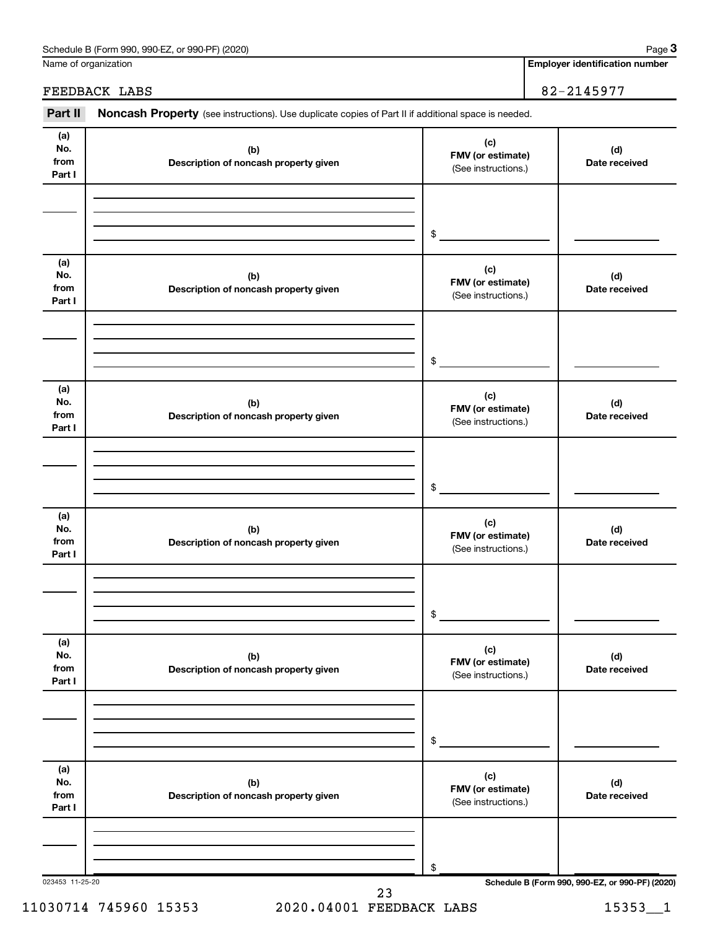| Schedule B (Form 990, 990-EZ, or 990-PF) (2020) | Paɑe |
|-------------------------------------------------|------|
|-------------------------------------------------|------|

Name of organization

**Employer identification number**

FEEDBACK LABS 82-2145977

# Part II Noncash Property (see instructions). Use duplicate copies of Part II if additional space is needed.

| (a)<br>No.<br>from<br>Part I | (b)<br>Description of noncash property given | (c)<br>FMV (or estimate)<br>(See instructions.) | (d)<br>Date received |
|------------------------------|----------------------------------------------|-------------------------------------------------|----------------------|
|                              |                                              | \$                                              |                      |
| (a)<br>No.<br>from<br>Part I | (b)<br>Description of noncash property given | (c)<br>FMV (or estimate)<br>(See instructions.) | (d)<br>Date received |
|                              |                                              | \$                                              |                      |
| (a)<br>No.<br>from<br>Part I | (b)<br>Description of noncash property given | (c)<br>FMV (or estimate)<br>(See instructions.) | (d)<br>Date received |
|                              |                                              | \$                                              |                      |
| (a)<br>No.<br>from<br>Part I | (b)<br>Description of noncash property given | (c)<br>FMV (or estimate)<br>(See instructions.) | (d)<br>Date received |
|                              |                                              | \$                                              |                      |
| (a)<br>No.<br>from<br>Part I | (b)<br>Description of noncash property given | (c)<br>FMV (or estimate)<br>(See instructions.) | (d)<br>Date received |
|                              |                                              | $$\tilde{\phantom{a}}$$                         |                      |
| (a)<br>No.<br>from<br>Part I | (b)<br>Description of noncash property given | (c)<br>FMV (or estimate)<br>(See instructions.) | (d)<br>Date received |
|                              |                                              | \$                                              |                      |

11030714 745960 15353 2020.04001 FEEDBACK LABS 153531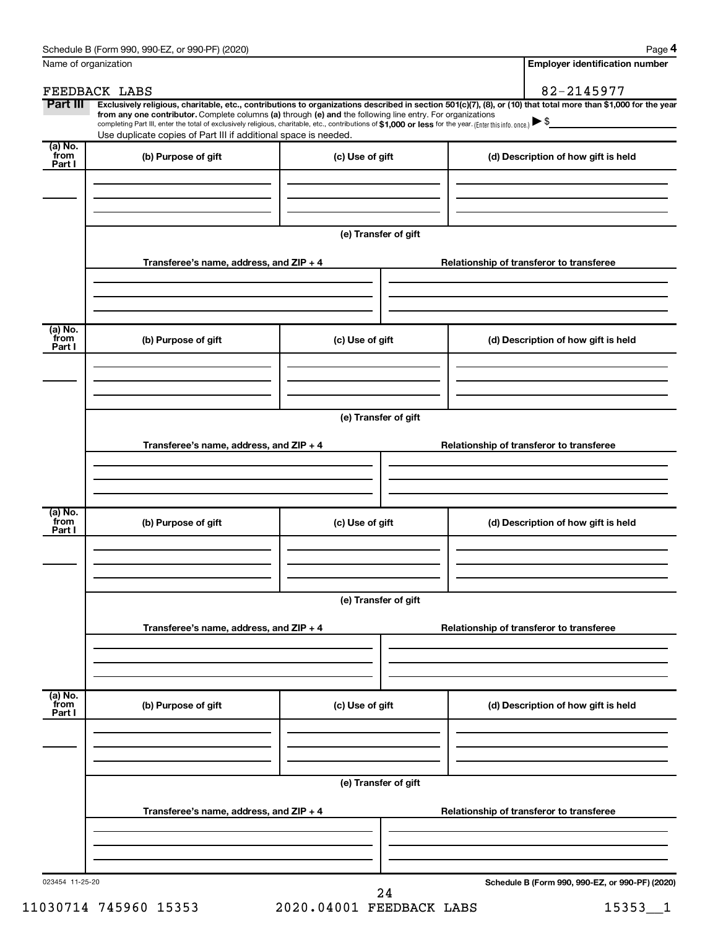| Name of organization        |                                                                                                                                                                                                                                                                                                                                                                                                                                                                                                                  |                      | <b>Employer identification number</b>           |
|-----------------------------|------------------------------------------------------------------------------------------------------------------------------------------------------------------------------------------------------------------------------------------------------------------------------------------------------------------------------------------------------------------------------------------------------------------------------------------------------------------------------------------------------------------|----------------------|-------------------------------------------------|
|                             | FEEDBACK LABS                                                                                                                                                                                                                                                                                                                                                                                                                                                                                                    |                      | 82-2145977                                      |
| Part III                    | Exclusively religious, charitable, etc., contributions to organizations described in section 501(c)(7), (8), or (10) that total more than \$1,000 for the year<br>from any one contributor. Complete columns (a) through (e) and the following line entry. For organizations<br>completing Part III, enter the total of exclusively religious, charitable, etc., contributions of \$1,000 or less for the year. (Enter this info. once.) ▶ \$<br>Use duplicate copies of Part III if additional space is needed. |                      |                                                 |
| $(a)$ No.<br>from<br>Part I | (b) Purpose of gift                                                                                                                                                                                                                                                                                                                                                                                                                                                                                              | (c) Use of gift      | (d) Description of how gift is held             |
|                             |                                                                                                                                                                                                                                                                                                                                                                                                                                                                                                                  |                      |                                                 |
|                             |                                                                                                                                                                                                                                                                                                                                                                                                                                                                                                                  | (e) Transfer of gift |                                                 |
|                             | Transferee's name, address, and $ZIP + 4$                                                                                                                                                                                                                                                                                                                                                                                                                                                                        |                      | Relationship of transferor to transferee        |
| (a) No.<br>from             | (b) Purpose of gift                                                                                                                                                                                                                                                                                                                                                                                                                                                                                              | (c) Use of gift      | (d) Description of how gift is held             |
| Part I                      |                                                                                                                                                                                                                                                                                                                                                                                                                                                                                                                  |                      |                                                 |
|                             |                                                                                                                                                                                                                                                                                                                                                                                                                                                                                                                  | (e) Transfer of gift |                                                 |
|                             | Transferee's name, address, and $ZIP + 4$                                                                                                                                                                                                                                                                                                                                                                                                                                                                        |                      | Relationship of transferor to transferee        |
| $(a)$ No.<br>from<br>Part I | (b) Purpose of gift                                                                                                                                                                                                                                                                                                                                                                                                                                                                                              | (c) Use of gift      | (d) Description of how gift is held             |
|                             |                                                                                                                                                                                                                                                                                                                                                                                                                                                                                                                  |                      |                                                 |
|                             |                                                                                                                                                                                                                                                                                                                                                                                                                                                                                                                  | (e) Transfer of gift |                                                 |
|                             | Transferee's name, address, and ZIP + 4                                                                                                                                                                                                                                                                                                                                                                                                                                                                          |                      | Relationship of transferor to transferee        |
| (a) No.<br>from<br>Part I   | (b) Purpose of gift                                                                                                                                                                                                                                                                                                                                                                                                                                                                                              | (c) Use of gift      | (d) Description of how gift is held             |
|                             |                                                                                                                                                                                                                                                                                                                                                                                                                                                                                                                  |                      |                                                 |
|                             |                                                                                                                                                                                                                                                                                                                                                                                                                                                                                                                  | (e) Transfer of gift |                                                 |
|                             | Transferee's name, address, and ZIP + 4                                                                                                                                                                                                                                                                                                                                                                                                                                                                          |                      | Relationship of transferor to transferee        |
|                             |                                                                                                                                                                                                                                                                                                                                                                                                                                                                                                                  |                      |                                                 |
| 023454 11-25-20             |                                                                                                                                                                                                                                                                                                                                                                                                                                                                                                                  | 24                   | Schedule B (Form 990, 990-EZ, or 990-PF) (2020) |

11030714 745960 15353 2020.04001 FEEDBACK LABS 15353\_\_1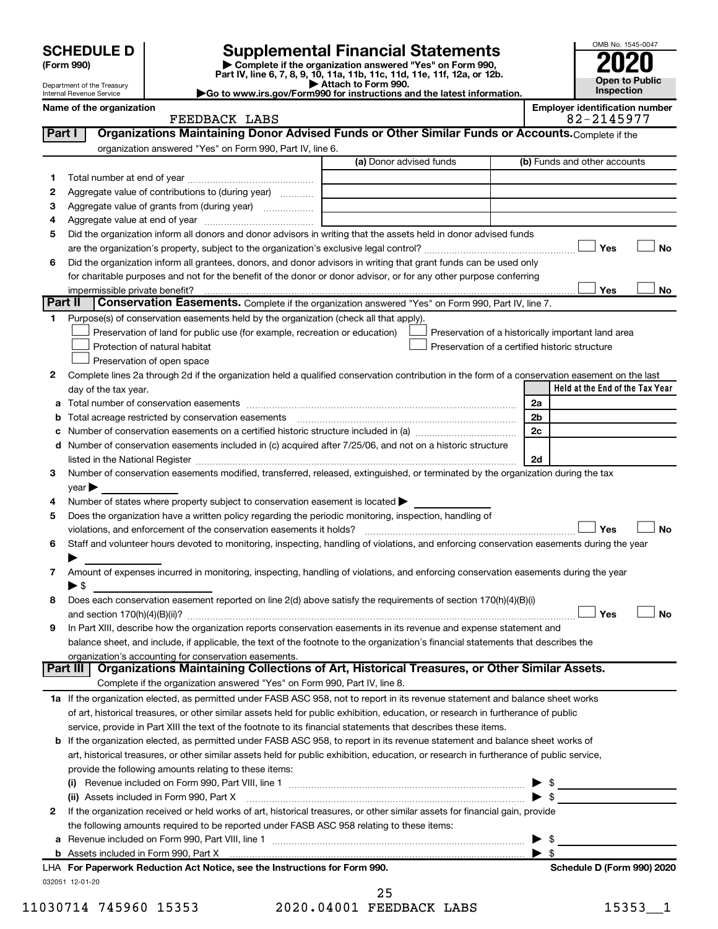# **SCHEDULE D Supplemental Financial Statements**<br> **Form 990 2020**<br> **Part IV** line 6.7.8.9.10, 11a, 11b, 11d, 11d, 11d, 11d, 11d, 12a, 0r, 12b

**(Form 990) | Complete if the organization answered "Yes" on Form 990, Part IV, line 6, 7, 8, 9, 10, 11a, 11b, 11c, 11d, 11e, 11f, 12a, or 12b.**

**| Attach to Form 990. |Go to www.irs.gov/Form990 for instructions and the latest information.**



Department of the Treasury Internal Revenue Service

| <b>FEEDBACK</b><br>T ADC<br>פסעת<br>$\sim$ $\sim$ |
|---------------------------------------------------|
|---------------------------------------------------|

**Name of the organization Employer identification number**

| Part I       | Organizations Maintaining Donor Advised Funds or Other Similar Funds or Accounts. Complete if the                                                                                                                              |                         |                                                    |
|--------------|--------------------------------------------------------------------------------------------------------------------------------------------------------------------------------------------------------------------------------|-------------------------|----------------------------------------------------|
|              | organization answered "Yes" on Form 990, Part IV, line 6.                                                                                                                                                                      | (a) Donor advised funds | (b) Funds and other accounts                       |
| 1.           |                                                                                                                                                                                                                                |                         |                                                    |
| 2            | Aggregate value of contributions to (during year)                                                                                                                                                                              |                         |                                                    |
| З            | Aggregate value of grants from (during year)                                                                                                                                                                                   |                         |                                                    |
| 4            |                                                                                                                                                                                                                                |                         |                                                    |
| 5            | Did the organization inform all donors and donor advisors in writing that the assets held in donor advised funds                                                                                                               |                         |                                                    |
|              |                                                                                                                                                                                                                                |                         | Yes<br>No                                          |
| 6            | Did the organization inform all grantees, donors, and donor advisors in writing that grant funds can be used only                                                                                                              |                         |                                                    |
|              | for charitable purposes and not for the benefit of the donor or donor advisor, or for any other purpose conferring                                                                                                             |                         |                                                    |
|              |                                                                                                                                                                                                                                |                         | Yes<br>No                                          |
| Part II      | Conservation Easements. Complete if the organization answered "Yes" on Form 990, Part IV, line 7.                                                                                                                              |                         |                                                    |
| 1            | Purpose(s) of conservation easements held by the organization (check all that apply).                                                                                                                                          |                         |                                                    |
|              | Preservation of land for public use (for example, recreation or education)                                                                                                                                                     |                         | Preservation of a historically important land area |
|              | Protection of natural habitat                                                                                                                                                                                                  |                         | Preservation of a certified historic structure     |
|              | Preservation of open space                                                                                                                                                                                                     |                         |                                                    |
| 2            | Complete lines 2a through 2d if the organization held a qualified conservation contribution in the form of a conservation easement on the last                                                                                 |                         |                                                    |
|              | day of the tax year.                                                                                                                                                                                                           |                         | Held at the End of the Tax Year                    |
| а            |                                                                                                                                                                                                                                |                         | 2a                                                 |
|              |                                                                                                                                                                                                                                |                         | 2 <sub>b</sub>                                     |
|              |                                                                                                                                                                                                                                |                         | 2c                                                 |
| d            | Number of conservation easements included in (c) acquired after 7/25/06, and not on a historic structure                                                                                                                       |                         |                                                    |
|              | listed in the National Register [111] in the National Register [11] in the National Register [11] in the National Register [11] in the National Register [11] in the National Register [11] in the National Register [11] in t |                         | 2d                                                 |
| 3            | Number of conservation easements modified, transferred, released, extinguished, or terminated by the organization during the tax                                                                                               |                         |                                                    |
|              | $year \blacktriangleright$                                                                                                                                                                                                     |                         |                                                    |
| 4            | Number of states where property subject to conservation easement is located >                                                                                                                                                  |                         |                                                    |
| 5            | Does the organization have a written policy regarding the periodic monitoring, inspection, handling of                                                                                                                         |                         |                                                    |
|              | violations, and enforcement of the conservation easements it holds?                                                                                                                                                            |                         | Yes<br><b>No</b>                                   |
| 6            | Staff and volunteer hours devoted to monitoring, inspecting, handling of violations, and enforcing conservation easements during the year                                                                                      |                         |                                                    |
|              |                                                                                                                                                                                                                                |                         |                                                    |
| 7            | Amount of expenses incurred in monitoring, inspecting, handling of violations, and enforcing conservation easements during the year                                                                                            |                         |                                                    |
|              | $\blacktriangleright$ \$                                                                                                                                                                                                       |                         |                                                    |
| 8            | Does each conservation easement reported on line 2(d) above satisfy the requirements of section 170(h)(4)(B)(i)                                                                                                                |                         |                                                    |
|              |                                                                                                                                                                                                                                |                         | Yes<br><b>No</b>                                   |
| 9            | In Part XIII, describe how the organization reports conservation easements in its revenue and expense statement and                                                                                                            |                         |                                                    |
|              | balance sheet, and include, if applicable, the text of the footnote to the organization's financial statements that describes the                                                                                              |                         |                                                    |
|              | organization's accounting for conservation easements.                                                                                                                                                                          |                         |                                                    |
|              | Organizations Maintaining Collections of Art, Historical Treasures, or Other Similar Assets.<br>Part III                                                                                                                       |                         |                                                    |
|              | Complete if the organization answered "Yes" on Form 990, Part IV, line 8.                                                                                                                                                      |                         |                                                    |
|              | 1a If the organization elected, as permitted under FASB ASC 958, not to report in its revenue statement and balance sheet works                                                                                                |                         |                                                    |
|              | of art, historical treasures, or other similar assets held for public exhibition, education, or research in furtherance of public                                                                                              |                         |                                                    |
|              | service, provide in Part XIII the text of the footnote to its financial statements that describes these items.                                                                                                                 |                         |                                                    |
| b            | If the organization elected, as permitted under FASB ASC 958, to report in its revenue statement and balance sheet works of                                                                                                    |                         |                                                    |
|              | art, historical treasures, or other similar assets held for public exhibition, education, or research in furtherance of public service,                                                                                        |                         |                                                    |
|              | provide the following amounts relating to these items:                                                                                                                                                                         |                         |                                                    |
|              |                                                                                                                                                                                                                                |                         | - \$                                               |
|              | (ii) Assets included in Form 990, Part X                                                                                                                                                                                       |                         | $\blacktriangleright$ \$                           |
| $\mathbf{2}$ | If the organization received or held works of art, historical treasures, or other similar assets for financial gain, provide                                                                                                   |                         |                                                    |
|              | the following amounts required to be reported under FASB ASC 958 relating to these items:                                                                                                                                      |                         |                                                    |
| а            |                                                                                                                                                                                                                                |                         | - \$                                               |
|              |                                                                                                                                                                                                                                |                         | $\blacktriangleright$ s                            |
|              | LHA For Paperwork Reduction Act Notice, see the Instructions for Form 990.                                                                                                                                                     |                         | Schedule D (Form 990) 2020                         |
|              | 032051 12-01-20                                                                                                                                                                                                                |                         |                                                    |

11030714 745960 15353 2020.04001 FEEDBACK LABS 15353 1 25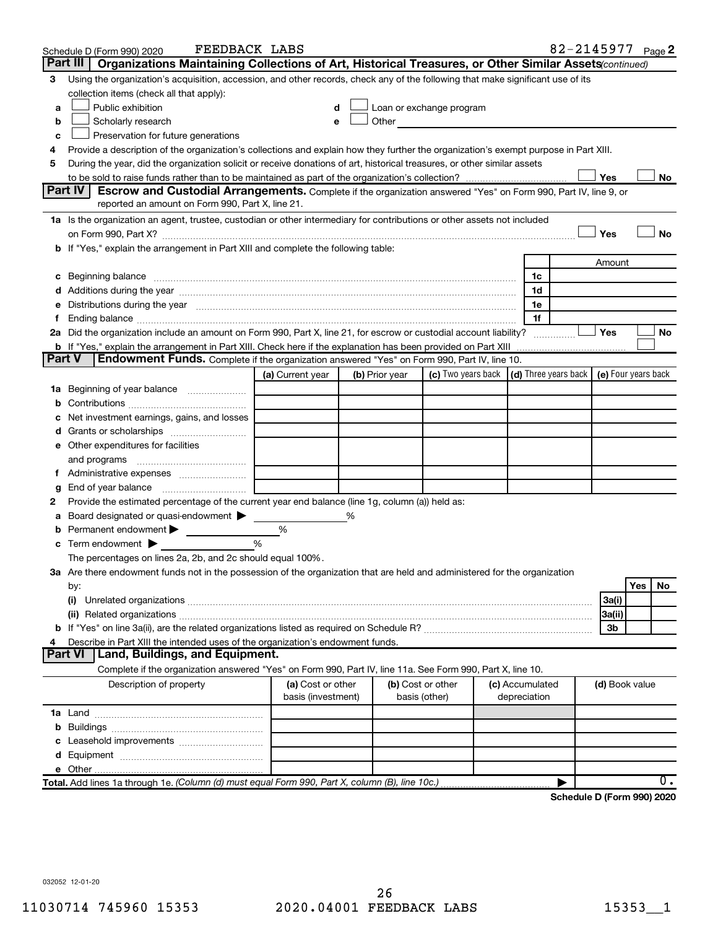| Part III<br>Organizations Maintaining Collections of Art, Historical Treasures, or Other Similar Assets (continued)<br>Using the organization's acquisition, accession, and other records, check any of the following that make significant use of its<br>3<br>collection items (check all that apply):<br>Public exhibition<br>Loan or exchange program<br>a<br>Other<br>Scholarly research<br>b<br>Preservation for future generations<br>c<br>Provide a description of the organization's collections and explain how they further the organization's exempt purpose in Part XIII.<br>4<br>During the year, did the organization solicit or receive donations of art, historical treasures, or other similar assets<br>5<br>Yes<br>No<br>Part IV<br><b>Escrow and Custodial Arrangements.</b> Complete if the organization answered "Yes" on Form 990, Part IV, line 9, or<br>reported an amount on Form 990, Part X, line 21.<br>1a Is the organization an agent, trustee, custodian or other intermediary for contributions or other assets not included<br>Yes<br><b>No</b><br>b If "Yes," explain the arrangement in Part XIII and complete the following table:<br>Amount<br>c Beginning balance measurements and the contract of the contract of the contract of the contract of the contract of the contract of the contract of the contract of the contract of the contract of the contract of the contr<br>1c<br>1d<br>e Distributions during the year manufactured and continuum control of the control of the control of the state of the control of the control of the control of the control of the control of the control of the control of the<br>1e<br>1f<br>Ending balance measurements are all the contract of the contract of the contract of the contract of the contract of the contract of the contract of the contract of the contract of the contract of the contract of the contra<br>t.<br>2a Did the organization include an amount on Form 990, Part X, line 21, for escrow or custodial account liability?<br>Yes<br>No<br><b>b</b> If "Yes," explain the arrangement in Part XIII. Check here if the explanation has been provided on Part XIII<br><b>Part V</b><br><b>Endowment Funds.</b> Complete if the organization answered "Yes" on Form 990, Part IV, line 10.<br>(c) Two years back $\vert$ (d) Three years back $\vert$ (e) Four years back<br>(a) Current year<br>(b) Prior year<br>1a Beginning of year balance<br>b<br>Net investment earnings, gains, and losses<br>e Other expenditures for facilities<br>and programs<br>g<br>Provide the estimated percentage of the current year end balance (line 1g, column (a)) held as:<br>2<br>Board designated or quasi-endowment<br>%<br>а<br>Permanent endowment<br>%<br>b<br>Term endowment $\blacktriangleright$<br>%<br>с<br>The percentages on lines 2a, 2b, and 2c should equal 100%.<br>3a Are there endowment funds not in the possession of the organization that are held and administered for the organization<br>Yes<br>No<br>by:<br>(i)<br>3a(i)<br>3a(ii)<br>3b<br>Describe in Part XIII the intended uses of the organization's endowment funds.<br>4<br>Land, Buildings, and Equipment.<br>Part VI<br>Complete if the organization answered "Yes" on Form 990, Part IV, line 11a. See Form 990, Part X, line 10.<br>Description of property<br>(a) Cost or other<br>(b) Cost or other<br>(c) Accumulated<br>(d) Book value<br>basis (investment)<br>depreciation<br>basis (other)<br>ο.<br>Total. Add lines 1a through 1e. (Column (d) must equal Form 990, Part X, column (B), line 10c.)<br>Schodule D (Form 000) 2020 | FEEDBACK LABS<br>Schedule D (Form 990) 2020 |  |  |  | 82-2145977 Page 2 |  |  |
|------------------------------------------------------------------------------------------------------------------------------------------------------------------------------------------------------------------------------------------------------------------------------------------------------------------------------------------------------------------------------------------------------------------------------------------------------------------------------------------------------------------------------------------------------------------------------------------------------------------------------------------------------------------------------------------------------------------------------------------------------------------------------------------------------------------------------------------------------------------------------------------------------------------------------------------------------------------------------------------------------------------------------------------------------------------------------------------------------------------------------------------------------------------------------------------------------------------------------------------------------------------------------------------------------------------------------------------------------------------------------------------------------------------------------------------------------------------------------------------------------------------------------------------------------------------------------------------------------------------------------------------------------------------------------------------------------------------------------------------------------------------------------------------------------------------------------------------------------------------------------------------------------------------------------------------------------------------------------------------------------------------------------------------------------------------------------------------------------------------------------------------------------------------------------------------------------------------------------------------------------------------------------------------------------------------------------------------------------------------------------------------------------------------------------------------------------------------------------------------------------------------------------------------------------------------------------------------------------------------------------------------------------------------------------------------------------------------------------------------------------------------------------------------------------------------------------------------------------------------------------------------------------------------------------------------------------------------------------------------------------------------------------------------------------------------------------------------------------------------------------------------------------------------------------------------------------------------------------------------------------------------------------------------------------------------------------------------------------------------------------------------------------------------------------------------------------------------------------------------------------------------------------------------------------------------------------------------------------------------------------------|---------------------------------------------|--|--|--|-------------------|--|--|
|                                                                                                                                                                                                                                                                                                                                                                                                                                                                                                                                                                                                                                                                                                                                                                                                                                                                                                                                                                                                                                                                                                                                                                                                                                                                                                                                                                                                                                                                                                                                                                                                                                                                                                                                                                                                                                                                                                                                                                                                                                                                                                                                                                                                                                                                                                                                                                                                                                                                                                                                                                                                                                                                                                                                                                                                                                                                                                                                                                                                                                                                                                                                                                                                                                                                                                                                                                                                                                                                                                                                                                                                                                    |                                             |  |  |  |                   |  |  |
|                                                                                                                                                                                                                                                                                                                                                                                                                                                                                                                                                                                                                                                                                                                                                                                                                                                                                                                                                                                                                                                                                                                                                                                                                                                                                                                                                                                                                                                                                                                                                                                                                                                                                                                                                                                                                                                                                                                                                                                                                                                                                                                                                                                                                                                                                                                                                                                                                                                                                                                                                                                                                                                                                                                                                                                                                                                                                                                                                                                                                                                                                                                                                                                                                                                                                                                                                                                                                                                                                                                                                                                                                                    |                                             |  |  |  |                   |  |  |
|                                                                                                                                                                                                                                                                                                                                                                                                                                                                                                                                                                                                                                                                                                                                                                                                                                                                                                                                                                                                                                                                                                                                                                                                                                                                                                                                                                                                                                                                                                                                                                                                                                                                                                                                                                                                                                                                                                                                                                                                                                                                                                                                                                                                                                                                                                                                                                                                                                                                                                                                                                                                                                                                                                                                                                                                                                                                                                                                                                                                                                                                                                                                                                                                                                                                                                                                                                                                                                                                                                                                                                                                                                    |                                             |  |  |  |                   |  |  |
|                                                                                                                                                                                                                                                                                                                                                                                                                                                                                                                                                                                                                                                                                                                                                                                                                                                                                                                                                                                                                                                                                                                                                                                                                                                                                                                                                                                                                                                                                                                                                                                                                                                                                                                                                                                                                                                                                                                                                                                                                                                                                                                                                                                                                                                                                                                                                                                                                                                                                                                                                                                                                                                                                                                                                                                                                                                                                                                                                                                                                                                                                                                                                                                                                                                                                                                                                                                                                                                                                                                                                                                                                                    |                                             |  |  |  |                   |  |  |
|                                                                                                                                                                                                                                                                                                                                                                                                                                                                                                                                                                                                                                                                                                                                                                                                                                                                                                                                                                                                                                                                                                                                                                                                                                                                                                                                                                                                                                                                                                                                                                                                                                                                                                                                                                                                                                                                                                                                                                                                                                                                                                                                                                                                                                                                                                                                                                                                                                                                                                                                                                                                                                                                                                                                                                                                                                                                                                                                                                                                                                                                                                                                                                                                                                                                                                                                                                                                                                                                                                                                                                                                                                    |                                             |  |  |  |                   |  |  |
|                                                                                                                                                                                                                                                                                                                                                                                                                                                                                                                                                                                                                                                                                                                                                                                                                                                                                                                                                                                                                                                                                                                                                                                                                                                                                                                                                                                                                                                                                                                                                                                                                                                                                                                                                                                                                                                                                                                                                                                                                                                                                                                                                                                                                                                                                                                                                                                                                                                                                                                                                                                                                                                                                                                                                                                                                                                                                                                                                                                                                                                                                                                                                                                                                                                                                                                                                                                                                                                                                                                                                                                                                                    |                                             |  |  |  |                   |  |  |
|                                                                                                                                                                                                                                                                                                                                                                                                                                                                                                                                                                                                                                                                                                                                                                                                                                                                                                                                                                                                                                                                                                                                                                                                                                                                                                                                                                                                                                                                                                                                                                                                                                                                                                                                                                                                                                                                                                                                                                                                                                                                                                                                                                                                                                                                                                                                                                                                                                                                                                                                                                                                                                                                                                                                                                                                                                                                                                                                                                                                                                                                                                                                                                                                                                                                                                                                                                                                                                                                                                                                                                                                                                    |                                             |  |  |  |                   |  |  |
|                                                                                                                                                                                                                                                                                                                                                                                                                                                                                                                                                                                                                                                                                                                                                                                                                                                                                                                                                                                                                                                                                                                                                                                                                                                                                                                                                                                                                                                                                                                                                                                                                                                                                                                                                                                                                                                                                                                                                                                                                                                                                                                                                                                                                                                                                                                                                                                                                                                                                                                                                                                                                                                                                                                                                                                                                                                                                                                                                                                                                                                                                                                                                                                                                                                                                                                                                                                                                                                                                                                                                                                                                                    |                                             |  |  |  |                   |  |  |
|                                                                                                                                                                                                                                                                                                                                                                                                                                                                                                                                                                                                                                                                                                                                                                                                                                                                                                                                                                                                                                                                                                                                                                                                                                                                                                                                                                                                                                                                                                                                                                                                                                                                                                                                                                                                                                                                                                                                                                                                                                                                                                                                                                                                                                                                                                                                                                                                                                                                                                                                                                                                                                                                                                                                                                                                                                                                                                                                                                                                                                                                                                                                                                                                                                                                                                                                                                                                                                                                                                                                                                                                                                    |                                             |  |  |  |                   |  |  |
|                                                                                                                                                                                                                                                                                                                                                                                                                                                                                                                                                                                                                                                                                                                                                                                                                                                                                                                                                                                                                                                                                                                                                                                                                                                                                                                                                                                                                                                                                                                                                                                                                                                                                                                                                                                                                                                                                                                                                                                                                                                                                                                                                                                                                                                                                                                                                                                                                                                                                                                                                                                                                                                                                                                                                                                                                                                                                                                                                                                                                                                                                                                                                                                                                                                                                                                                                                                                                                                                                                                                                                                                                                    |                                             |  |  |  |                   |  |  |
|                                                                                                                                                                                                                                                                                                                                                                                                                                                                                                                                                                                                                                                                                                                                                                                                                                                                                                                                                                                                                                                                                                                                                                                                                                                                                                                                                                                                                                                                                                                                                                                                                                                                                                                                                                                                                                                                                                                                                                                                                                                                                                                                                                                                                                                                                                                                                                                                                                                                                                                                                                                                                                                                                                                                                                                                                                                                                                                                                                                                                                                                                                                                                                                                                                                                                                                                                                                                                                                                                                                                                                                                                                    |                                             |  |  |  |                   |  |  |
|                                                                                                                                                                                                                                                                                                                                                                                                                                                                                                                                                                                                                                                                                                                                                                                                                                                                                                                                                                                                                                                                                                                                                                                                                                                                                                                                                                                                                                                                                                                                                                                                                                                                                                                                                                                                                                                                                                                                                                                                                                                                                                                                                                                                                                                                                                                                                                                                                                                                                                                                                                                                                                                                                                                                                                                                                                                                                                                                                                                                                                                                                                                                                                                                                                                                                                                                                                                                                                                                                                                                                                                                                                    |                                             |  |  |  |                   |  |  |
|                                                                                                                                                                                                                                                                                                                                                                                                                                                                                                                                                                                                                                                                                                                                                                                                                                                                                                                                                                                                                                                                                                                                                                                                                                                                                                                                                                                                                                                                                                                                                                                                                                                                                                                                                                                                                                                                                                                                                                                                                                                                                                                                                                                                                                                                                                                                                                                                                                                                                                                                                                                                                                                                                                                                                                                                                                                                                                                                                                                                                                                                                                                                                                                                                                                                                                                                                                                                                                                                                                                                                                                                                                    |                                             |  |  |  |                   |  |  |
|                                                                                                                                                                                                                                                                                                                                                                                                                                                                                                                                                                                                                                                                                                                                                                                                                                                                                                                                                                                                                                                                                                                                                                                                                                                                                                                                                                                                                                                                                                                                                                                                                                                                                                                                                                                                                                                                                                                                                                                                                                                                                                                                                                                                                                                                                                                                                                                                                                                                                                                                                                                                                                                                                                                                                                                                                                                                                                                                                                                                                                                                                                                                                                                                                                                                                                                                                                                                                                                                                                                                                                                                                                    |                                             |  |  |  |                   |  |  |
|                                                                                                                                                                                                                                                                                                                                                                                                                                                                                                                                                                                                                                                                                                                                                                                                                                                                                                                                                                                                                                                                                                                                                                                                                                                                                                                                                                                                                                                                                                                                                                                                                                                                                                                                                                                                                                                                                                                                                                                                                                                                                                                                                                                                                                                                                                                                                                                                                                                                                                                                                                                                                                                                                                                                                                                                                                                                                                                                                                                                                                                                                                                                                                                                                                                                                                                                                                                                                                                                                                                                                                                                                                    |                                             |  |  |  |                   |  |  |
|                                                                                                                                                                                                                                                                                                                                                                                                                                                                                                                                                                                                                                                                                                                                                                                                                                                                                                                                                                                                                                                                                                                                                                                                                                                                                                                                                                                                                                                                                                                                                                                                                                                                                                                                                                                                                                                                                                                                                                                                                                                                                                                                                                                                                                                                                                                                                                                                                                                                                                                                                                                                                                                                                                                                                                                                                                                                                                                                                                                                                                                                                                                                                                                                                                                                                                                                                                                                                                                                                                                                                                                                                                    |                                             |  |  |  |                   |  |  |
|                                                                                                                                                                                                                                                                                                                                                                                                                                                                                                                                                                                                                                                                                                                                                                                                                                                                                                                                                                                                                                                                                                                                                                                                                                                                                                                                                                                                                                                                                                                                                                                                                                                                                                                                                                                                                                                                                                                                                                                                                                                                                                                                                                                                                                                                                                                                                                                                                                                                                                                                                                                                                                                                                                                                                                                                                                                                                                                                                                                                                                                                                                                                                                                                                                                                                                                                                                                                                                                                                                                                                                                                                                    |                                             |  |  |  |                   |  |  |
|                                                                                                                                                                                                                                                                                                                                                                                                                                                                                                                                                                                                                                                                                                                                                                                                                                                                                                                                                                                                                                                                                                                                                                                                                                                                                                                                                                                                                                                                                                                                                                                                                                                                                                                                                                                                                                                                                                                                                                                                                                                                                                                                                                                                                                                                                                                                                                                                                                                                                                                                                                                                                                                                                                                                                                                                                                                                                                                                                                                                                                                                                                                                                                                                                                                                                                                                                                                                                                                                                                                                                                                                                                    |                                             |  |  |  |                   |  |  |
|                                                                                                                                                                                                                                                                                                                                                                                                                                                                                                                                                                                                                                                                                                                                                                                                                                                                                                                                                                                                                                                                                                                                                                                                                                                                                                                                                                                                                                                                                                                                                                                                                                                                                                                                                                                                                                                                                                                                                                                                                                                                                                                                                                                                                                                                                                                                                                                                                                                                                                                                                                                                                                                                                                                                                                                                                                                                                                                                                                                                                                                                                                                                                                                                                                                                                                                                                                                                                                                                                                                                                                                                                                    |                                             |  |  |  |                   |  |  |
|                                                                                                                                                                                                                                                                                                                                                                                                                                                                                                                                                                                                                                                                                                                                                                                                                                                                                                                                                                                                                                                                                                                                                                                                                                                                                                                                                                                                                                                                                                                                                                                                                                                                                                                                                                                                                                                                                                                                                                                                                                                                                                                                                                                                                                                                                                                                                                                                                                                                                                                                                                                                                                                                                                                                                                                                                                                                                                                                                                                                                                                                                                                                                                                                                                                                                                                                                                                                                                                                                                                                                                                                                                    |                                             |  |  |  |                   |  |  |
|                                                                                                                                                                                                                                                                                                                                                                                                                                                                                                                                                                                                                                                                                                                                                                                                                                                                                                                                                                                                                                                                                                                                                                                                                                                                                                                                                                                                                                                                                                                                                                                                                                                                                                                                                                                                                                                                                                                                                                                                                                                                                                                                                                                                                                                                                                                                                                                                                                                                                                                                                                                                                                                                                                                                                                                                                                                                                                                                                                                                                                                                                                                                                                                                                                                                                                                                                                                                                                                                                                                                                                                                                                    |                                             |  |  |  |                   |  |  |
|                                                                                                                                                                                                                                                                                                                                                                                                                                                                                                                                                                                                                                                                                                                                                                                                                                                                                                                                                                                                                                                                                                                                                                                                                                                                                                                                                                                                                                                                                                                                                                                                                                                                                                                                                                                                                                                                                                                                                                                                                                                                                                                                                                                                                                                                                                                                                                                                                                                                                                                                                                                                                                                                                                                                                                                                                                                                                                                                                                                                                                                                                                                                                                                                                                                                                                                                                                                                                                                                                                                                                                                                                                    |                                             |  |  |  |                   |  |  |
|                                                                                                                                                                                                                                                                                                                                                                                                                                                                                                                                                                                                                                                                                                                                                                                                                                                                                                                                                                                                                                                                                                                                                                                                                                                                                                                                                                                                                                                                                                                                                                                                                                                                                                                                                                                                                                                                                                                                                                                                                                                                                                                                                                                                                                                                                                                                                                                                                                                                                                                                                                                                                                                                                                                                                                                                                                                                                                                                                                                                                                                                                                                                                                                                                                                                                                                                                                                                                                                                                                                                                                                                                                    |                                             |  |  |  |                   |  |  |
|                                                                                                                                                                                                                                                                                                                                                                                                                                                                                                                                                                                                                                                                                                                                                                                                                                                                                                                                                                                                                                                                                                                                                                                                                                                                                                                                                                                                                                                                                                                                                                                                                                                                                                                                                                                                                                                                                                                                                                                                                                                                                                                                                                                                                                                                                                                                                                                                                                                                                                                                                                                                                                                                                                                                                                                                                                                                                                                                                                                                                                                                                                                                                                                                                                                                                                                                                                                                                                                                                                                                                                                                                                    |                                             |  |  |  |                   |  |  |
|                                                                                                                                                                                                                                                                                                                                                                                                                                                                                                                                                                                                                                                                                                                                                                                                                                                                                                                                                                                                                                                                                                                                                                                                                                                                                                                                                                                                                                                                                                                                                                                                                                                                                                                                                                                                                                                                                                                                                                                                                                                                                                                                                                                                                                                                                                                                                                                                                                                                                                                                                                                                                                                                                                                                                                                                                                                                                                                                                                                                                                                                                                                                                                                                                                                                                                                                                                                                                                                                                                                                                                                                                                    |                                             |  |  |  |                   |  |  |
|                                                                                                                                                                                                                                                                                                                                                                                                                                                                                                                                                                                                                                                                                                                                                                                                                                                                                                                                                                                                                                                                                                                                                                                                                                                                                                                                                                                                                                                                                                                                                                                                                                                                                                                                                                                                                                                                                                                                                                                                                                                                                                                                                                                                                                                                                                                                                                                                                                                                                                                                                                                                                                                                                                                                                                                                                                                                                                                                                                                                                                                                                                                                                                                                                                                                                                                                                                                                                                                                                                                                                                                                                                    |                                             |  |  |  |                   |  |  |
|                                                                                                                                                                                                                                                                                                                                                                                                                                                                                                                                                                                                                                                                                                                                                                                                                                                                                                                                                                                                                                                                                                                                                                                                                                                                                                                                                                                                                                                                                                                                                                                                                                                                                                                                                                                                                                                                                                                                                                                                                                                                                                                                                                                                                                                                                                                                                                                                                                                                                                                                                                                                                                                                                                                                                                                                                                                                                                                                                                                                                                                                                                                                                                                                                                                                                                                                                                                                                                                                                                                                                                                                                                    |                                             |  |  |  |                   |  |  |
|                                                                                                                                                                                                                                                                                                                                                                                                                                                                                                                                                                                                                                                                                                                                                                                                                                                                                                                                                                                                                                                                                                                                                                                                                                                                                                                                                                                                                                                                                                                                                                                                                                                                                                                                                                                                                                                                                                                                                                                                                                                                                                                                                                                                                                                                                                                                                                                                                                                                                                                                                                                                                                                                                                                                                                                                                                                                                                                                                                                                                                                                                                                                                                                                                                                                                                                                                                                                                                                                                                                                                                                                                                    |                                             |  |  |  |                   |  |  |
|                                                                                                                                                                                                                                                                                                                                                                                                                                                                                                                                                                                                                                                                                                                                                                                                                                                                                                                                                                                                                                                                                                                                                                                                                                                                                                                                                                                                                                                                                                                                                                                                                                                                                                                                                                                                                                                                                                                                                                                                                                                                                                                                                                                                                                                                                                                                                                                                                                                                                                                                                                                                                                                                                                                                                                                                                                                                                                                                                                                                                                                                                                                                                                                                                                                                                                                                                                                                                                                                                                                                                                                                                                    |                                             |  |  |  |                   |  |  |
|                                                                                                                                                                                                                                                                                                                                                                                                                                                                                                                                                                                                                                                                                                                                                                                                                                                                                                                                                                                                                                                                                                                                                                                                                                                                                                                                                                                                                                                                                                                                                                                                                                                                                                                                                                                                                                                                                                                                                                                                                                                                                                                                                                                                                                                                                                                                                                                                                                                                                                                                                                                                                                                                                                                                                                                                                                                                                                                                                                                                                                                                                                                                                                                                                                                                                                                                                                                                                                                                                                                                                                                                                                    |                                             |  |  |  |                   |  |  |
|                                                                                                                                                                                                                                                                                                                                                                                                                                                                                                                                                                                                                                                                                                                                                                                                                                                                                                                                                                                                                                                                                                                                                                                                                                                                                                                                                                                                                                                                                                                                                                                                                                                                                                                                                                                                                                                                                                                                                                                                                                                                                                                                                                                                                                                                                                                                                                                                                                                                                                                                                                                                                                                                                                                                                                                                                                                                                                                                                                                                                                                                                                                                                                                                                                                                                                                                                                                                                                                                                                                                                                                                                                    |                                             |  |  |  |                   |  |  |
|                                                                                                                                                                                                                                                                                                                                                                                                                                                                                                                                                                                                                                                                                                                                                                                                                                                                                                                                                                                                                                                                                                                                                                                                                                                                                                                                                                                                                                                                                                                                                                                                                                                                                                                                                                                                                                                                                                                                                                                                                                                                                                                                                                                                                                                                                                                                                                                                                                                                                                                                                                                                                                                                                                                                                                                                                                                                                                                                                                                                                                                                                                                                                                                                                                                                                                                                                                                                                                                                                                                                                                                                                                    |                                             |  |  |  |                   |  |  |
|                                                                                                                                                                                                                                                                                                                                                                                                                                                                                                                                                                                                                                                                                                                                                                                                                                                                                                                                                                                                                                                                                                                                                                                                                                                                                                                                                                                                                                                                                                                                                                                                                                                                                                                                                                                                                                                                                                                                                                                                                                                                                                                                                                                                                                                                                                                                                                                                                                                                                                                                                                                                                                                                                                                                                                                                                                                                                                                                                                                                                                                                                                                                                                                                                                                                                                                                                                                                                                                                                                                                                                                                                                    |                                             |  |  |  |                   |  |  |
|                                                                                                                                                                                                                                                                                                                                                                                                                                                                                                                                                                                                                                                                                                                                                                                                                                                                                                                                                                                                                                                                                                                                                                                                                                                                                                                                                                                                                                                                                                                                                                                                                                                                                                                                                                                                                                                                                                                                                                                                                                                                                                                                                                                                                                                                                                                                                                                                                                                                                                                                                                                                                                                                                                                                                                                                                                                                                                                                                                                                                                                                                                                                                                                                                                                                                                                                                                                                                                                                                                                                                                                                                                    |                                             |  |  |  |                   |  |  |
|                                                                                                                                                                                                                                                                                                                                                                                                                                                                                                                                                                                                                                                                                                                                                                                                                                                                                                                                                                                                                                                                                                                                                                                                                                                                                                                                                                                                                                                                                                                                                                                                                                                                                                                                                                                                                                                                                                                                                                                                                                                                                                                                                                                                                                                                                                                                                                                                                                                                                                                                                                                                                                                                                                                                                                                                                                                                                                                                                                                                                                                                                                                                                                                                                                                                                                                                                                                                                                                                                                                                                                                                                                    |                                             |  |  |  |                   |  |  |
|                                                                                                                                                                                                                                                                                                                                                                                                                                                                                                                                                                                                                                                                                                                                                                                                                                                                                                                                                                                                                                                                                                                                                                                                                                                                                                                                                                                                                                                                                                                                                                                                                                                                                                                                                                                                                                                                                                                                                                                                                                                                                                                                                                                                                                                                                                                                                                                                                                                                                                                                                                                                                                                                                                                                                                                                                                                                                                                                                                                                                                                                                                                                                                                                                                                                                                                                                                                                                                                                                                                                                                                                                                    |                                             |  |  |  |                   |  |  |
|                                                                                                                                                                                                                                                                                                                                                                                                                                                                                                                                                                                                                                                                                                                                                                                                                                                                                                                                                                                                                                                                                                                                                                                                                                                                                                                                                                                                                                                                                                                                                                                                                                                                                                                                                                                                                                                                                                                                                                                                                                                                                                                                                                                                                                                                                                                                                                                                                                                                                                                                                                                                                                                                                                                                                                                                                                                                                                                                                                                                                                                                                                                                                                                                                                                                                                                                                                                                                                                                                                                                                                                                                                    |                                             |  |  |  |                   |  |  |
|                                                                                                                                                                                                                                                                                                                                                                                                                                                                                                                                                                                                                                                                                                                                                                                                                                                                                                                                                                                                                                                                                                                                                                                                                                                                                                                                                                                                                                                                                                                                                                                                                                                                                                                                                                                                                                                                                                                                                                                                                                                                                                                                                                                                                                                                                                                                                                                                                                                                                                                                                                                                                                                                                                                                                                                                                                                                                                                                                                                                                                                                                                                                                                                                                                                                                                                                                                                                                                                                                                                                                                                                                                    |                                             |  |  |  |                   |  |  |
|                                                                                                                                                                                                                                                                                                                                                                                                                                                                                                                                                                                                                                                                                                                                                                                                                                                                                                                                                                                                                                                                                                                                                                                                                                                                                                                                                                                                                                                                                                                                                                                                                                                                                                                                                                                                                                                                                                                                                                                                                                                                                                                                                                                                                                                                                                                                                                                                                                                                                                                                                                                                                                                                                                                                                                                                                                                                                                                                                                                                                                                                                                                                                                                                                                                                                                                                                                                                                                                                                                                                                                                                                                    |                                             |  |  |  |                   |  |  |
|                                                                                                                                                                                                                                                                                                                                                                                                                                                                                                                                                                                                                                                                                                                                                                                                                                                                                                                                                                                                                                                                                                                                                                                                                                                                                                                                                                                                                                                                                                                                                                                                                                                                                                                                                                                                                                                                                                                                                                                                                                                                                                                                                                                                                                                                                                                                                                                                                                                                                                                                                                                                                                                                                                                                                                                                                                                                                                                                                                                                                                                                                                                                                                                                                                                                                                                                                                                                                                                                                                                                                                                                                                    |                                             |  |  |  |                   |  |  |
|                                                                                                                                                                                                                                                                                                                                                                                                                                                                                                                                                                                                                                                                                                                                                                                                                                                                                                                                                                                                                                                                                                                                                                                                                                                                                                                                                                                                                                                                                                                                                                                                                                                                                                                                                                                                                                                                                                                                                                                                                                                                                                                                                                                                                                                                                                                                                                                                                                                                                                                                                                                                                                                                                                                                                                                                                                                                                                                                                                                                                                                                                                                                                                                                                                                                                                                                                                                                                                                                                                                                                                                                                                    |                                             |  |  |  |                   |  |  |
|                                                                                                                                                                                                                                                                                                                                                                                                                                                                                                                                                                                                                                                                                                                                                                                                                                                                                                                                                                                                                                                                                                                                                                                                                                                                                                                                                                                                                                                                                                                                                                                                                                                                                                                                                                                                                                                                                                                                                                                                                                                                                                                                                                                                                                                                                                                                                                                                                                                                                                                                                                                                                                                                                                                                                                                                                                                                                                                                                                                                                                                                                                                                                                                                                                                                                                                                                                                                                                                                                                                                                                                                                                    |                                             |  |  |  |                   |  |  |
|                                                                                                                                                                                                                                                                                                                                                                                                                                                                                                                                                                                                                                                                                                                                                                                                                                                                                                                                                                                                                                                                                                                                                                                                                                                                                                                                                                                                                                                                                                                                                                                                                                                                                                                                                                                                                                                                                                                                                                                                                                                                                                                                                                                                                                                                                                                                                                                                                                                                                                                                                                                                                                                                                                                                                                                                                                                                                                                                                                                                                                                                                                                                                                                                                                                                                                                                                                                                                                                                                                                                                                                                                                    |                                             |  |  |  |                   |  |  |
|                                                                                                                                                                                                                                                                                                                                                                                                                                                                                                                                                                                                                                                                                                                                                                                                                                                                                                                                                                                                                                                                                                                                                                                                                                                                                                                                                                                                                                                                                                                                                                                                                                                                                                                                                                                                                                                                                                                                                                                                                                                                                                                                                                                                                                                                                                                                                                                                                                                                                                                                                                                                                                                                                                                                                                                                                                                                                                                                                                                                                                                                                                                                                                                                                                                                                                                                                                                                                                                                                                                                                                                                                                    |                                             |  |  |  |                   |  |  |
|                                                                                                                                                                                                                                                                                                                                                                                                                                                                                                                                                                                                                                                                                                                                                                                                                                                                                                                                                                                                                                                                                                                                                                                                                                                                                                                                                                                                                                                                                                                                                                                                                                                                                                                                                                                                                                                                                                                                                                                                                                                                                                                                                                                                                                                                                                                                                                                                                                                                                                                                                                                                                                                                                                                                                                                                                                                                                                                                                                                                                                                                                                                                                                                                                                                                                                                                                                                                                                                                                                                                                                                                                                    |                                             |  |  |  |                   |  |  |
|                                                                                                                                                                                                                                                                                                                                                                                                                                                                                                                                                                                                                                                                                                                                                                                                                                                                                                                                                                                                                                                                                                                                                                                                                                                                                                                                                                                                                                                                                                                                                                                                                                                                                                                                                                                                                                                                                                                                                                                                                                                                                                                                                                                                                                                                                                                                                                                                                                                                                                                                                                                                                                                                                                                                                                                                                                                                                                                                                                                                                                                                                                                                                                                                                                                                                                                                                                                                                                                                                                                                                                                                                                    |                                             |  |  |  |                   |  |  |
|                                                                                                                                                                                                                                                                                                                                                                                                                                                                                                                                                                                                                                                                                                                                                                                                                                                                                                                                                                                                                                                                                                                                                                                                                                                                                                                                                                                                                                                                                                                                                                                                                                                                                                                                                                                                                                                                                                                                                                                                                                                                                                                                                                                                                                                                                                                                                                                                                                                                                                                                                                                                                                                                                                                                                                                                                                                                                                                                                                                                                                                                                                                                                                                                                                                                                                                                                                                                                                                                                                                                                                                                                                    |                                             |  |  |  |                   |  |  |
|                                                                                                                                                                                                                                                                                                                                                                                                                                                                                                                                                                                                                                                                                                                                                                                                                                                                                                                                                                                                                                                                                                                                                                                                                                                                                                                                                                                                                                                                                                                                                                                                                                                                                                                                                                                                                                                                                                                                                                                                                                                                                                                                                                                                                                                                                                                                                                                                                                                                                                                                                                                                                                                                                                                                                                                                                                                                                                                                                                                                                                                                                                                                                                                                                                                                                                                                                                                                                                                                                                                                                                                                                                    |                                             |  |  |  |                   |  |  |
|                                                                                                                                                                                                                                                                                                                                                                                                                                                                                                                                                                                                                                                                                                                                                                                                                                                                                                                                                                                                                                                                                                                                                                                                                                                                                                                                                                                                                                                                                                                                                                                                                                                                                                                                                                                                                                                                                                                                                                                                                                                                                                                                                                                                                                                                                                                                                                                                                                                                                                                                                                                                                                                                                                                                                                                                                                                                                                                                                                                                                                                                                                                                                                                                                                                                                                                                                                                                                                                                                                                                                                                                                                    |                                             |  |  |  |                   |  |  |

**Schedule D (Form 990) 2020**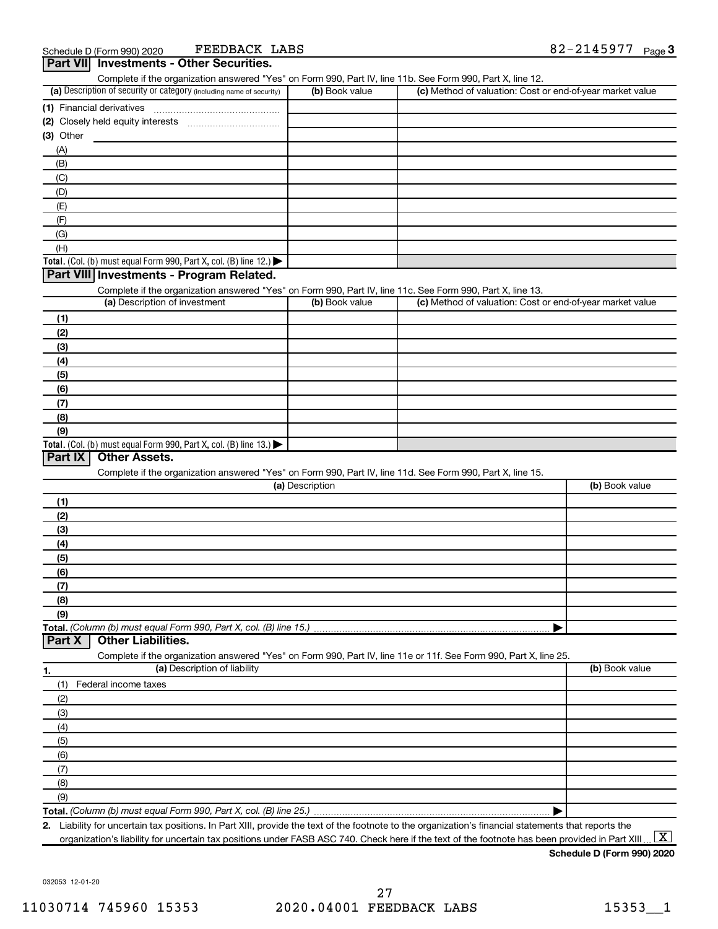FEEDBACK LABS

| Part VII Investments - Other Securities.<br>Complete if the organization answered "Yes" on Form 990, Part IV, line 11b. See Form 990, Part X, line 12. |                 |                                                           |                |
|--------------------------------------------------------------------------------------------------------------------------------------------------------|-----------------|-----------------------------------------------------------|----------------|
| (a) Description of security or category (including name of security)                                                                                   | (b) Book value  | (c) Method of valuation: Cost or end-of-year market value |                |
|                                                                                                                                                        |                 |                                                           |                |
|                                                                                                                                                        |                 |                                                           |                |
| $(3)$ Other                                                                                                                                            |                 |                                                           |                |
| (A)                                                                                                                                                    |                 |                                                           |                |
| (B)                                                                                                                                                    |                 |                                                           |                |
| (C)                                                                                                                                                    |                 |                                                           |                |
| (D)                                                                                                                                                    |                 |                                                           |                |
| (E)                                                                                                                                                    |                 |                                                           |                |
| (F)                                                                                                                                                    |                 |                                                           |                |
| (G)                                                                                                                                                    |                 |                                                           |                |
| (H)                                                                                                                                                    |                 |                                                           |                |
| Total. (Col. (b) must equal Form 990, Part X, col. (B) line 12.)                                                                                       |                 |                                                           |                |
| Part VIII Investments - Program Related.                                                                                                               |                 |                                                           |                |
| Complete if the organization answered "Yes" on Form 990, Part IV, line 11c. See Form 990, Part X, line 13.                                             |                 |                                                           |                |
| (a) Description of investment                                                                                                                          | (b) Book value  | (c) Method of valuation: Cost or end-of-year market value |                |
| (1)                                                                                                                                                    |                 |                                                           |                |
| (2)                                                                                                                                                    |                 |                                                           |                |
| (3)                                                                                                                                                    |                 |                                                           |                |
| (4)                                                                                                                                                    |                 |                                                           |                |
| (5)                                                                                                                                                    |                 |                                                           |                |
| (6)                                                                                                                                                    |                 |                                                           |                |
| (7)                                                                                                                                                    |                 |                                                           |                |
| (8)                                                                                                                                                    |                 |                                                           |                |
| (9)                                                                                                                                                    |                 |                                                           |                |
| Total. (Col. (b) must equal Form 990, Part X, col. (B) line 13.)<br>Part IX<br><b>Other Assets.</b>                                                    |                 |                                                           |                |
| Complete if the organization answered "Yes" on Form 990, Part IV, line 11d. See Form 990, Part X, line 15.                                             |                 |                                                           |                |
|                                                                                                                                                        | (a) Description |                                                           | (b) Book value |
| (1)                                                                                                                                                    |                 |                                                           |                |
| (2)                                                                                                                                                    |                 |                                                           |                |
| (3)                                                                                                                                                    |                 |                                                           |                |
| (4)                                                                                                                                                    |                 |                                                           |                |
| (5)                                                                                                                                                    |                 |                                                           |                |
| (6)                                                                                                                                                    |                 |                                                           |                |
| (7)                                                                                                                                                    |                 |                                                           |                |
| (8)                                                                                                                                                    |                 |                                                           |                |
| (9)                                                                                                                                                    |                 |                                                           |                |
| Total. (Column (b) must equal Form 990, Part X, col. (B) line 15.)                                                                                     |                 | ▶                                                         |                |
| <b>Other Liabilities.</b><br>Part X                                                                                                                    |                 |                                                           |                |
| Complete if the organization answered "Yes" on Form 990, Part IV, line 11e or 11f. See Form 990, Part X, line 25.                                      |                 |                                                           |                |
| (a) Description of liability<br>1.                                                                                                                     |                 |                                                           | (b) Book value |
| Federal income taxes<br>(1)                                                                                                                            |                 |                                                           |                |
| (2)                                                                                                                                                    |                 |                                                           |                |
| (3)                                                                                                                                                    |                 |                                                           |                |
| (4)                                                                                                                                                    |                 |                                                           |                |
| (5)                                                                                                                                                    |                 |                                                           |                |
| (6)                                                                                                                                                    |                 |                                                           |                |
| (7)                                                                                                                                                    |                 |                                                           |                |
|                                                                                                                                                        |                 |                                                           |                |
|                                                                                                                                                        |                 |                                                           |                |
| (8)<br>(9)                                                                                                                                             |                 |                                                           |                |

**2.** Liability for uncertain tax positions. In Part XIII, provide the text of the footnote to the organization's financial statements that reports the organization's liability for uncertain tax positions under FASB ASC 740. Check here if the text of the footnote has been provided in Part XIII..  $\boxed{\text{X}}$ 

**Schedule D (Form 990) 2020**

032053 12-01-20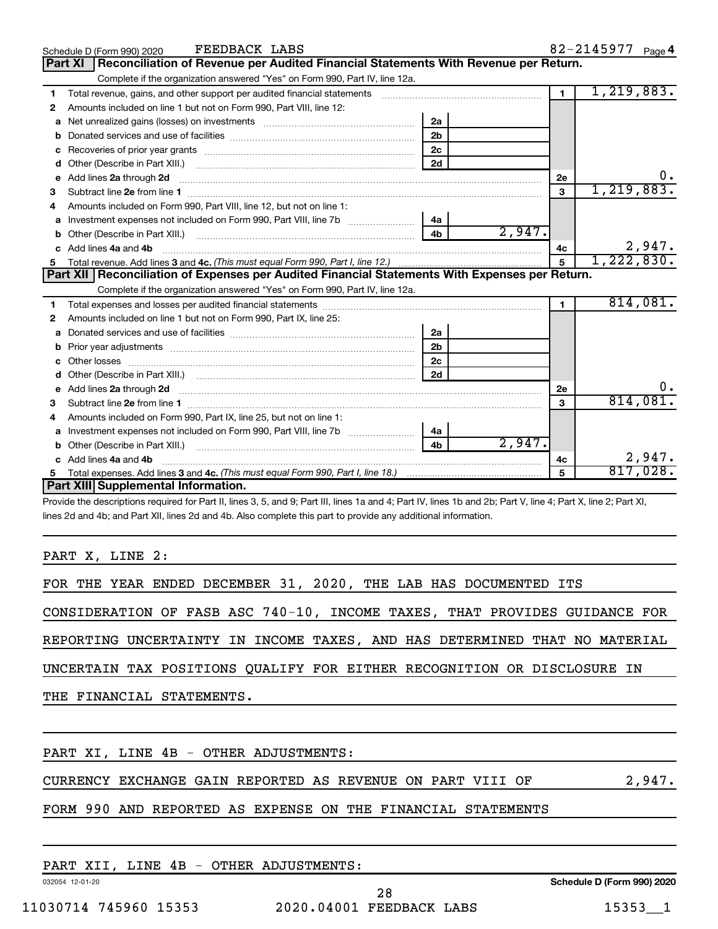|   | FEEDBACK LABS<br>Schedule D (Form 990) 2020                                                                                                                                                                                         |                |        |                | 82-2145977 Page 4         |    |
|---|-------------------------------------------------------------------------------------------------------------------------------------------------------------------------------------------------------------------------------------|----------------|--------|----------------|---------------------------|----|
|   | Reconciliation of Revenue per Audited Financial Statements With Revenue per Return.<br><b>Part XI</b>                                                                                                                               |                |        |                |                           |    |
|   | Complete if the organization answered "Yes" on Form 990, Part IV, line 12a.                                                                                                                                                         |                |        |                |                           |    |
| 1 | Total revenue, gains, and other support per audited financial statements [11] [11] Total revenue, [21] Total revenue of the support per audited financial statements                                                                |                |        | $\blacksquare$ | 1,219,883.                |    |
| 2 | Amounts included on line 1 but not on Form 990, Part VIII, line 12:                                                                                                                                                                 |                |        |                |                           |    |
| a |                                                                                                                                                                                                                                     | 2a             |        |                |                           |    |
| b |                                                                                                                                                                                                                                     | 2 <sub>b</sub> |        |                |                           |    |
| C |                                                                                                                                                                                                                                     | 2c             |        |                |                           |    |
| d |                                                                                                                                                                                                                                     | 2d             |        |                |                           |    |
| e | Add lines 2a through 2d <b>contained a contained a contained a contained a</b> contained a contact the state of the state of the state of the state of the state of the state of the state of the state of the state of the state o |                |        | 2e             |                           |    |
| 3 |                                                                                                                                                                                                                                     |                |        | 3              | 1, 219, 883.              |    |
|   | Amounts included on Form 990, Part VIII, line 12, but not on line 1:                                                                                                                                                                |                |        |                |                           |    |
| a |                                                                                                                                                                                                                                     | 4a             |        |                |                           |    |
| b |                                                                                                                                                                                                                                     | 4 <sub>b</sub> | 2,947. |                |                           |    |
|   | Add lines 4a and 4b                                                                                                                                                                                                                 |                |        | 4c             | $\frac{2,947}{1,222,830}$ |    |
| 5 |                                                                                                                                                                                                                                     |                |        | 5              |                           |    |
|   | Part XII Reconciliation of Expenses per Audited Financial Statements With Expenses per Return.                                                                                                                                      |                |        |                |                           |    |
|   | Complete if the organization answered "Yes" on Form 990, Part IV, line 12a.                                                                                                                                                         |                |        |                |                           |    |
| 1 |                                                                                                                                                                                                                                     |                |        | $\blacksquare$ | 814,081.                  |    |
| 2 | Amounts included on line 1 but not on Form 990, Part IX, line 25:                                                                                                                                                                   |                |        |                |                           |    |
| a |                                                                                                                                                                                                                                     | 2a             |        |                |                           |    |
| b |                                                                                                                                                                                                                                     | 2 <sub>b</sub> |        |                |                           |    |
| c |                                                                                                                                                                                                                                     | 2 <sub>c</sub> |        |                |                           |    |
|   |                                                                                                                                                                                                                                     | 2d             |        |                |                           |    |
| е | Add lines 2a through 2d <b>contained a contained a contained a contained a</b> contained a contained a contained a contained a contained a contained a contained a contained a contained a contained a contained a contained a cont |                |        | 2e             |                           | 0. |
| з |                                                                                                                                                                                                                                     |                |        | 3              | 814,081.                  |    |
| 4 | Amounts included on Form 990, Part IX, line 25, but not on line 1:                                                                                                                                                                  |                |        |                |                           |    |
| а |                                                                                                                                                                                                                                     | 4a             |        |                |                           |    |
| b |                                                                                                                                                                                                                                     | 4 <sub>h</sub> | 2,947. |                |                           |    |
|   | Add lines 4a and 4b                                                                                                                                                                                                                 |                |        | 4c             | 2,947.                    |    |
|   |                                                                                                                                                                                                                                     |                |        | 5              | 817,028.                  |    |
|   | Part XIII Supplemental Information.                                                                                                                                                                                                 |                |        |                |                           |    |

Provide the descriptions required for Part II, lines 3, 5, and 9; Part III, lines 1a and 4; Part IV, lines 1b and 2b; Part V, line 4; Part X, line 2; Part XI, lines 2d and 4b; and Part XII, lines 2d and 4b. Also complete this part to provide any additional information.

PART X, LINE 2:

FOR THE YEAR ENDED DECEMBER 31, 2020, THE LAB HAS DOCUMENTED ITS

CONSIDERATION OF FASB ASC 740-10, INCOME TAXES, THAT PROVIDES GUIDANCE FOR

REPORTING UNCERTAINTY IN INCOME TAXES, AND HAS DETERMINED THAT NO MATERIAL

UNCERTAIN TAX POSITIONS QUALIFY FOR EITHER RECOGNITION OR DISCLOSURE IN

THE FINANCIAL STATEMENTS.

PART XI, LINE 4B - OTHER ADJUSTMENTS:

CURRENCY EXCHANGE GAIN REPORTED AS REVENUE ON PART VIII OF  $2,947$ .

#### FORM 990 AND REPORTED AS EXPENSE ON THE FINANCIAL STATEMENTS

PART XII, LINE 4B - OTHER ADJUSTMENTS:

032054 12-01-20

**Schedule D (Form 990) 2020**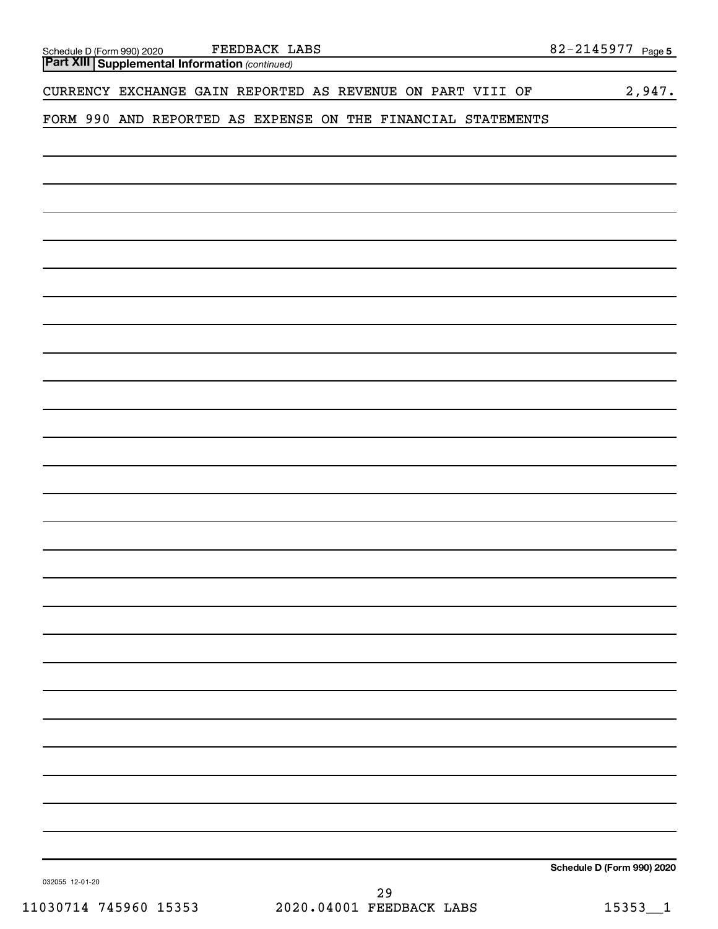| $82 - 2145977$ Page 5                                        |
|--------------------------------------------------------------|
|                                                              |
| 2,947.                                                       |
| FORM 990 AND REPORTED AS EXPENSE ON THE FINANCIAL STATEMENTS |
|                                                              |
|                                                              |
|                                                              |
|                                                              |
|                                                              |
|                                                              |
|                                                              |
|                                                              |
|                                                              |
|                                                              |
|                                                              |
|                                                              |
|                                                              |
|                                                              |
|                                                              |
|                                                              |
|                                                              |
|                                                              |
|                                                              |
|                                                              |
|                                                              |
|                                                              |
|                                                              |
|                                                              |
|                                                              |
|                                                              |
|                                                              |
|                                                              |
|                                                              |
|                                                              |
|                                                              |
|                                                              |
|                                                              |
|                                                              |
|                                                              |
|                                                              |
| Schedule D (Form 990) 2020                                   |
|                                                              |

032055 12-01-20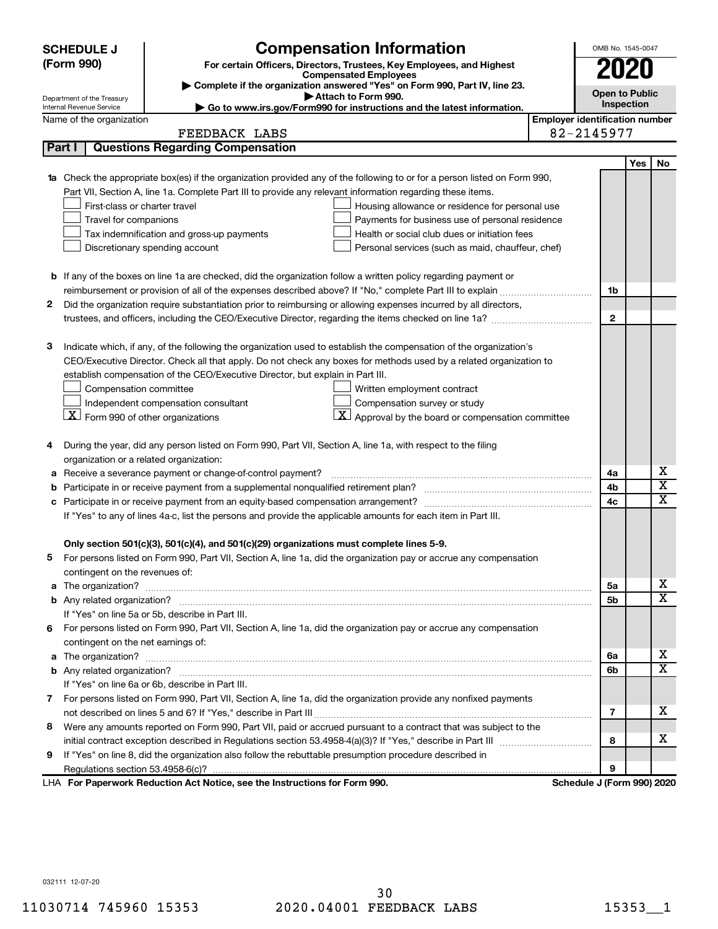|   | <b>SCHEDULE J</b>                              | <b>Compensation Information</b>                                                                                                  |                                       | OMB No. 1545-0047          |                       |                         |  |  |  |
|---|------------------------------------------------|----------------------------------------------------------------------------------------------------------------------------------|---------------------------------------|----------------------------|-----------------------|-------------------------|--|--|--|
|   | (Form 990)                                     | For certain Officers, Directors, Trustees, Key Employees, and Highest<br><b>Compensated Employees</b>                            |                                       |                            |                       |                         |  |  |  |
|   |                                                |                                                                                                                                  | 2020                                  |                            |                       |                         |  |  |  |
|   | Department of the Treasury                     | Complete if the organization answered "Yes" on Form 990, Part IV, line 23.<br>Attach to Form 990.                                |                                       |                            | <b>Open to Public</b> |                         |  |  |  |
|   | Internal Revenue Service                       | Go to www.irs.gov/Form990 for instructions and the latest information.                                                           |                                       | Inspection                 |                       |                         |  |  |  |
|   | Name of the organization                       |                                                                                                                                  | <b>Employer identification number</b> |                            |                       |                         |  |  |  |
|   |                                                | FEEDBACK LABS                                                                                                                    |                                       | 82-2145977                 |                       |                         |  |  |  |
|   | Part I                                         | <b>Questions Regarding Compensation</b>                                                                                          |                                       |                            |                       |                         |  |  |  |
|   |                                                |                                                                                                                                  |                                       |                            | Yes                   | No                      |  |  |  |
|   |                                                | <b>1a</b> Check the appropriate box(es) if the organization provided any of the following to or for a person listed on Form 990, |                                       |                            |                       |                         |  |  |  |
|   | First-class or charter travel                  | Part VII, Section A, line 1a. Complete Part III to provide any relevant information regarding these items.                       |                                       |                            |                       |                         |  |  |  |
|   | Travel for companions                          | Housing allowance or residence for personal use<br>Payments for business use of personal residence                               |                                       |                            |                       |                         |  |  |  |
|   |                                                | Tax indemnification and gross-up payments<br>Health or social club dues or initiation fees                                       |                                       |                            |                       |                         |  |  |  |
|   |                                                | Discretionary spending account<br>Personal services (such as maid, chauffeur, chef)                                              |                                       |                            |                       |                         |  |  |  |
|   |                                                |                                                                                                                                  |                                       |                            |                       |                         |  |  |  |
|   |                                                | <b>b</b> If any of the boxes on line 1a are checked, did the organization follow a written policy regarding payment or           |                                       |                            |                       |                         |  |  |  |
|   |                                                |                                                                                                                                  |                                       | 1b                         |                       |                         |  |  |  |
| 2 |                                                | Did the organization require substantiation prior to reimbursing or allowing expenses incurred by all directors,                 |                                       |                            |                       |                         |  |  |  |
|   |                                                |                                                                                                                                  |                                       | $\mathbf{2}$               |                       |                         |  |  |  |
|   |                                                |                                                                                                                                  |                                       |                            |                       |                         |  |  |  |
| 3 |                                                | Indicate which, if any, of the following the organization used to establish the compensation of the organization's               |                                       |                            |                       |                         |  |  |  |
|   |                                                | CEO/Executive Director. Check all that apply. Do not check any boxes for methods used by a related organization to               |                                       |                            |                       |                         |  |  |  |
|   |                                                | establish compensation of the CEO/Executive Director, but explain in Part III.                                                   |                                       |                            |                       |                         |  |  |  |
|   | Compensation committee                         | Written employment contract                                                                                                      |                                       |                            |                       |                         |  |  |  |
|   |                                                | Independent compensation consultant<br>Compensation survey or study                                                              |                                       |                            |                       |                         |  |  |  |
|   | $ \mathbf{X} $ Form 990 of other organizations | $\mathbf{X}$ Approval by the board or compensation committee                                                                     |                                       |                            |                       |                         |  |  |  |
|   |                                                |                                                                                                                                  |                                       |                            |                       |                         |  |  |  |
| 4 |                                                | During the year, did any person listed on Form 990, Part VII, Section A, line 1a, with respect to the filing                     |                                       |                            |                       |                         |  |  |  |
|   | organization or a related organization:        |                                                                                                                                  |                                       |                            |                       |                         |  |  |  |
| а |                                                | Receive a severance payment or change-of-control payment?                                                                        |                                       | 4a                         |                       | х                       |  |  |  |
| b |                                                |                                                                                                                                  |                                       | 4b                         |                       | $\overline{\textbf{x}}$ |  |  |  |
|   |                                                |                                                                                                                                  |                                       | 4c                         |                       | $\overline{\textbf{x}}$ |  |  |  |
|   |                                                | If "Yes" to any of lines 4a-c, list the persons and provide the applicable amounts for each item in Part III.                    |                                       |                            |                       |                         |  |  |  |
|   |                                                |                                                                                                                                  |                                       |                            |                       |                         |  |  |  |
|   |                                                | Only section 501(c)(3), 501(c)(4), and 501(c)(29) organizations must complete lines 5-9.                                         |                                       |                            |                       |                         |  |  |  |
|   |                                                | For persons listed on Form 990, Part VII, Section A, line 1a, did the organization pay or accrue any compensation                |                                       |                            |                       |                         |  |  |  |
|   | contingent on the revenues of:                 |                                                                                                                                  |                                       |                            |                       |                         |  |  |  |
|   |                                                |                                                                                                                                  |                                       | 5а                         |                       | х<br>х                  |  |  |  |
|   |                                                |                                                                                                                                  |                                       | 5b                         |                       |                         |  |  |  |
|   |                                                | If "Yes" on line 5a or 5b, describe in Part III.                                                                                 |                                       |                            |                       |                         |  |  |  |
|   |                                                | 6 For persons listed on Form 990, Part VII, Section A, line 1a, did the organization pay or accrue any compensation              |                                       |                            |                       |                         |  |  |  |
|   | contingent on the net earnings of:             |                                                                                                                                  |                                       |                            |                       | х                       |  |  |  |
|   |                                                |                                                                                                                                  |                                       | 6a                         |                       | х                       |  |  |  |
|   |                                                | If "Yes" on line 6a or 6b, describe in Part III.                                                                                 |                                       | 6b                         |                       |                         |  |  |  |
|   |                                                | 7 For persons listed on Form 990, Part VII, Section A, line 1a, did the organization provide any nonfixed payments               |                                       |                            |                       |                         |  |  |  |
|   |                                                |                                                                                                                                  |                                       | 7                          |                       | х                       |  |  |  |
|   |                                                | 8 Were any amounts reported on Form 990, Part VII, paid or accrued pursuant to a contract that was subject to the                |                                       |                            |                       |                         |  |  |  |
|   |                                                |                                                                                                                                  |                                       | 8                          |                       | х                       |  |  |  |
| 9 |                                                | If "Yes" on line 8, did the organization also follow the rebuttable presumption procedure described in                           |                                       |                            |                       |                         |  |  |  |
|   |                                                |                                                                                                                                  |                                       | 9                          |                       |                         |  |  |  |
|   |                                                | LHA For Paperwork Reduction Act Notice, see the Instructions for Form 990.                                                       |                                       | Schedule J (Form 990) 2020 |                       |                         |  |  |  |
|   |                                                |                                                                                                                                  |                                       |                            |                       |                         |  |  |  |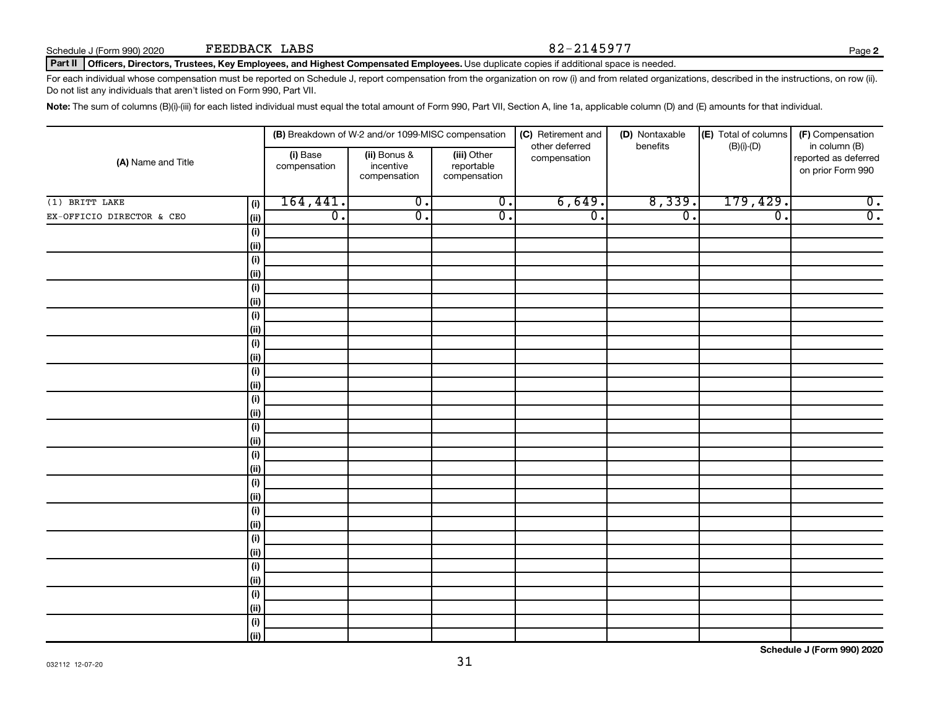#### Part II | Officers, Directors, Trustees, Key Employees, and Highest Compensated Employees. Use duplicate copies if additional space is needed.

For each individual whose compensation must be reported on Schedule J, report compensation from the organization on row (i) and from related organizations, described in the instructions, on row (ii). Do not list any individuals that aren't listed on Form 990, Part VII.

Note: The sum of columns (B)(i)-(iii) for each listed individual must equal the total amount of Form 990, Part VII, Section A, line 1a, applicable column (D) and (E) amounts for that individual.

|                           |                          |                                           | (B) Breakdown of W-2 and/or 1099-MISC compensation |                             | (C) Retirement and<br>other deferred | (D) Nontaxable<br>benefits | (E) Total of columns<br>$(B)(i)-(D)$      | (F) Compensation<br>in column (B) |
|---------------------------|--------------------------|-------------------------------------------|----------------------------------------------------|-----------------------------|--------------------------------------|----------------------------|-------------------------------------------|-----------------------------------|
| (A) Name and Title        | (i) Base<br>compensation | (ii) Bonus &<br>incentive<br>compensation | (iii) Other<br>reportable<br>compensation          | compensation                |                                      |                            | reported as deferred<br>on prior Form 990 |                                   |
| $(1)$ BRITT LAKE          | (i)                      | 164, 441.                                 | $\overline{0}$ .                                   | $\overline{\mathfrak{o}}$ . | 6,649.                               | 8,339.                     | 179,429.                                  | $\overline{0}$ .                  |
| EX-OFFICIO DIRECTOR & CEO | (ii)                     | $\overline{0}$ .                          | $\overline{\mathfrak{o}}$ .                        | $\overline{0}$ .            | $\overline{0}$ .                     | $\overline{0}$ .           | $\overline{\mathfrak{o}}$ .               | $\overline{0}$ .                  |
|                           | (i)                      |                                           |                                                    |                             |                                      |                            |                                           |                                   |
|                           | (ii)                     |                                           |                                                    |                             |                                      |                            |                                           |                                   |
|                           | (i)                      |                                           |                                                    |                             |                                      |                            |                                           |                                   |
|                           | (ii)                     |                                           |                                                    |                             |                                      |                            |                                           |                                   |
|                           | (i)                      |                                           |                                                    |                             |                                      |                            |                                           |                                   |
|                           | (ii)                     |                                           |                                                    |                             |                                      |                            |                                           |                                   |
|                           | (i)                      |                                           |                                                    |                             |                                      |                            |                                           |                                   |
|                           | (ii)                     |                                           |                                                    |                             |                                      |                            |                                           |                                   |
|                           | $(\sf{i})$               |                                           |                                                    |                             |                                      |                            |                                           |                                   |
|                           | (ii)                     |                                           |                                                    |                             |                                      |                            |                                           |                                   |
|                           | $(\sf{i})$               |                                           |                                                    |                             |                                      |                            |                                           |                                   |
|                           | (ii)                     |                                           |                                                    |                             |                                      |                            |                                           |                                   |
|                           | $(\sf{i})$               |                                           |                                                    |                             |                                      |                            |                                           |                                   |
|                           | (ii)                     |                                           |                                                    |                             |                                      |                            |                                           |                                   |
|                           | (i)                      |                                           |                                                    |                             |                                      |                            |                                           |                                   |
|                           | (ii)                     |                                           |                                                    |                             |                                      |                            |                                           |                                   |
|                           | (i)<br>(ii)              |                                           |                                                    |                             |                                      |                            |                                           |                                   |
|                           | $(\sf{i})$               |                                           |                                                    |                             |                                      |                            |                                           |                                   |
|                           | (ii)                     |                                           |                                                    |                             |                                      |                            |                                           |                                   |
|                           | $(\sf{i})$               |                                           |                                                    |                             |                                      |                            |                                           |                                   |
|                           | (ii)                     |                                           |                                                    |                             |                                      |                            |                                           |                                   |
|                           | $(\sf{i})$               |                                           |                                                    |                             |                                      |                            |                                           |                                   |
|                           | (ii)                     |                                           |                                                    |                             |                                      |                            |                                           |                                   |
|                           | (i)                      |                                           |                                                    |                             |                                      |                            |                                           |                                   |
|                           | (ii)                     |                                           |                                                    |                             |                                      |                            |                                           |                                   |
|                           | (i)                      |                                           |                                                    |                             |                                      |                            |                                           |                                   |
|                           | (ii)                     |                                           |                                                    |                             |                                      |                            |                                           |                                   |
|                           | (i)                      |                                           |                                                    |                             |                                      |                            |                                           |                                   |
|                           | (ii)                     |                                           |                                                    |                             |                                      |                            |                                           |                                   |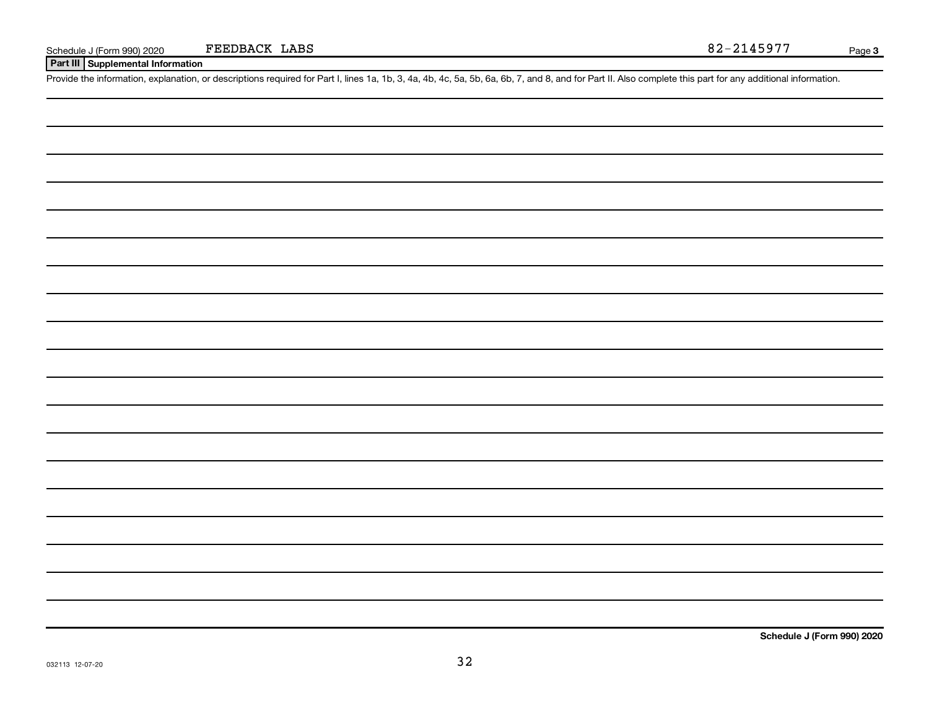**Part III Supplemental Information**

Provide the information, explanation, or descriptions required for Part I, lines 1a, 1b, 3, 4a, 4b, 4c, 5a, 5b, 6a, 6b, 7, and 8, and for Part II. Also complete this part for any additional information.

**Schedule J (Form 990) 2020**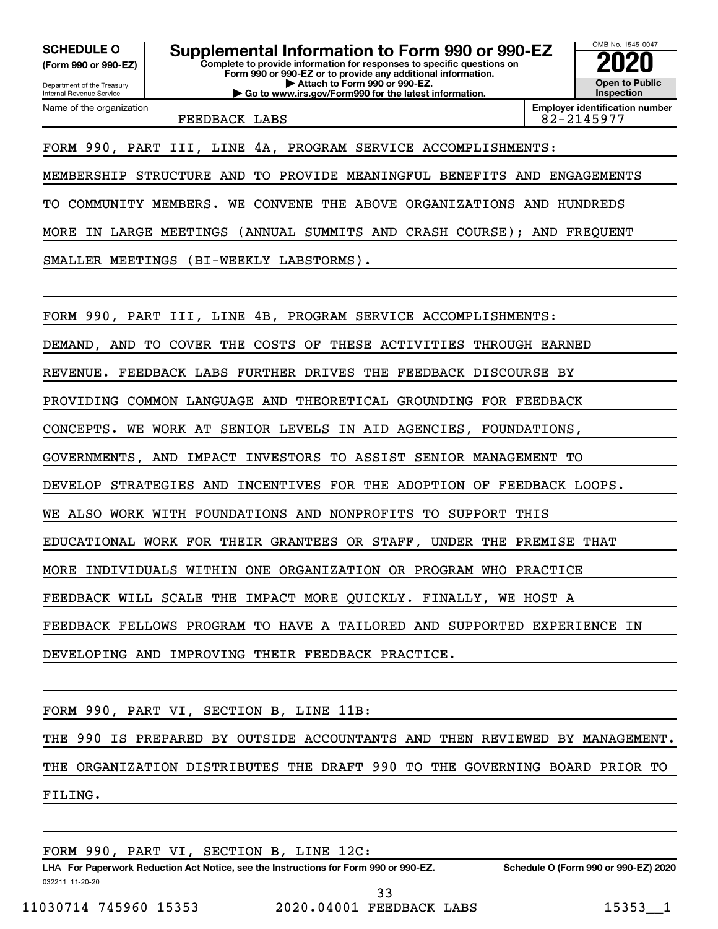**(Form 990 or 990-EZ)**

Department of the Treasury Internal Revenue Service

**Complete to provide information for responses to specific questions on Form 990 or 990-EZ or to provide any additional information. | Attach to Form 990 or 990-EZ. | Go to www.irs.gov/Form990 for the latest information. SCHEDULE O Supplemental Information to Form 990 or 990-EZ 2020**<br>(Form 990 or 990-EZ) Complete to provide information for responses to specific questions on

Name of the organization

**Open to Public Inspection Employer identification number** FEEDBACK LABS 82-2145977

OMB No. 1545-0047

FORM 990, PART III, LINE 4A, PROGRAM SERVICE ACCOMPLISHMENTS:

MEMBERSHIP STRUCTURE AND TO PROVIDE MEANINGFUL BENEFITS AND ENGAGEMENTS

TO COMMUNITY MEMBERS. WE CONVENE THE ABOVE ORGANIZATIONS AND HUNDREDS

MORE IN LARGE MEETINGS (ANNUAL SUMMITS AND CRASH COURSE); AND FREQUENT

SMALLER MEETINGS (BI-WEEKLY LABSTORMS).

FORM 990, PART III, LINE 4B, PROGRAM SERVICE ACCOMPLISHMENTS:

DEMAND, AND TO COVER THE COSTS OF THESE ACTIVITIES THROUGH EARNED

REVENUE. FEEDBACK LABS FURTHER DRIVES THE FEEDBACK DISCOURSE BY

PROVIDING COMMON LANGUAGE AND THEORETICAL GROUNDING FOR FEEDBACK

CONCEPTS. WE WORK AT SENIOR LEVELS IN AID AGENCIES, FOUNDATIONS,

GOVERNMENTS, AND IMPACT INVESTORS TO ASSIST SENIOR MANAGEMENT TO

DEVELOP STRATEGIES AND INCENTIVES FOR THE ADOPTION OF FEEDBACK LOOPS.

WE ALSO WORK WITH FOUNDATIONS AND NONPROFITS TO SUPPORT THIS

EDUCATIONAL WORK FOR THEIR GRANTEES OR STAFF, UNDER THE PREMISE THAT

MORE INDIVIDUALS WITHIN ONE ORGANIZATION OR PROGRAM WHO PRACTICE

FEEDBACK WILL SCALE THE IMPACT MORE QUICKLY. FINALLY, WE HOST A

FEEDBACK FELLOWS PROGRAM TO HAVE A TAILORED AND SUPPORTED EXPERIENCE IN

DEVELOPING AND IMPROVING THEIR FEEDBACK PRACTICE.

FORM 990, PART VI, SECTION B, LINE 11B:

THE 990 IS PREPARED BY OUTSIDE ACCOUNTANTS AND THEN REVIEWED BY MANAGEMENT. THE ORGANIZATION DISTRIBUTES THE DRAFT 990 TO THE GOVERNING BOARD PRIOR TO FILING.

FORM 990, PART VI, SECTION B, LINE 12C: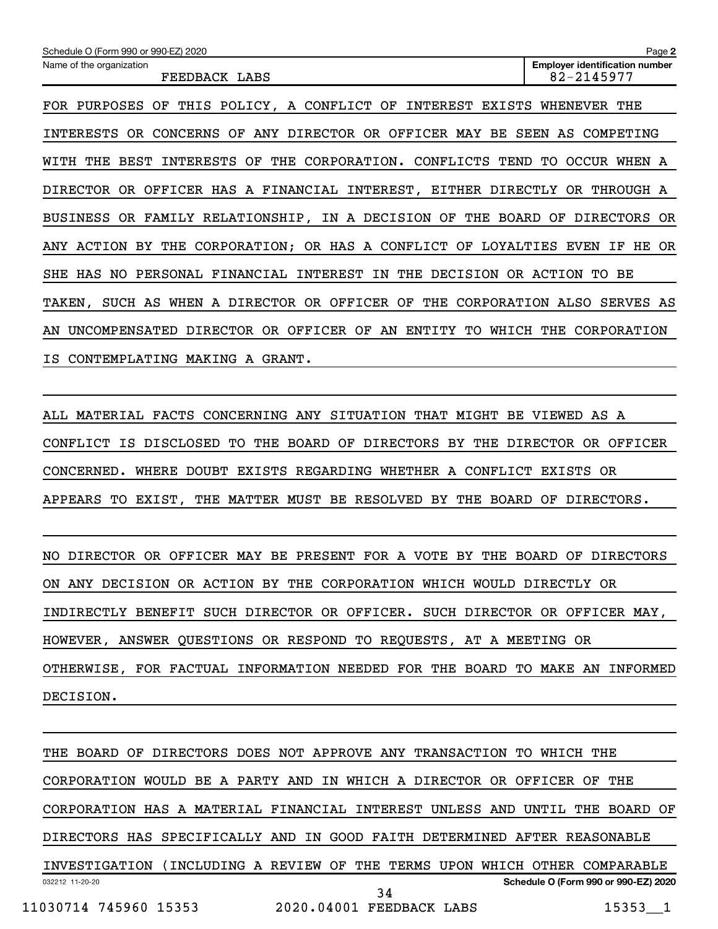| Schedule O (Form 990 or 990-EZ) 2020                                               | Page 2                                              |  |  |  |  |  |  |
|------------------------------------------------------------------------------------|-----------------------------------------------------|--|--|--|--|--|--|
| Name of the organization<br>FEEDBACK LABS                                          | <b>Employer identification number</b><br>82-2145977 |  |  |  |  |  |  |
| THIS POLICY, A CONFLICT OF<br><b>INTEREST</b><br>FOR PURPOSES OF<br>EXISTS         | WHENEVER<br>THE                                     |  |  |  |  |  |  |
| ANY DIRECTOR OR OFFICER MAY<br>OR CONCERNS<br>OF<br>BE<br>INTERESTS                | SEEN<br>AS.<br>COMPETING                            |  |  |  |  |  |  |
| CORPORATION.<br>THE<br>CONFLICTS<br>WITH<br>THE<br>BEST<br>INTERESTS<br>OF<br>TEND | TO.<br><b>OCCUR</b><br>WHEN A                       |  |  |  |  |  |  |
| DIRECTOR OR OFFICER HAS A FINANCIAL INTEREST,<br>EITHER DIRECTLY                   | OR THROUGH A                                        |  |  |  |  |  |  |
| OR FAMILY RELATIONSHIP, IN A DECISION OF<br>THE<br>BOARD<br><b>BUSINESS</b>        | ΟF<br><b>DIRECTORS</b><br>0R                        |  |  |  |  |  |  |
| ANY ACTION BY THE CORPORATION; OR HAS A CONFLICT OF LOYALTIES                      | EVEN<br>ΙF<br>HE OR                                 |  |  |  |  |  |  |
| FINANCIAL INTEREST<br>IN<br>THE DECISION OR ACTION TO<br>SHE<br>HAS NO<br>PERSONAL | BE                                                  |  |  |  |  |  |  |
| DIRECTOR<br>OR<br>OFFICER<br>OF<br>THE<br>SUCH AS<br>WHEN<br>A<br>TAKEN ,          | CORPORATION ALSO<br>SERVES AS                       |  |  |  |  |  |  |
| OFFICER OF<br>DIRECTOR<br>OR<br>UNCOMPENSATED<br>AN<br>ENTITY<br>TО<br>AN          | WHICH THE<br>CORPORATION                            |  |  |  |  |  |  |
| IS CONTEMPLATING<br>MAKING<br>A GRANT.                                             |                                                     |  |  |  |  |  |  |

ALL MATERIAL FACTS CONCERNING ANY SITUATION THAT MIGHT BE VIEWED AS A CONFLICT IS DISCLOSED TO THE BOARD OF DIRECTORS BY THE DIRECTOR OR OFFICER CONCERNED. WHERE DOUBT EXISTS REGARDING WHETHER A CONFLICT EXISTS OR APPEARS TO EXIST, THE MATTER MUST BE RESOLVED BY THE BOARD OF DIRECTORS.

NO DIRECTOR OR OFFICER MAY BE PRESENT FOR A VOTE BY THE BOARD OF DIRECTORS ON ANY DECISION OR ACTION BY THE CORPORATION WHICH WOULD DIRECTLY OR INDIRECTLY BENEFIT SUCH DIRECTOR OR OFFICER. SUCH DIRECTOR OR OFFICER MAY, HOWEVER, ANSWER QUESTIONS OR RESPOND TO REQUESTS, AT A MEETING OR OTHERWISE, FOR FACTUAL INFORMATION NEEDED FOR THE BOARD TO MAKE AN INFORMED DECISION.

032212 11-20-20 **Schedule O (Form 990 or 990-EZ) 2020** THE BOARD OF DIRECTORS DOES NOT APPROVE ANY TRANSACTION TO WHICH THE CORPORATION WOULD BE A PARTY AND IN WHICH A DIRECTOR OR OFFICER OF THE CORPORATION HAS A MATERIAL FINANCIAL INTEREST UNLESS AND UNTIL THE BOARD OF DIRECTORS HAS SPECIFICALLY AND IN GOOD FAITH DETERMINED AFTER REASONABLE INVESTIGATION (INCLUDING A REVIEW OF THE TERMS UPON WHICH OTHER COMPARABLE 11030714 745960 15353 2020.04001 FEEDBACK LABS 15353\_\_1 34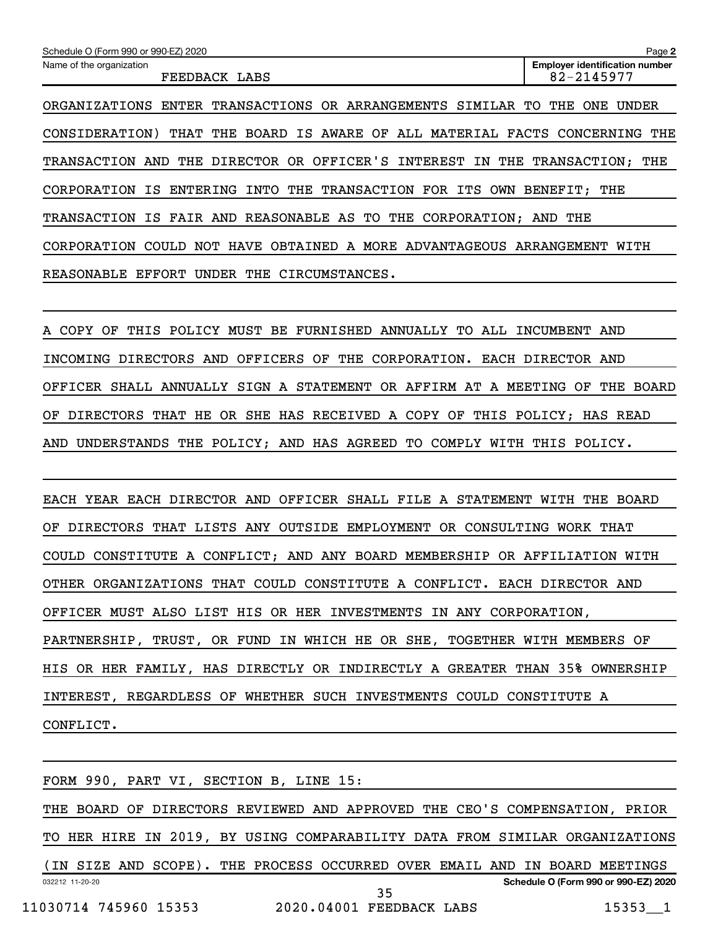| Schedule O (Form 990 or 990-EZ) 2020                                       | Page 2                                              |
|----------------------------------------------------------------------------|-----------------------------------------------------|
| Name of the organization<br>FEEDBACK LABS                                  | <b>Employer identification number</b><br>82-2145977 |
| ENTER TRANSACTIONS OR ARRANGEMENTS SIMILAR<br>ORGANIZATIONS                | <b>UNDER</b><br>TO.<br>THE<br>ONE                   |
| CONSIDERATION) THAT THE BOARD IS AWARE OF ALL MATERIAL FACTS CONCERNING    | THE                                                 |
| OFFICER'S INTEREST IN<br>DIRECTOR OR<br>THE<br>TRANSACTION<br>AND          | THE TRANSACTION:<br>THE                             |
| INTO<br>ENTERING<br>THE TRANSACTION FOR ITS OWN<br>CORPORATION<br>IS       | BENEFIT: THE                                        |
| IS FAIR AND REASONABLE AS TO<br>THE CORPORATION: AND<br><b>TRANSACTION</b> | THE                                                 |
| HAVE OBTAINED A MORE ADVANTAGEOUS ARRANGEMENT<br>CORPORATION<br>COULD NOT  | WITH                                                |
| EFFORT<br><b>UNDER</b><br>CIRCUMSTANCES.<br>REASONABLE<br>THE              |                                                     |

A COPY OF THIS POLICY MUST BE FURNISHED ANNUALLY TO ALL INCUMBENT AND INCOMING DIRECTORS AND OFFICERS OF THE CORPORATION. EACH DIRECTOR AND OFFICER SHALL ANNUALLY SIGN A STATEMENT OR AFFIRM AT A MEETING OF THE BOARD OF DIRECTORS THAT HE OR SHE HAS RECEIVED A COPY OF THIS POLICY; HAS READ AND UNDERSTANDS THE POLICY; AND HAS AGREED TO COMPLY WITH THIS POLICY.

EACH YEAR EACH DIRECTOR AND OFFICER SHALL FILE A STATEMENT WITH THE BOARD OF DIRECTORS THAT LISTS ANY OUTSIDE EMPLOYMENT OR CONSULTING WORK THAT COULD CONSTITUTE A CONFLICT; AND ANY BOARD MEMBERSHIP OR AFFILIATION WITH OTHER ORGANIZATIONS THAT COULD CONSTITUTE A CONFLICT. EACH DIRECTOR AND OFFICER MUST ALSO LIST HIS OR HER INVESTMENTS IN ANY CORPORATION, PARTNERSHIP, TRUST, OR FUND IN WHICH HE OR SHE, TOGETHER WITH MEMBERS OF HIS OR HER FAMILY, HAS DIRECTLY OR INDIRECTLY A GREATER THAN 35% OWNERSHIP INTEREST, REGARDLESS OF WHETHER SUCH INVESTMENTS COULD CONSTITUTE A CONFLICT.

| FORM 990, PART VI, SECTION B, LINE 15:                                      |  |  |  |  |  |                                                                            |    |  |  |  |  |  |                                      |  |
|-----------------------------------------------------------------------------|--|--|--|--|--|----------------------------------------------------------------------------|----|--|--|--|--|--|--------------------------------------|--|
| THE BOARD OF DIRECTORS REVIEWED AND APPROVED THE CEO'S COMPENSATION, PRIOR  |  |  |  |  |  |                                                                            |    |  |  |  |  |  |                                      |  |
| TO HER HIRE IN 2019, BY USING COMPARABILITY DATA FROM SIMILAR ORGANIZATIONS |  |  |  |  |  |                                                                            |    |  |  |  |  |  |                                      |  |
|                                                                             |  |  |  |  |  | (IN SIZE AND SCOPE). THE PROCESS OCCURRED OVER EMAIL AND IN BOARD MEETINGS |    |  |  |  |  |  |                                      |  |
| 032212 11-20-20                                                             |  |  |  |  |  |                                                                            | 35 |  |  |  |  |  | Schedule O (Form 990 or 990-EZ) 2020 |  |
| 11030714 745960 15353                                                       |  |  |  |  |  | 2020.04001 FEEDBACK LABS                                                   |    |  |  |  |  |  | $15353 - 1$                          |  |